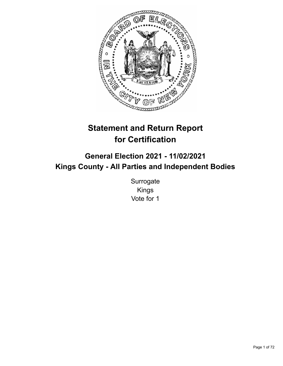

# **Statement and Return Report for Certification**

# **General Election 2021 - 11/02/2021 Kings County - All Parties and Independent Bodies**

**Surrogate** Kings Vote for 1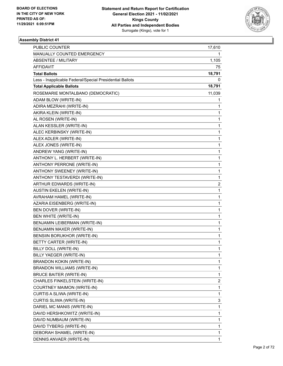

| PUBLIC COUNTER                                           | 17,610       |
|----------------------------------------------------------|--------------|
| MANUALLY COUNTED EMERGENCY                               | 1.           |
| <b>ABSENTEE / MILITARY</b>                               | 1,105        |
| AFFIDAVIT                                                | 75           |
| <b>Total Ballots</b>                                     | 18,791       |
| Less - Inapplicable Federal/Special Presidential Ballots | 0            |
| <b>Total Applicable Ballots</b>                          | 18,791       |
| ROSEMARIE MONTALBANO (DEMOCRATIC)                        | 11,039       |
| ADAM BLOW (WRITE-IN)                                     | 1            |
| ADIRA MEZRAHI (WRITE-IN)                                 | 1            |
| AKIRA KLEIN (WRITE-IN)                                   | 1            |
| AL ROSEN (WRITE-IN)                                      | 1            |
| ALAN KESSLER (WRITE-IN)                                  | 1            |
| ALEC KERBINSKY (WRITE-IN)                                | 1            |
| ALEX ADLER (WRITE-IN)                                    | 1            |
| ALEX JONES (WRITE-IN)                                    | 1            |
| ANDREW YANG (WRITE-IN)                                   | 1            |
| ANTHONY L. HERBERT (WRITE-IN)                            | 1            |
| ANTHONY PERRONE (WRITE-IN)                               | 1            |
| ANTHONY SWEENEY (WRITE-IN)                               | 1            |
| ANTHONY TESTAVERDI (WRITE-IN)                            | 1            |
| ARTHUR EDWARDS (WRITE-IN)                                | 2            |
| <b>AUSTIN EKELEN (WRITE-IN)</b>                          | 1            |
| AVRAHAM HAMEL (WRITE-IN)                                 | 1            |
| AZARIA EISENBERG (WRITE-IN)                              | 1            |
| BEN DOVER (WRITE-IN)                                     | 1            |
| BEN WHITE (WRITE-IN)                                     | 1            |
| BENJAMIN LEIBERMAN (WRITE-IN)                            | 1            |
| BENJAMIN MAXER (WRITE-IN)                                | 1            |
| BENSIIN BORUKHOR (WRITE-IN)                              | 1            |
| BETTY CARTER (WRITE-IN)                                  | 1            |
| BILLY DOLL (WRITE-IN)                                    | 1            |
| BILLY YAEGER (WRITE-IN)                                  | 1            |
| <b>BRANDON KOKIN (WRITE-IN)</b>                          | 1            |
| BRANDON WILLIAMS (WRITE-IN)                              | 1            |
| BRUCE BAITER (WRITE-IN)                                  | $\mathbf{1}$ |
| CHARLES FINKELSTEIN (WRITE-IN)                           | 2            |
| COURTNEY MAIMON (WRITE-IN)                               | 1            |
| CURTIS A SLIWA (WRITE-IN)                                | 1            |
| CURTIS SLIWA (WRITE-IN)                                  | 3            |
| DARIEL MC MANIS (WRITE-IN)                               | 1            |
| DAVID HERSHKOWITZ (WRITE-IN)                             | 1            |
| DAVID NUMBAUM (WRITE-IN)                                 | 1            |
| DAVID TYBERG (WRITE-IN)                                  | 1            |
| DEBORAH SHAMEL (WRITE-IN)                                | 1            |
| DENNIS ANVAER (WRITE-IN)                                 | 1            |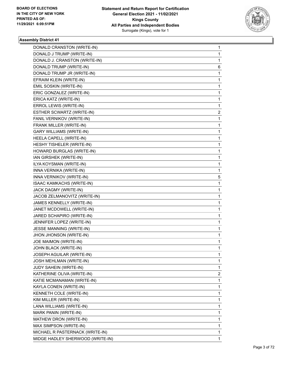

| DONALD CRANSTON (WRITE-IN)       | 1            |
|----------------------------------|--------------|
| DONALD J TRUMP (WRITE-IN)        | 1            |
| DONALD J. CRANSTON (WRITE-IN)    | 1            |
| DONALD TRUMP (WRITE-IN)          | 6            |
| DONALD TRUMP JR (WRITE-IN)       | 1            |
| EFRAIM KLEIN (WRITE-IN)          | 1            |
| EMIL SOSKIN (WRITE-IN)           | 1            |
| ERIC GONZALEZ (WRITE-IN)         | 1            |
| ERICA KATZ (WRITE-IN)            | 1            |
| ERROL LEWIS (WRITE-IN)           | 1            |
| ESTHER SCWARTZ (WRITE-IN)        | 2            |
| FANIL VERNIKOV (WRITE-IN)        | 1            |
| FRANK MILLER (WRITE-IN)          | 1            |
| <b>GARY WILLIAMS (WRITE-IN)</b>  | 1            |
| HEELA CAPELL (WRITE-IN)          | 1            |
| HESHY TISHELER (WRITE-IN)        | 1            |
| HOWARD BURGLAS (WRITE-IN)        | 1            |
| IAN GIRSHEK (WRITE-IN)           | 1            |
| ILYA KOYSMAN (WRITE-IN)          | 1            |
| INNA VERNIKA (WRITE-IN)          | 1            |
| INNA VERNIKOV (WRITE-IN)         | 5            |
| ISAAC KAMKACHS (WRITE-IN)        | 1            |
| JACK DAGMY (WRITE-IN)            | 1            |
| JACOB ZELMANOVITZ (WRITE-IN)     | 1            |
| JAMES KENNELLY (WRITE-IN)        | 1            |
| JANET MCDOWELL (WRITE-IN)        | 1            |
| JARED SCHAPIRO (WRITE-IN)        | 1            |
| JENNIFER LOPEZ (WRITE-IN)        | 1            |
| JESSE MANNING (WRITE-IN)         | 1            |
| JHON JHONSON (WRITE-IN)          | 1            |
| JOE MAIMON (WRITE-IN)            | 1            |
| JOHN BLACK (WRITE-IN)            | $\mathbf{1}$ |
| JOSEPH AGUILAR (WRITE-IN)        | 1            |
| JOSH MEHLMAN (WRITE-IN)          | 1            |
| JUDY SAHEIN (WRITE-IN)           | 1            |
| KATHERINE OLIVA (WRITE-IN)       | 2            |
| KATIE MCMANAMAN (WRITE-IN)       | 1            |
| KAYLA CONEN (WRITE-IN)           | 1            |
| KENNETH COLE (WRITE-IN)          | 1            |
| KIM MILLER (WRITE-IN)            | 1            |
| LANA WILLIAMS (WRITE-IN)         | 1            |
| MARK PANIN (WRITE-IN)            | 1            |
| MATHEW DRON (WRITE-IN)           | 1            |
| MAX SIMPSON (WRITE-IN)           | 1            |
| MICHAEL R PASTERNACK (WRITE-IN)  | 1            |
| MIDGE HADLEY SHERWOOD (WRITE-IN) | 1            |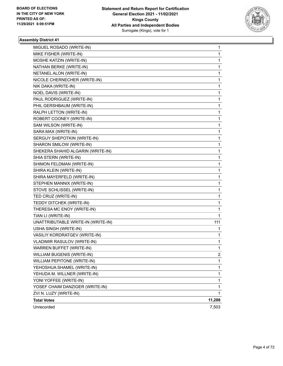

| MIGUEL ROSADO (WRITE-IN)           | 1      |
|------------------------------------|--------|
| MIKE FISHER (WRITE-IN)             | 1      |
| MOSHE KATZIN (WRITE-IN)            | 1      |
| NATHAN BERKE (WRITE-IN)            | 1      |
| NETANEL ALON (WRITE-IN)            | 1      |
| NICOLE CHERNECHER (WRITE-IN)       | 1      |
| NIK DAKA (WRITE-IN)                | 1      |
| NOEL DAVIS (WRITE-IN)              | 1      |
| PAUL RODRIGUEZ (WRITE-IN)          | 1      |
| PHIL GERSHBAUM (WRITE-IN)          | 1      |
| RALPH LETTON (WRITE-IN)            | 1      |
| ROBERT COONEY (WRITE-IN)           | 1      |
| SAM WILSON (WRITE-IN)              | 1      |
| SARA MAX (WRITE-IN)                | 1      |
| SERGUY SHEPOTKIN (WRITE-IN)        | 1      |
| SHARON SMILOW (WRITE-IN)           | 1      |
| SHEKERA SHAHID ALGARIN (WRITE-IN)  | 1      |
| SHIA STERN (WRITE-IN)              | 1      |
| SHIMON FELDMAN (WRITE-IN)          | 1      |
| SHIRA KLEIN (WRITE-IN)             | 1      |
| SHIRA MAYERFELD (WRITE-IN)         | 1      |
| STEPHEN MANNIX (WRITE-IN)          | 1      |
| STOVE SCHLISSEL (WRITE-IN)         | 1      |
| TED CRUZ (WRITE-IN)                | 1      |
| TEDDY DITCHEK (WRITE-IN)           | 1      |
| THERESA MC ENOY (WRITE-IN)         | 1      |
| TIAN LI (WRITE-IN)                 | 1      |
| UNATTRIBUTABLE WRITE-IN (WRITE-IN) | 111    |
| USHA SINGH (WRITE-IN)              | 1      |
| VASILIY KORDRATGEV (WRITE-IN)      | 1      |
| VLADIMIR RASULOV (WRITE-IN)        | 1      |
| WARREN BUFFET (WRITE-IN)           | 1      |
| WILLIAM BUGENIS (WRITE-IN)         | 2      |
| WILLIAM PEPITONE (WRITE-IN)        | 1      |
| YEHOSHUA SHAMEL (WRITE-IN)         | 1      |
| YEHUDA M. WILLNER (WRITE-IN)       | 1      |
| YONI YOFFEE (WRITE-IN)             | 1      |
| YOSEF CHAIM DANZIGER (WRITE-IN)    | 1      |
| ZVI N. LUZY (WRITE-IN)             | 1      |
| <b>Total Votes</b>                 | 11,288 |
| Unrecorded                         | 7,503  |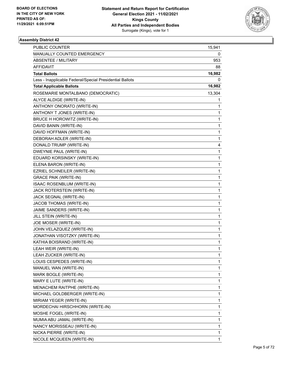

| PUBLIC COUNTER                                           | 15,941 |
|----------------------------------------------------------|--------|
| MANUALLY COUNTED EMERGENCY                               | 0      |
| ABSENTEE / MILITARY                                      | 953    |
| <b>AFFIDAVIT</b>                                         | 88     |
| <b>Total Ballots</b>                                     | 16,982 |
| Less - Inapplicable Federal/Special Presidential Ballots | 0      |
| <b>Total Applicable Ballots</b>                          | 16,982 |
| ROSEMARIE MONTALBANO (DEMOCRATIC)                        | 13,304 |
| ALYCE ALDIGE (WRITE-IN)                                  | 1      |
| ANTHONY ONORATO (WRITE-IN)                               | 1      |
| ANTHONY T JONES (WRITE-IN)                               | 1      |
| BRUCE H HOROWITZ (WRITE-IN)                              | 1      |
| DAVID BANIN (WRITE-IN)                                   | 1      |
| DAVID HOFFMAN (WRITE-IN)                                 | 1      |
| DEBORAH ADLER (WRITE-IN)                                 | 1      |
| DONALD TRUMP (WRITE-IN)                                  | 4      |
| DWEYNIE PAUL (WRITE-IN)                                  | 1      |
| EDUARD KORSINSKY (WRITE-IN)                              | 1      |
| ELENA BARON (WRITE-IN)                                   | 1      |
| EZRIEL SCHNEILER (WRITE-IN)                              | 1      |
| <b>GRACE PAIK (WRITE-IN)</b>                             | 1      |
| ISAAC ROSENBLUM (WRITE-IN)                               | 1      |
| JACK ROTERSTEIN (WRITE-IN)                               | 1      |
| JACK SEGNAL (WRITE-IN)                                   | 1      |
| JACOB THOMAS (WRITE-IN)                                  | 1      |
| JAIME SANDERS (WRITE-IN)                                 | 1      |
| JILL STEIN (WRITE-IN)                                    | 1      |
| JOE MOSER (WRITE-IN)                                     | 1      |
| JOHN VELAZQUEZ (WRITE-IN)                                | 1      |
| JONATHAN VISOTZKY (WRITE-IN)                             | 1      |
| KATHIA BOISRAND (WRITE-IN)                               | 1      |
| LEAH WEIR (WRITE-IN)                                     | 1      |
| LEAH ZUCKER (WRITE-IN)                                   | 1      |
| LOUIS CESPEDES (WRITE-IN)                                | 1      |
| MANUEL WAN (WRITE-IN)                                    | 1      |
| MARK BOGLE (WRITE-IN)                                    | 1      |
| MARY E LUTE (WRITE-IN)                                   | 1      |
| MENACHEM RAITPHE (WRITE-IN)                              | 1      |
| MICHAEL GOLDBERGER (WRITE-IN)                            | 1      |
| MIRIAM YEGER (WRITE-IN)                                  | 1      |
| MORDECHAI HIRSCHHORN (WRITE-IN)                          | 1      |
| MOSHE FOGEL (WRITE-IN)                                   | 1      |
| MUMIA ABU JAMAL (WRITE-IN)                               | 1      |
| NANCY MORISSEAU (WRITE-IN)                               | 1      |
| NICKA PIERRE (WRITE-IN)                                  | 1      |
| NICOLE MCQUEEN (WRITE-IN)                                | 1      |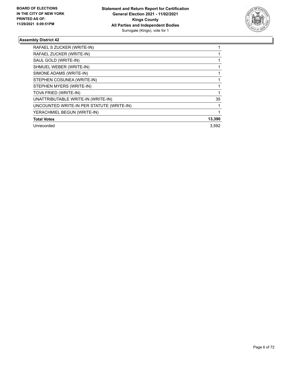

| RAFAEL S ZUCKER (WRITE-IN)                |        |
|-------------------------------------------|--------|
| RAFAEL ZUCKER (WRITE-IN)                  |        |
| SAUL GOLD (WRITE-IN)                      |        |
| SHMUEL WEBER (WRITE-IN)                   |        |
| SIMONE ADAMS (WRITE-IN)                   |        |
| STEPHEN COSUNEA (WRITE-IN)                |        |
| STEPHEN MYERS (WRITE-IN)                  |        |
| TOVA FRIED (WRITE-IN)                     |        |
| UNATTRIBUTABLE WRITE-IN (WRITE-IN)        | 35     |
| UNCOUNTED WRITE-IN PER STATUTE (WRITE-IN) |        |
| YERACHMIEL BEGUN (WRITE-IN)               |        |
| <b>Total Votes</b>                        | 13,390 |
| Unrecorded                                | 3.592  |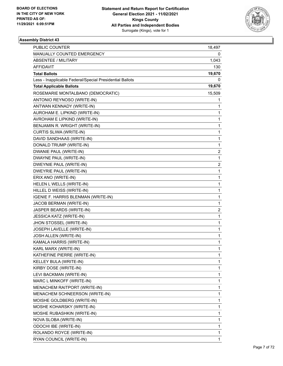

| MANUALLY COUNTED EMERGENCY<br>0<br><b>ABSENTEE / MILITARY</b><br>1,043<br>AFFIDAVIT<br>130<br><b>Total Ballots</b><br>19,670<br>Less - Inapplicable Federal/Special Presidential Ballots<br>0<br><b>Total Applicable Ballots</b><br>19,670<br>ROSEMARIE MONTALBANO (DEMOCRATIC)<br>15,509<br>ANTONIO REYNOSO (WRITE-IN)<br>1<br>ANTWAN KENNADY (WRITE-IN)<br>1<br>AUROHAM E. LIPKIND (WRITE-IN)<br>1<br>AVROHAM E LIPKIND (WRITE-IN)<br>1<br>BENJAMIN R. WRIGHT (WRITE-IN)<br>1<br>CURTIS SLIWA (WRITE-IN)<br>1<br>1<br>DAVID SANDHAAS (WRITE-IN)<br>DONALD TRUMP (WRITE-IN)<br>1<br>DWANIE PAUL (WRITE-IN)<br>2<br>DWAYNE PAUL (WRITE-IN)<br>1<br><b>DWEYNIE PAUL (WRITE-IN)</b><br>$\overline{\mathbf{c}}$<br>DWEYRIE PAUL (WRITE-IN)<br>1<br>ERIX ANO (WRITE-IN)<br>1<br>HELEN L WELLS (WRITE-IN)<br>1<br>HILLEL D WEISS (WRITE-IN)<br>1<br>IGENIE F. HARRIS BLENMAN (WRITE-IN)<br>1<br>JACOB BERMAN (WRITE-IN)<br>1<br>JASPER BEARDS (WRITE-IN)<br>2<br>JESSICA KATZ (WRITE-IN)<br>1<br>JHON STOSSEL (WRITE-IN)<br>1<br>JOSEPH LAVELLE (WRITE-IN)<br>1<br>JOSH ALLEN (WRITE-IN)<br>$\mathbf{1}$<br>KAMALA HARRIS (WRITE-IN)<br>1<br>KARL MARX (WRITE-IN)<br>1<br>KATHEFINE PIERRE (WRITE-IN)<br>1<br>KELLEY BULA (WRITE-IN)<br>1<br>KIRBY DOSE (WRITE-IN)<br>1<br>LEVI BACKMAN (WRITE-IN)<br>1<br>MARC L MINKOFF (WRITE-IN)<br>1<br>MENACHEM RAITPORT (WRITE-IN)<br>1<br>MENACHEM SCHNEERSON (WRITE-IN)<br>1<br>MOISHE GOLDBERG (WRITE-IN)<br>1<br>MOSHE KOHARSKY (WRITE-IN)<br>1<br>MOSHE RUBASHKIN (WRITE-IN)<br>1<br>NOVA SLOBA (WRITE-IN)<br>1 | <b>PUBLIC COUNTER</b> | 18,497 |
|--------------------------------------------------------------------------------------------------------------------------------------------------------------------------------------------------------------------------------------------------------------------------------------------------------------------------------------------------------------------------------------------------------------------------------------------------------------------------------------------------------------------------------------------------------------------------------------------------------------------------------------------------------------------------------------------------------------------------------------------------------------------------------------------------------------------------------------------------------------------------------------------------------------------------------------------------------------------------------------------------------------------------------------------------------------------------------------------------------------------------------------------------------------------------------------------------------------------------------------------------------------------------------------------------------------------------------------------------------------------------------------------------------------------------------------------------------------------------------------------------------------------------------------------------------|-----------------------|--------|
|                                                                                                                                                                                                                                                                                                                                                                                                                                                                                                                                                                                                                                                                                                                                                                                                                                                                                                                                                                                                                                                                                                                                                                                                                                                                                                                                                                                                                                                                                                                                                        |                       |        |
|                                                                                                                                                                                                                                                                                                                                                                                                                                                                                                                                                                                                                                                                                                                                                                                                                                                                                                                                                                                                                                                                                                                                                                                                                                                                                                                                                                                                                                                                                                                                                        |                       |        |
|                                                                                                                                                                                                                                                                                                                                                                                                                                                                                                                                                                                                                                                                                                                                                                                                                                                                                                                                                                                                                                                                                                                                                                                                                                                                                                                                                                                                                                                                                                                                                        |                       |        |
|                                                                                                                                                                                                                                                                                                                                                                                                                                                                                                                                                                                                                                                                                                                                                                                                                                                                                                                                                                                                                                                                                                                                                                                                                                                                                                                                                                                                                                                                                                                                                        |                       |        |
|                                                                                                                                                                                                                                                                                                                                                                                                                                                                                                                                                                                                                                                                                                                                                                                                                                                                                                                                                                                                                                                                                                                                                                                                                                                                                                                                                                                                                                                                                                                                                        |                       |        |
|                                                                                                                                                                                                                                                                                                                                                                                                                                                                                                                                                                                                                                                                                                                                                                                                                                                                                                                                                                                                                                                                                                                                                                                                                                                                                                                                                                                                                                                                                                                                                        |                       |        |
|                                                                                                                                                                                                                                                                                                                                                                                                                                                                                                                                                                                                                                                                                                                                                                                                                                                                                                                                                                                                                                                                                                                                                                                                                                                                                                                                                                                                                                                                                                                                                        |                       |        |
|                                                                                                                                                                                                                                                                                                                                                                                                                                                                                                                                                                                                                                                                                                                                                                                                                                                                                                                                                                                                                                                                                                                                                                                                                                                                                                                                                                                                                                                                                                                                                        |                       |        |
|                                                                                                                                                                                                                                                                                                                                                                                                                                                                                                                                                                                                                                                                                                                                                                                                                                                                                                                                                                                                                                                                                                                                                                                                                                                                                                                                                                                                                                                                                                                                                        |                       |        |
|                                                                                                                                                                                                                                                                                                                                                                                                                                                                                                                                                                                                                                                                                                                                                                                                                                                                                                                                                                                                                                                                                                                                                                                                                                                                                                                                                                                                                                                                                                                                                        |                       |        |
|                                                                                                                                                                                                                                                                                                                                                                                                                                                                                                                                                                                                                                                                                                                                                                                                                                                                                                                                                                                                                                                                                                                                                                                                                                                                                                                                                                                                                                                                                                                                                        |                       |        |
|                                                                                                                                                                                                                                                                                                                                                                                                                                                                                                                                                                                                                                                                                                                                                                                                                                                                                                                                                                                                                                                                                                                                                                                                                                                                                                                                                                                                                                                                                                                                                        |                       |        |
|                                                                                                                                                                                                                                                                                                                                                                                                                                                                                                                                                                                                                                                                                                                                                                                                                                                                                                                                                                                                                                                                                                                                                                                                                                                                                                                                                                                                                                                                                                                                                        |                       |        |
|                                                                                                                                                                                                                                                                                                                                                                                                                                                                                                                                                                                                                                                                                                                                                                                                                                                                                                                                                                                                                                                                                                                                                                                                                                                                                                                                                                                                                                                                                                                                                        |                       |        |
|                                                                                                                                                                                                                                                                                                                                                                                                                                                                                                                                                                                                                                                                                                                                                                                                                                                                                                                                                                                                                                                                                                                                                                                                                                                                                                                                                                                                                                                                                                                                                        |                       |        |
|                                                                                                                                                                                                                                                                                                                                                                                                                                                                                                                                                                                                                                                                                                                                                                                                                                                                                                                                                                                                                                                                                                                                                                                                                                                                                                                                                                                                                                                                                                                                                        |                       |        |
|                                                                                                                                                                                                                                                                                                                                                                                                                                                                                                                                                                                                                                                                                                                                                                                                                                                                                                                                                                                                                                                                                                                                                                                                                                                                                                                                                                                                                                                                                                                                                        |                       |        |
|                                                                                                                                                                                                                                                                                                                                                                                                                                                                                                                                                                                                                                                                                                                                                                                                                                                                                                                                                                                                                                                                                                                                                                                                                                                                                                                                                                                                                                                                                                                                                        |                       |        |
|                                                                                                                                                                                                                                                                                                                                                                                                                                                                                                                                                                                                                                                                                                                                                                                                                                                                                                                                                                                                                                                                                                                                                                                                                                                                                                                                                                                                                                                                                                                                                        |                       |        |
|                                                                                                                                                                                                                                                                                                                                                                                                                                                                                                                                                                                                                                                                                                                                                                                                                                                                                                                                                                                                                                                                                                                                                                                                                                                                                                                                                                                                                                                                                                                                                        |                       |        |
|                                                                                                                                                                                                                                                                                                                                                                                                                                                                                                                                                                                                                                                                                                                                                                                                                                                                                                                                                                                                                                                                                                                                                                                                                                                                                                                                                                                                                                                                                                                                                        |                       |        |
|                                                                                                                                                                                                                                                                                                                                                                                                                                                                                                                                                                                                                                                                                                                                                                                                                                                                                                                                                                                                                                                                                                                                                                                                                                                                                                                                                                                                                                                                                                                                                        |                       |        |
|                                                                                                                                                                                                                                                                                                                                                                                                                                                                                                                                                                                                                                                                                                                                                                                                                                                                                                                                                                                                                                                                                                                                                                                                                                                                                                                                                                                                                                                                                                                                                        |                       |        |
|                                                                                                                                                                                                                                                                                                                                                                                                                                                                                                                                                                                                                                                                                                                                                                                                                                                                                                                                                                                                                                                                                                                                                                                                                                                                                                                                                                                                                                                                                                                                                        |                       |        |
|                                                                                                                                                                                                                                                                                                                                                                                                                                                                                                                                                                                                                                                                                                                                                                                                                                                                                                                                                                                                                                                                                                                                                                                                                                                                                                                                                                                                                                                                                                                                                        |                       |        |
|                                                                                                                                                                                                                                                                                                                                                                                                                                                                                                                                                                                                                                                                                                                                                                                                                                                                                                                                                                                                                                                                                                                                                                                                                                                                                                                                                                                                                                                                                                                                                        |                       |        |
|                                                                                                                                                                                                                                                                                                                                                                                                                                                                                                                                                                                                                                                                                                                                                                                                                                                                                                                                                                                                                                                                                                                                                                                                                                                                                                                                                                                                                                                                                                                                                        |                       |        |
|                                                                                                                                                                                                                                                                                                                                                                                                                                                                                                                                                                                                                                                                                                                                                                                                                                                                                                                                                                                                                                                                                                                                                                                                                                                                                                                                                                                                                                                                                                                                                        |                       |        |
|                                                                                                                                                                                                                                                                                                                                                                                                                                                                                                                                                                                                                                                                                                                                                                                                                                                                                                                                                                                                                                                                                                                                                                                                                                                                                                                                                                                                                                                                                                                                                        |                       |        |
|                                                                                                                                                                                                                                                                                                                                                                                                                                                                                                                                                                                                                                                                                                                                                                                                                                                                                                                                                                                                                                                                                                                                                                                                                                                                                                                                                                                                                                                                                                                                                        |                       |        |
|                                                                                                                                                                                                                                                                                                                                                                                                                                                                                                                                                                                                                                                                                                                                                                                                                                                                                                                                                                                                                                                                                                                                                                                                                                                                                                                                                                                                                                                                                                                                                        |                       |        |
|                                                                                                                                                                                                                                                                                                                                                                                                                                                                                                                                                                                                                                                                                                                                                                                                                                                                                                                                                                                                                                                                                                                                                                                                                                                                                                                                                                                                                                                                                                                                                        |                       |        |
|                                                                                                                                                                                                                                                                                                                                                                                                                                                                                                                                                                                                                                                                                                                                                                                                                                                                                                                                                                                                                                                                                                                                                                                                                                                                                                                                                                                                                                                                                                                                                        |                       |        |
|                                                                                                                                                                                                                                                                                                                                                                                                                                                                                                                                                                                                                                                                                                                                                                                                                                                                                                                                                                                                                                                                                                                                                                                                                                                                                                                                                                                                                                                                                                                                                        |                       |        |
|                                                                                                                                                                                                                                                                                                                                                                                                                                                                                                                                                                                                                                                                                                                                                                                                                                                                                                                                                                                                                                                                                                                                                                                                                                                                                                                                                                                                                                                                                                                                                        |                       |        |
|                                                                                                                                                                                                                                                                                                                                                                                                                                                                                                                                                                                                                                                                                                                                                                                                                                                                                                                                                                                                                                                                                                                                                                                                                                                                                                                                                                                                                                                                                                                                                        |                       |        |
|                                                                                                                                                                                                                                                                                                                                                                                                                                                                                                                                                                                                                                                                                                                                                                                                                                                                                                                                                                                                                                                                                                                                                                                                                                                                                                                                                                                                                                                                                                                                                        |                       |        |
|                                                                                                                                                                                                                                                                                                                                                                                                                                                                                                                                                                                                                                                                                                                                                                                                                                                                                                                                                                                                                                                                                                                                                                                                                                                                                                                                                                                                                                                                                                                                                        |                       |        |
|                                                                                                                                                                                                                                                                                                                                                                                                                                                                                                                                                                                                                                                                                                                                                                                                                                                                                                                                                                                                                                                                                                                                                                                                                                                                                                                                                                                                                                                                                                                                                        |                       |        |
|                                                                                                                                                                                                                                                                                                                                                                                                                                                                                                                                                                                                                                                                                                                                                                                                                                                                                                                                                                                                                                                                                                                                                                                                                                                                                                                                                                                                                                                                                                                                                        |                       |        |
|                                                                                                                                                                                                                                                                                                                                                                                                                                                                                                                                                                                                                                                                                                                                                                                                                                                                                                                                                                                                                                                                                                                                                                                                                                                                                                                                                                                                                                                                                                                                                        |                       |        |
|                                                                                                                                                                                                                                                                                                                                                                                                                                                                                                                                                                                                                                                                                                                                                                                                                                                                                                                                                                                                                                                                                                                                                                                                                                                                                                                                                                                                                                                                                                                                                        |                       |        |
| <b>ODOCHI IBE (WRITE-IN)</b><br>1                                                                                                                                                                                                                                                                                                                                                                                                                                                                                                                                                                                                                                                                                                                                                                                                                                                                                                                                                                                                                                                                                                                                                                                                                                                                                                                                                                                                                                                                                                                      |                       |        |
| ROLANDO ROYCE (WRITE-IN)<br>1                                                                                                                                                                                                                                                                                                                                                                                                                                                                                                                                                                                                                                                                                                                                                                                                                                                                                                                                                                                                                                                                                                                                                                                                                                                                                                                                                                                                                                                                                                                          |                       |        |
| RYAN COUNCIL (WRITE-IN)<br>1                                                                                                                                                                                                                                                                                                                                                                                                                                                                                                                                                                                                                                                                                                                                                                                                                                                                                                                                                                                                                                                                                                                                                                                                                                                                                                                                                                                                                                                                                                                           |                       |        |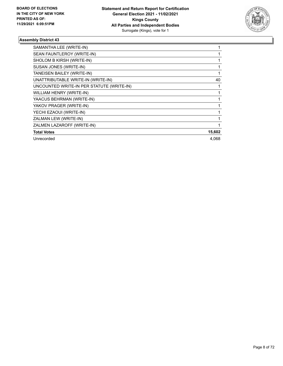

| SAMANTHA LEE (WRITE-IN)                   |        |
|-------------------------------------------|--------|
| SEAN FAUNTLEROY (WRITE-IN)                |        |
| SHOLOM B KIRSH (WRITE-IN)                 |        |
| SUSAN JONES (WRITE-IN)                    |        |
| TANEISEN BAILEY (WRITE-IN)                |        |
| UNATTRIBUTABLE WRITE-IN (WRITE-IN)        | 40     |
| UNCOUNTED WRITE-IN PER STATUTE (WRITE-IN) |        |
| WILLIAM HENRY (WRITE-IN)                  |        |
| YAACUS BEHRMAN (WRITE-IN)                 |        |
| YAKOV PRAGER (WRITE-IN)                   |        |
| YECHI EZAOUI (WRITE-IN)                   |        |
| ZALMAN LEW (WRITE-IN)                     |        |
| ZALMEN LAZAROFF (WRITE-IN)                |        |
| <b>Total Votes</b>                        | 15,602 |
| Unrecorded                                | 4.068  |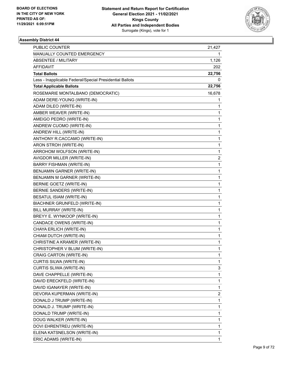

| PUBLIC COUNTER                                           | 21,427       |
|----------------------------------------------------------|--------------|
| MANUALLY COUNTED EMERGENCY                               |              |
| ABSENTEE / MILITARY                                      | 1,126        |
| AFFIDAVIT                                                | 202          |
| <b>Total Ballots</b>                                     | 22,756       |
| Less - Inapplicable Federal/Special Presidential Ballots | 0            |
| <b>Total Applicable Ballots</b>                          | 22,756       |
| ROSEMARIE MONTALBANO (DEMOCRATIC)                        | 16,678       |
| ADAM DERE-YOUNG (WRITE-IN)                               | 1            |
| ADAM DILEO (WRITE-IN)                                    | 1            |
| AMBER WEAVER (WRITE-IN)                                  | 1            |
| AMEIGO PEDRO (WRITE-IN)                                  | 1            |
| ANDREW CUOMO (WRITE-IN)                                  | 1            |
| ANDREW HILL (WRITE-IN)                                   | 1            |
| ANTHONY R.CACCAMO (WRITE-IN)                             | 1            |
| ARON STROH (WRITE-IN)                                    | 1            |
| ARROHOM WOLFSON (WRITE-IN)                               | 1            |
| AVIGDOR MILLER (WRITE-IN)                                | 2            |
| <b>BARRY FISHMAN (WRITE-IN)</b>                          | 1            |
| BENJAMIN GARNER (WRITE-IN)                               | 1            |
| BENJAMIN M GARNER (WRITE-IN)                             | 1            |
| BERNIE GOETZ (WRITE-IN)                                  | 1            |
| BERNIE SANDERS (WRITE-IN)                                | 1            |
| BESATUL ISIAM (WRITE-IN)                                 | 1            |
| BIACHNER GRUNFELD (WRITE-IN)                             | 1            |
| BILL MURRAY (WRITE-IN)                                   | 1            |
| BREYY E. WYNKOOP (WRITE-IN)                              | 1            |
| CANDACE OWENS (WRITE-IN)                                 | 1            |
| CHAYA ERLICH (WRITE-IN)                                  | 1            |
| CHIAM DUTCH (WRITE-IN)                                   | 1            |
| CHRISTINE A KRAMER (WRITE-IN)                            | 1            |
| CHRISTOPHER V BLUM (WRITE-IN)                            | 1            |
| CRAIG CARTON (WRITE-IN)                                  | 1            |
| CURTIS SILWA (WRITE-IN)                                  | 1            |
| CURTIS SLIWA (WRITE-IN)                                  | 3            |
| DAVE CHAPPELLE (WRITE-IN)                                | $\mathbf{1}$ |
| DAVID ERECKFELD (WRITE-IN)                               | 1            |
| DAVID IGANAYER (WRITE-IN)                                | 1            |
| DEVORA KUPERMAN (WRITE-IN)                               | 2            |
| DONALD J TRUMP (WRITE-IN)                                | 1            |
| DONALD J. TRUMP (WRITE-IN)                               | 1            |
| DONALD TRUMP (WRITE-IN)                                  | 1            |
| DOUG WALKER (WRITE-IN)                                   | 1            |
| DOVI EHRENTREU (WRITE-IN)                                | 1            |
| ELENA KATSNELSON (WRITE-IN)                              | 1            |
| ERIC ADAMS (WRITE-IN)                                    | 1            |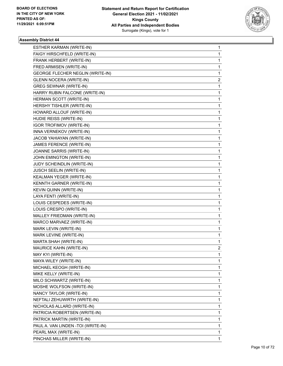

| ESTHER KARMAN (WRITE-IN)            | 1 |
|-------------------------------------|---|
| FAIGY HIRSCHFELD (WRITE-IN)         | 1 |
| FRANK HERBERT (WRITE-IN)            | 1 |
| FRED ARMISEN (WRITE-IN)             | 1 |
| GEORGE FLECHER NEGLIN (WRITE-IN)    | 1 |
| <b>GLENN NOCERA (WRITE-IN)</b>      | 2 |
| <b>GREG SEWNAR (WRITE-IN)</b>       | 1 |
| HARRY RUBIN FALCONE (WRITE-IN)      | 1 |
| HERMAN SCOTT (WRITE-IN)             | 1 |
| HERSHY TISHLER (WRITE-IN)           | 1 |
| HOWARD ALLOUF (WRITE-IN)            | 1 |
| HUDIE REISS (WRITE-IN)              | 1 |
| <b>IGOR TROFIMOV (WRITE-IN)</b>     | 1 |
| INNA VERNEKOV (WRITE-IN)            | 1 |
| JACOB YAHIAYAN (WRITE-IN)           | 1 |
| JAMES FERENCE (WRITE-IN)            | 1 |
| JOANNE SARRIS (WRITE-IN)            | 1 |
| JOHN EMINGTON (WRITE-IN)            | 1 |
| JUDY SCHEINDLIN (WRITE-IN)          | 1 |
| JUSCH SEELIN (WRITE-IN)             | 1 |
| KEALMAN YEGER (WRITE-IN)            | 1 |
| KENNTH GARNER (WRITE-IN)            | 1 |
| KEVIN QUINN (WRITE-IN)              | 1 |
| LAYA FENTI (WRITE-IN)               | 1 |
| LOUIS CESPEDES (WRITE-IN)           | 1 |
| LOUIS CRESPO (WRITE-IN)             | 1 |
| MALLEY FRIEDMAN (WRITE-IN)          | 1 |
| MARCO MARVAEZ (WRITE-IN)            | 1 |
| MARK LEVIN (WRITE-IN)               | 1 |
| MARK LEVINE (WRITE-IN)              | 1 |
| MARTA SHAH (WRITE-IN)               | 1 |
| MAURICE KAHN (WRITE-IN)             | 2 |
| MAY KYI (WRITE-IN)                  | 1 |
| MAYA WILEY (WRITE-IN)               | 1 |
| MICHAEL KEOGH (WRITE-IN)            | 1 |
| MIKE KELLY (WRITE-IN)               | 1 |
| MILO SCHWARTZ (WRITE-IN)            | 1 |
| MOSHE WOLFSON (WRITE-IN)            | 1 |
| NANCY TAYLOR (WRITE-IN)             | 1 |
| NEFTALI ZEHUWIRTH (WRITE-IN)        | 1 |
| NICHOLAS ALLARD (WRITE-IN)          | 1 |
| PATRICIA ROBERTSEN (WRITE-IN)       | 1 |
| PATRICK MARTIN (WRITE-IN)           | 1 |
| PAUL A. VAN LINDEN - TOI (WRITE-IN) | 1 |
| PEARL MAX (WRITE-IN)                | 1 |
| PINCHAS MILLER (WRITE-IN)           | 1 |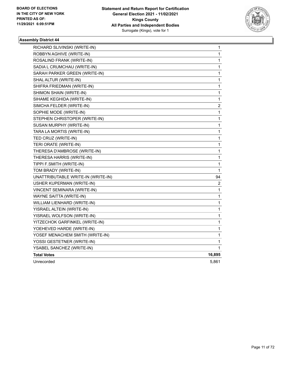

| RICHARD SLIVINSKI (WRITE-IN)       | $\mathbf{1}$            |
|------------------------------------|-------------------------|
| ROBBYN AGHIVE (WRITE-IN)           | 1                       |
| ROSALIND FRANK (WRITE-IN)          | $\mathbf{1}$            |
| SADIA L CRUMCHAU (WRITE-IN)        | 1                       |
| SARAH PARKER GREEN (WRITE-IN)      | 1                       |
| SHAL ALTUR (WRITE-IN)              | 1                       |
| SHIFRA FRIEDMAN (WRITE-IN)         | 1                       |
| SHIMON SHAIN (WRITE-IN)            | 1                       |
| SIHAME KEGHIDA (WRITE-IN)          | 1                       |
| SIMCHA FELDER (WRITE-IN)           | $\overline{\mathbf{c}}$ |
| SOPHIE MODE (WRITE-IN)             | 1                       |
| STEPHEN CHRISTOPER (WRITE-IN)      | 1                       |
| SUSAN MURPHY (WRITE-IN)            | 1                       |
| TARA LA MORTIS (WRITE-IN)          | 1                       |
| TED CRUZ (WRITE-IN)                | 1                       |
| TERI ORATE (WRITE-IN)              | 1                       |
| THERESA D'AMBROSE (WRITE-IN)       | $\mathbf{1}$            |
| THERESA HARRIS (WRITE-IN)          | 1                       |
| TIPPI F.SMITH (WRITE-IN)           | 1                       |
| TOM BRADY (WRITE-IN)               | 1                       |
| UNATTRIBUTABLE WRITE-IN (WRITE-IN) | 94                      |
| USHER KUPERMAN (WRITE-IN)          | 2                       |
| VINCENT SEMINARA (WRITE-IN)        | 1                       |
| WAYNE SAITTA (WRITE-IN)            | $\mathbf{1}$            |
| WILLIAM LIENHARD (WRITE-IN)        | $\mathbf{1}$            |
| YISRAEL ALTEIN (WRITE-IN)          | 1                       |
| YISRAEL WOLFSON (WRITE-IN)         | 1                       |
| YITZECHOK GARFINKEL (WRITE-IN)     | 1                       |
| YOEHEVED HARDE (WRITE-IN)          | 1                       |
| YOSEF MENACHEM SMITH (WRITE-IN)    | 1                       |
| YOSSI GESTETNER (WRITE-IN)         | 1                       |
| YSABEL SANCHEZ (WRITE-IN)          | 1                       |
| <b>Total Votes</b>                 | 16,895                  |
| Unrecorded                         | 5,861                   |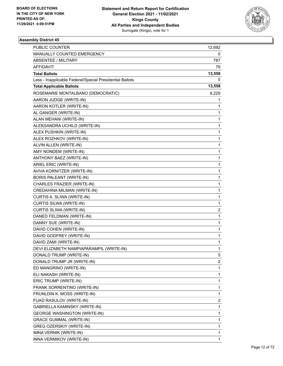

| PUBLIC COUNTER                                           | 12,692       |
|----------------------------------------------------------|--------------|
| MANUALLY COUNTED EMERGENCY                               | 0            |
| ABSENTEE / MILITARY                                      | 787          |
| AFFIDAVIT                                                | 79           |
| <b>Total Ballots</b>                                     | 13,558       |
| Less - Inapplicable Federal/Special Presidential Ballots | 0            |
| <b>Total Applicable Ballots</b>                          | 13,558       |
| ROSEMARIE MONTALBANO (DEMOCRATIC)                        | 6,229        |
| AARON JUDGE (WRITE-IN)                                   | 1            |
| AARON KOTLER (WRITE-IN)                                  | 1            |
| AL GANGER (WRITE-IN)                                     | 1            |
| ALAN MEHANI (WRITE-IN)                                   | 1            |
| ALEKSANDRA UCHILD (WRITE-IN)                             | 1            |
| ALEX PUSHKIN (WRITE-IN)                                  | 1            |
| ALEX ROZHKOV (WRITE-IN)                                  | 1            |
| ALVIN ALLEN (WRITE-IN)                                   | 1            |
| AMY NONDEM (WRITE-IN)                                    | 1            |
| ANTHONY BAEZ (WRITE-IN)                                  | 1            |
| ARIEL ERIC (WRITE-IN)                                    | 1            |
| AVIVA KORNITZER (WRITE-IN)                               | 1            |
| <b>BORIS PALEANT (WRITE-IN)</b>                          | 1            |
| CHARLES FRAZIER (WRITE-IN)                               | 1            |
| CREDAHINA MILMAN (WRITE-IN)                              | 1            |
| CURTIS A. SLIWA (WRITE-IN)                               | 1            |
| CURTIS SILWA (WRITE-IN)                                  | 1            |
| CURTIS SLIWA (WRITE-IN)                                  | 2            |
| DANED FELDMAN (WRITE-IN)                                 | 1            |
| DANNY SUE (WRITE-IN)                                     | 1            |
| DAVID COHEN (WRITE-IN)                                   | 1            |
| DAVID GODFREY (WRITE-IN)                                 | $\mathbf{1}$ |
| DAVID ZAMI (WRITE-IN)                                    | 1            |
| DEVI ELIZABETH NAMPIAPARAMPIL (WRITE-IN)                 | 1            |
| DONALD TRUMP (WRITE-IN)                                  | 5            |
| DONALD TRUMP JR (WRITE-IN)                               | 2            |
| ED MANGRINO (WRITE-IN)                                   | 1            |
| ELI NAKASH (WRITE-IN)                                    | $\mathbf{1}$ |
| ERIC TRUMP (WRITE-IN)                                    | 1            |
| FRANK SORRENTINO (WRITE-IN)                              | 1            |
| FRUNLDIN K. MOSS (WRITE-IN)                              | 1            |
| FUAD RASULOV (WRITE-IN)                                  | 2            |
| GABRIELLA KAMINSKY (WRITE-IN)                            | 1            |
| <b>GEORGE WASHINGTON (WRITE-IN)</b>                      | 1            |
| <b>GRACE GUMMAL (WRITE-IN)</b>                           | 1            |
| GREG OZERSKIY (WRITE-IN)                                 | 1            |
| IMNA VERNIK (WRITE-IN)                                   | 1            |
| INNA VERMIKOV (WRITE-IN)                                 | 1            |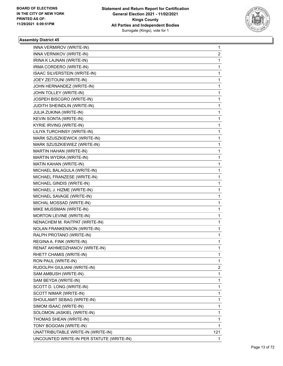

| INNA VERMIROV (WRITE-IN)                  | 1   |
|-------------------------------------------|-----|
| INNA VERNIKOV (WRITE-IN)                  | 2   |
| IRINA K LAJNAN (WRITE-IN)                 | 1   |
| IRMA CORDERO (WRITE-IN)                   | 1   |
| ISAAC SILVERSTEIN (WRITE-IN)              | 1   |
| JOEY ZEITOUNI (WRITE-IN)                  | 1   |
| JOHN HERNANDEZ (WRITE-IN)                 | 1   |
| JOHN TOLLEY (WRITE-IN)                    | 1   |
| JOSPEH BISCGRO (WRITE-IN)                 | 1   |
| JUDITH SHEINDLIN (WRITE-IN)               | 1   |
| JULIA ZUKINA (WRITE-IN)                   | 1   |
| KEVIN SONTA (WRITE-IN)                    | 1   |
| KYRIE IRVING (WRITE-IN)                   | 1   |
| LILIYA TURCHINSY (WRITE-IN)               | 1   |
| MARK SZUSZKIEWICK (WRITE-IN)              | 1   |
| MARK SZUSZKIEWIEZ (WRITE-IN)              | 1   |
| MARTIN HAHAN (WRITE-IN)                   | 1   |
| MARTIN WYDRA (WRITE-IN)                   | 1   |
| MATIN KAHAN (WRITE-IN)                    | 1   |
| MICHAEL BALAGULA (WRITE-IN)               | 1   |
| MICHAEL FRANZESE (WRITE-IN)               | 1   |
| MICHAEL GINDIS (WRITE-IN)                 | 1   |
| MICHAEL J. HIZME (WRITE-IN)               | 1   |
| MICHAEL SAVAGE (WRITE-IN)                 | 1   |
| MICHAL MOSSAD (WRITE-IN)                  | 1   |
| MIKE MUSSMAN (WRITE-IN)                   | 1   |
| MORTON LEVINE (WRITE-IN)                  | 1   |
| NENACHEM M. RAITPAT (WRITE-IN)            | 1   |
| <b>NOLAN FRANKENSON (WRITE-IN)</b>        | 1   |
| RALPH PROTANO (WRITE-IN)                  | 1   |
| REGINA A. FINK (WRITE-IN)                 | 1   |
| RENAT AKHMEDZHANOV (WRITE-IN)             | 1   |
| RHETT CHAMIS (WRITE-IN)                   | 1   |
| RON PAUL (WRITE-IN)                       | 1   |
| RUDOLPH GIULIANI (WRITE-IN)               | 2   |
| SAM AMBUSH (WRITE-IN)                     | 1   |
| SAM BEYDA (WRITE-IN)                      | 1   |
| SCOTT D. LONG (WRITE-IN)                  | 1   |
| SCOTT NIMAR (WRITE-IN)                    | 1   |
| SHOULAMIT SEBAG (WRITE-IN)                | 1   |
| SIMOM ISAAC (WRITE-IN)                    | 1   |
| SOLOMON JASKIEL (WRITE-IN)                | 1   |
| THOMAS SHEAN (WRITE-IN)                   | 1   |
| TONY BOGOAN (WRITE-IN)                    | 1   |
| UNATTRIBUTABLE WRITE-IN (WRITE-IN)        | 121 |
| UNCOUNTED WRITE-IN PER STATUTE (WRITE-IN) | 1   |
|                                           |     |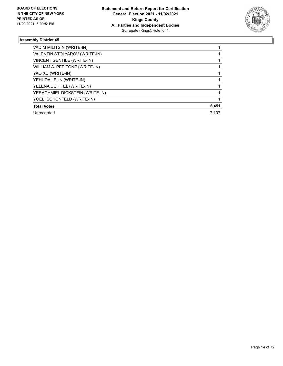

| VADIM MILITSIN (WRITE-IN)       |       |
|---------------------------------|-------|
| VALENTIN STOLYAROV (WRITE-IN)   |       |
| VINCENT GENTILE (WRITE-IN)      |       |
| WILLIAM A. PEPITONE (WRITE-IN)  |       |
| YAO XU (WRITE-IN)               |       |
| YEHUDA LEUN (WRITE-IN)          |       |
| YELENA UCHITEL (WRITE-IN)       |       |
| YERACHMIEL DICKSTEIN (WRITE-IN) |       |
| YOELI SCHONFELD (WRITE-IN)      |       |
| <b>Total Votes</b>              | 6,451 |
| Unrecorded                      | 7.107 |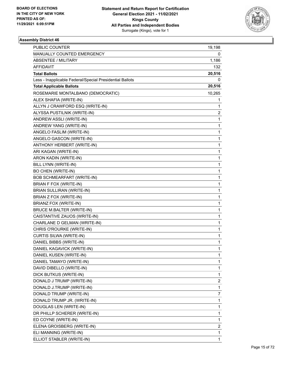

| <b>PUBLIC COUNTER</b>                                    | 19,198       |
|----------------------------------------------------------|--------------|
| MANUALLY COUNTED EMERGENCY                               | 0            |
| <b>ABSENTEE / MILITARY</b>                               | 1,186        |
| AFFIDAVIT                                                | 132          |
| <b>Total Ballots</b>                                     | 20,516       |
| Less - Inapplicable Federal/Special Presidential Ballots | 0            |
| <b>Total Applicable Ballots</b>                          | 20,516       |
| ROSEMARIE MONTALBANO (DEMOCRATIC)                        | 10,265       |
| ALEX SHAFIA (WRITE-IN)                                   | 1            |
| ALLYN J CRAWFORD ESQ (WRITE-IN)                          | 1            |
| ALYSSA PUSTILNIK (WRITE-IN)                              | 2            |
| ANDREW ASSLI (WRITE-IN)                                  | 1            |
| ANDREW YANG (WRITE-IN)                                   | 1            |
| ANGELO FASLIM (WRITE-IN)                                 | 1            |
| ANGELO GASCON (WRITE-IN)                                 | 1            |
| ANTHONY HERBERT (WRITE-IN)                               | 1            |
| ARI KAGAN (WRITE-IN)                                     | 1            |
| ARON KADIN (WRITE-IN)                                    | 1            |
| BILL LYNN (WRITE-IN)                                     | 1            |
| <b>BO CHEN (WRITE-IN)</b>                                | 1            |
| BOB SCHMEARFART (WRITE-IN)                               | 1            |
| BRIAN F FOX (WRITE-IN)                                   | 1            |
| BRIAN SULLIRAN (WRITE-IN)                                | 1            |
| BRIAN Z FOX (WRITE-IN)                                   | 1            |
| BRIANZ FOX (WRITE-IN)                                    | 1            |
| <b>BRUCE M.BALTER (WRITE-IN)</b>                         | 1            |
| CAISTANTIVE ZAUOS (WRITE-IN)                             | 1            |
| CHARLANE D GELMAN (WRITE-IN)                             | 1            |
| CHRIS O'ROURKE (WRITE-IN)                                | 1            |
| <b>CURTIS SILWA (WRITE-IN)</b>                           | 1            |
| DANIEL BIBBS (WRITE-IN)                                  | 1            |
| DANIEL KAGAVICK (WRITE-IN)                               | 1            |
| DANIEL KUSEN (WRITE-IN)                                  | 1            |
| DANIEL TAMAYO (WRITE-IN)                                 | 1            |
| DAVID DIBELLO (WRITE-IN)                                 | 1            |
| DICK BUTKUS (WRITE-IN)                                   | $\mathbf{1}$ |
| DONALD J TRUMP (WRITE-IN)                                | 2            |
| DONALD J.TRUMP (WRITE-IN)                                | 1            |
| DONALD TRUMP (WRITE-IN)                                  | 7            |
| DONALD TRUMP JR. (WRITE-IN)                              | 1            |
| DOUGLAS LEN (WRITE-IN)                                   | 1            |
| DR PHILLP SCHERER (WRITE-IN)                             | 1            |
| ED COYNE (WRITE-IN)                                      | 1            |
| ELENA GROISBERG (WRITE-IN)                               | 2            |
| ELI MANNING (WRITE-IN)                                   | 1            |
| ELLIOT STABLER (WRITE-IN)                                | 1            |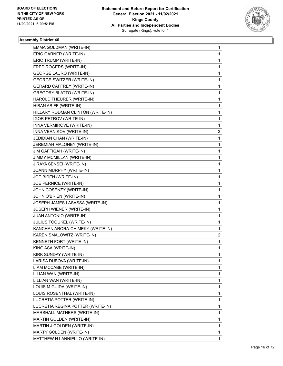

| EMMA GOLDMAN (WRITE-IN)           | 1 |
|-----------------------------------|---|
| ERIC GARNER (WRITE-IN)            | 1 |
| ERIC TRUMP (WRITE-IN)             | 1 |
| FRED ROGERS (WRITE-IN)            | 1 |
| <b>GEORGE LAURO (WRITE-IN)</b>    | 1 |
| GEORGE SWITZER (WRITE-IN)         | 1 |
| <b>GERARD CAFFREY (WRITE-IN)</b>  | 1 |
| <b>GREGORY BLATTO (WRITE-IN)</b>  | 1 |
| HAROLD THEURER (WRITE-IN)         | 1 |
| HIBAN ABIFF (WRITE-IN)            | 1 |
| HILLARY RODMAN CLINTON (WRITE-IN) | 1 |
| <b>IGOR PETROV (WRITE-IN)</b>     | 1 |
| INNA VERMIROVE (WRITE-IN)         | 1 |
| INNA VERNIKOV (WRITE-IN)          | 3 |
| JEDIDIAN CHAN (WRITE-IN)          | 1 |
| JEREMIAH MALONEY (WRITE-IN)       | 1 |
| JIM GAFFIGAH (WRITE-IN)           | 1 |
| JIMMY MCMILLAN (WRITE-IN)         | 1 |
| JIRAYA SENSEI (WRITE-IN)          | 1 |
| JOANN MURPHY (WRITE-IN)           | 1 |
| JOE BIDEN (WRITE-IN)              | 1 |
| JOE PERNICE (WRITE-IN)            | 1 |
| JOHN COSENZY (WRITE-IN)           | 1 |
| JOHN O'BRIEN (WRITE-IN)           | 1 |
| JOSEPH JAMES LASASSA (WRITE-IN)   | 1 |
| JOSEPH WIENER (WRITE-IN)          | 1 |
| JUAN ANTONIO (WRITE-IN)           | 1 |
| JULIUS TOOUKEL (WRITE-IN)         | 1 |
| KANCHAN ARORA-CHIMEKY (WRITE-IN)  | 1 |
| KAREN SMALOWITZ (WRITE-IN)        | 2 |
| KENNETH FORT (WRITE-IN)           | 1 |
| KING ASA (WRITE-IN)               | 1 |
| KIRK SUNDAY (WRITE-IN)            | 1 |
| LARISA DUBOVA (WRITE-IN)          | 1 |
| LIAM MCCABE (WRITE-IN)            | 1 |
| LILIAN WAN (WRITE-IN)             | 1 |
| LILLIAN WAN (WRITE-IN)            | 1 |
| LOUIS M GUIDA (WRITE-IN)          | 1 |
| LOUIS ROSENTHAL (WRITE-IN)        | 1 |
| LUCRETIA POTTER (WRITE-IN)        | 1 |
| LUCRETIA REGINA POTTER (WRITE-IN) | 1 |
| MARSHALL MATHERS (WRITE-IN)       | 1 |
| MARTIN GOLDEN (WRITE-IN)          | 1 |
| MARTIN J GOLDEN (WRITE-IN)        | 1 |
| MARTY GOLDEN (WRITE-IN)           | 1 |
| MATTHEW H LANNIELLO (WRITE-IN)    | 1 |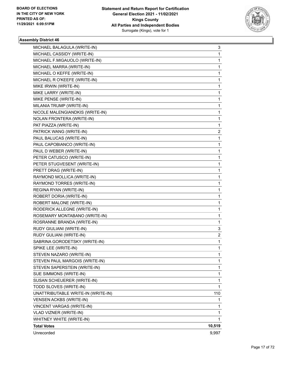

| MICHAEL BALAGULA (WRITE-IN)        | 3      |
|------------------------------------|--------|
| MICHAEL CASSIDY (WRITE-IN)         | 1      |
| MICHAEL F.MIGAUOLO (WRITE-IN)      | 1      |
| MICHAEL MARRA (WRITE-IN)           | 1      |
| MICHAEL O KEFFE (WRITE-IN)         | 1      |
| MICHAEL R O'KEEFE (WRITE-IN)       | 1      |
| MIKE IRWIN (WRITE-IN)              | 1      |
| MIKE LARRY (WRITE-IN)              | 1      |
| MIKE PENSE (WRITE-IN)              | 1      |
| MILANIA TRUMP (WRITE-IN)           | 1      |
| NICOLE MALENGIANDKIS (WRITE-IN)    | 1      |
| NOLAN FRONTERA (WRITE-IN)          | 1      |
| PAT PIAZZA (WRITE-IN)              | 1      |
| PATRICK WANG (WRITE-IN)            | 2      |
| PAUL BALUCAS (WRITE-IN)            | 1      |
| PAUL CAPOBIANCO (WRITE-IN)         | 1      |
| PAUL D WEBER (WRITE-IN)            | 1      |
| PETER CATUSCO (WRITE-IN)           | 1      |
| PETER STUGVESENT (WRITE-IN)        | 1      |
| PRETT DRAG (WRITE-IN)              | 1      |
| RAYMOND MOLLICA (WRITE-IN)         | 1      |
| RAYMOND TORRES (WRITE-IN)          | 1      |
| REGINA RYAN (WRITE-IN)             | 1      |
| ROBERT DORIA (WRITE-IN)            | 1      |
| ROBERT MALONE (WRITE-IN)           | 1      |
| RODERICK ALLEGNE (WRITE-IN)        | 1      |
| ROSEMARY MONTABANO (WRITE-IN)      | 1      |
| ROSRANNE BRANDA (WRITE-IN)         | 1      |
| RUDY GIULIANI (WRITE-IN)           | 3      |
| RUDY GULIANI (WRITE-IN)            | 2      |
| SABRINA GORODETSKY (WRITE-IN)      | 1      |
| SPIKE LEE (WRITE-IN)               | 1      |
| STEVEN NAZARO (WRITE-IN)           | 1      |
| STEVEN PAUL MARGOIS (WRITE-IN)     | 1      |
| STEVEN SAPERSTEIN (WRITE-IN)       | 1      |
| SUE SIMMONS (WRITE-IN)             | 1      |
| SUSAN SCHEUERER (WRITE-IN)         | 1      |
| TODD SLOVES (WRITE-IN)             | 1      |
| UNATTRIBUTABLE WRITE-IN (WRITE-IN) | 110    |
| VENSEN ACKBS (WRITE-IN)            | 1      |
| VINCENT VARGAS (WRITE-IN)          | 1      |
| VLAD VIZNER (WRITE-IN)             | 1      |
| WHITNEY WHITE (WRITE-IN)           | 1      |
| <b>Total Votes</b>                 | 10,519 |
| Unrecorded                         | 9,997  |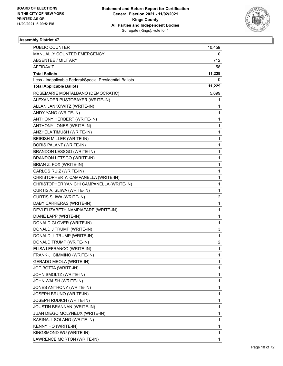

| <b>PUBLIC COUNTER</b>                                    | 10,459 |
|----------------------------------------------------------|--------|
| MANUALLY COUNTED EMERGENCY                               | 0      |
| <b>ABSENTEE / MILITARY</b>                               | 712    |
| AFFIDAVIT                                                | 58     |
| <b>Total Ballots</b>                                     | 11,229 |
| Less - Inapplicable Federal/Special Presidential Ballots | 0      |
| <b>Total Applicable Ballots</b>                          | 11,229 |
| ROSEMARIE MONTALBANO (DEMOCRATIC)                        | 5,699  |
| ALEXANDER PUSTOBAYER (WRITE-IN)                          | 1      |
| ALLAN JANKOWITZ (WRITE-IN)                               | 1      |
| ANDY YANG (WRITE-IN)                                     | 1      |
| ANTHONY HERBERT (WRITE-IN)                               | 1      |
| ANTHONY JONES (WRITE-IN)                                 | 1      |
| ANZHELA TIMUSH (WRITE-IN)                                | 1      |
| BEIRISH MILLER (WRITE-IN)                                | 1      |
| BORIS PALANT (WRITE-IN)                                  | 1      |
| BRANDON LESSGO (WRITE-IN)                                | 1      |
| <b>BRANDON LETSGO (WRITE-IN)</b>                         | 1      |
| BRIAN Z. FOX (WRITE-IN)                                  | 1      |
| CARLOS RUIZ (WRITE-IN)                                   | 1      |
| CHRISTOPHER Y. CAMPANELLA (WRITE-IN)                     | 1      |
| CHRISTOPHER YAN CHI CAMPANELLA (WRITE-IN)                | 1      |
| CURTIS A. SLIWA (WRITE-IN)                               | 1      |
| CURTIS SLIWA (WRITE-IN)                                  | 2      |
| DABY CARRERAS (WRITE-IN)                                 | 1      |
| DEVI ELIZABETH NAMPIAPARE (WRITE-IN)                     | 1      |
| DIANE LAPP (WRITE-IN)                                    | 1      |
| DONALD GLOVER (WRITE-IN)                                 | 1      |
| DONALD J TRUMP (WRITE-IN)                                | 3      |
| DONALD J. TRUMP (WRITE-IN)                               | 1      |
| DONALD TRUMP (WRITE-IN)                                  | 2      |
| ELISA LEFRANCO (WRITE-IN)                                | 1      |
| FRANK J. CIMMINO (WRITE-IN)                              | 1      |
| <b>GERADO MEOLA (WRITE-IN)</b>                           | 1      |
| JOE BOTTA (WRITE-IN)                                     | 1      |
| JOHN SMOLTZ (WRITE-IN)                                   | 1      |
| JOHN WALSH (WRITE-IN)                                    | 1      |
| JONES ANTHONY (WRITE-IN)                                 | 1      |
| JOSEPH BRUNO (WRITE-IN)                                  | 1      |
| JOSEPH RUDICH (WRITE-IN)                                 | 1      |
| JOUSTIN BRANNAN (WRITE-IN)                               | 1      |
| JUAN DIEGO MOLYNEUX (WRITE-IN)                           | 1      |
| KARINA J. SOLANO (WRITE-IN)                              | 1      |
| KENNY HO (WRITE-IN)                                      | 1      |
| KINGSMOND WU (WRITE-IN)                                  | 1      |
| LAWRENCE MORTON (WRITE-IN)                               | 1      |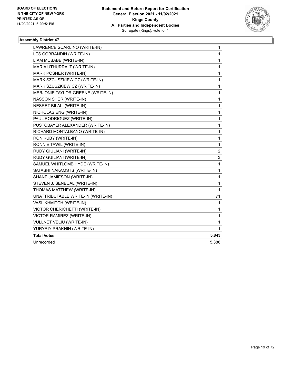

| LAWRENCE SCARLINO (WRITE-IN)       | 1            |
|------------------------------------|--------------|
| LES COBRANDIN (WRITE-IN)           | 1            |
| LIAM MCBABE (WRITE-IN)             | 1            |
| MARIA UTHURRALT (WRITE-IN)         | 1            |
| MARK POSNER (WRITE-IN)             | 1            |
| MARK SZCUSZKIEWICZ (WRITE-IN)      | 1            |
| MARK SZUSZKIEWICZ (WRITE-IN)       | 1            |
| MERJONIE TAYLOR GREENE (WRITE-IN)  | 1            |
| NASSON SHER (WRITE-IN)             | 1            |
| <b>NESRET BILALI (WRITE-IN)</b>    | 1            |
| NICHOLAS ENG (WRITE-IN)            | 1            |
| PAUL RODRIGUEZ (WRITE-IN)          | $\mathbf 1$  |
| PUSTOBAYER ALEXANDER (WRITE-IN)    | $\mathbf 1$  |
| RICHARD MONTALBANO (WRITE-IN)      | 1            |
| RON KUBY (WRITE-IN)                | 1            |
| RONNIE TAWIL (WRITE-IN)            | $\mathbf{1}$ |
| RUDY GIULIANI (WRITE-IN)           | 2            |
| RUDY GUILIANI (WRITE-IN)           | 3            |
| SAMUEL WHITLOMB HYDE (WRITE-IN)    | 1            |
| SATASHI NAKAMSTS (WRITE-IN)        | 1            |
| SHANE JAMIESON (WRITE-IN)          | 1            |
| STEVEN J. SENECAL (WRITE-IN)       | 1            |
| THOMAS MATTHEW (WRITE-IN)          | $\mathbf{1}$ |
| UNATTRIBUTABLE WRITE-IN (WRITE-IN) | 71           |
| VASL KHMITCH (WRITE-IN)            | 1            |
| VICTOR CHERICHETTI (WRITE-IN)      | 1            |
| VICTOR RAMIREZ (WRITE-IN)          | 1            |
| <b>VULLNET VELIU (WRITE-IN)</b>    | $\mathbf{1}$ |
| YURYRIY PRAKHIN (WRITE-IN)         | 1            |
| <b>Total Votes</b>                 | 5,843        |
| Unrecorded                         | 5,386        |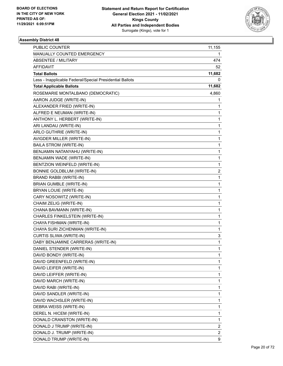

| <b>PUBLIC COUNTER</b>                                    | 11,155 |
|----------------------------------------------------------|--------|
| MANUALLY COUNTED EMERGENCY                               | 1.     |
| ABSENTEE / MILITARY                                      | 474    |
| AFFIDAVIT                                                | 52     |
| <b>Total Ballots</b>                                     | 11,682 |
| Less - Inapplicable Federal/Special Presidential Ballots | 0      |
| <b>Total Applicable Ballots</b>                          | 11,682 |
| ROSEMARIE MONTALBANO (DEMOCRATIC)                        | 4,860  |
| AARON JUDGE (WRITE-IN)                                   | 1      |
| ALEXANDER FRIED (WRITE-IN)                               | 1      |
| ALFRED E NEUMAN (WRITE-IN)                               | 1      |
| ANTHONY L. HERBERT (WRITE-IN)                            | 1      |
| ARI LANDAU (WRITE-IN)                                    | 1      |
| ARLO GUTHRIE (WRITE-IN)                                  | 1      |
| AVIGDER MILLER (WRITE-IN)                                | 1      |
| <b>BAILA STROM (WRITE-IN)</b>                            | 1      |
| BENJAMIN NATANYAHU (WRITE-IN)                            | 1      |
| BENJAMIN WADE (WRITE-IN)                                 | 1      |
| BENTZION WEINFELD (WRITE-IN)                             | 1      |
| <b>BONNIE GOLDBLUM (WRITE-IN)</b>                        | 2      |
| BRAND RABBI (WRITE-IN)                                   | 1      |
| <b>BRIAN GUMBLE (WRITE-IN)</b>                           | 1      |
| BRYAN LOUIE (WRITE-IN)                                   | 1      |
| CARY NOSOWITZ (WRITE-IN)                                 | 1      |
| CHAIM ZELIG (WRITE-IN)                                   | 1      |
| CHANA BAVMANN (WRITE-IN)                                 | 1      |
| CHARLES FINKELSTEIN (WRITE-IN)                           | 1      |
| CHAYA FISHMAN (WRITE-IN)                                 | 1      |
| CHAYA SURI ZICHENMAN (WRITE-IN)                          | 1      |
| CURTIS SLIWA (WRITE-IN)                                  | 3      |
| DABY BENJAMINE CARRERAS (WRITE-IN)                       | 1      |
| DANIEL STENDER (WRITE-IN)                                | 1      |
| DAVID BONDY (WRITE-IN)                                   | 1      |
| DAVID GREENFELD (WRITE-IN)                               | 1      |
| DAVID LEIFER (WRITE-IN)                                  | 1      |
| DAVID LEIFFER (WRITE-IN)                                 | 1      |
| DAVID MARCH (WRITE-IN)                                   | 1      |
| DAVID RABI (WRITE-IN)                                    | 1      |
| DAVID SANDLER (WRITE-IN)                                 | 1      |
| DAVID WACHSLER (WRITE-IN)                                | 1      |
| DEBRA WEISS (WRITE-IN)                                   | 1      |
| DEREL N. HICEM (WRITE-IN)                                | 1      |
| DONALD CRANSTON (WRITE-IN)                               | 1      |
| DONALD J TRUMP (WRITE-IN)                                | 2      |
| DONALD J. TRUMP (WRITE-IN)                               | 2      |
| DONALD TRUMP (WRITE-IN)                                  | 9      |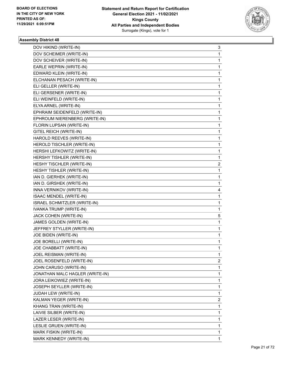

| DOV HIKIND (WRITE-IN)           | 3            |
|---------------------------------|--------------|
| DOV SCHEIMER (WRITE-IN)         | 1            |
| DOV SCHEIVER (WRITE-IN)         | 1            |
| EARLE WEPRIN (WRITE-IN)         | 1            |
| EDWARD KLEIN (WRITE-IN)         | 1            |
| ELCHANAN PESACH (WRITE-IN)      | 1            |
| ELI GELLER (WRITE-IN)           | 1            |
| ELI GERSENER (WRITE-IN)         | 1            |
| ELI WEINFELD (WRITE-IN)         | 1            |
| ELYA ARNEL (WRITE-IN)           | 1            |
| EPHRAIM SEIDENFELD (WRITE-IN)   | 1            |
| EPHROUM NIERENBERG (WRITE-IN)   | 1            |
| FLORIN LUPSAN (WRITE-IN)        | 1            |
| GITEL REICH (WRITE-IN)          | 1            |
| HAROLD REEVES (WRITE-IN)        | 1            |
| HEROLD TISCHLER (WRITE-IN)      | 1            |
| HERSHI LEFKOWITZ (WRITE-IN)     | 1            |
| HERSHY TISHLER (WRITE-IN)       | 1            |
| HESHY TISCHLER (WRITE-IN)       | 2            |
| HESHY TISHLER (WRITE-IN)        | 1            |
| IAN D. GIERHEK (WRITE-IN)       | 1            |
| IAN D. GIRSHEK (WRITE-IN)       | 1            |
| INNA VERNIKOV (WRITE-IN)        | 4            |
| ISAAC MENDEL (WRITE-IN)         | 1            |
| ISRAEL SCHMITZLER (WRITE-IN)    | 1            |
| IVANKA TRUMP (WRITE-IN)         | 1            |
| JACK COHEN (WRITE-IN)           | 5            |
| JAMES GOLDEN (WRITE-IN)         | 1            |
| JEFFREY STYLLER (WRITE-IN)      | 1            |
| JOE BIDEN (WRITE-IN)            | 1            |
| JOE BORELLI (WRITE-IN)          | 1            |
| JOE CHABBATT (WRITE-IN)         | $\mathbf{1}$ |
| JOEL REISMAN (WRITE-IN)         | 1            |
| JOEL ROSENFELD (WRITE-IN)       | 2            |
| JOHN CARUSO (WRITE-IN)          | 1            |
| JONATHAN MALC HAGLER (WRITE-IN) | 1            |
| JORA LEIKOWIEZ (WRITE-IN)       | 1            |
| JOSEPH SEYLLER (WRITE-IN)       | 1            |
| JUDAH LEW (WRITE-IN)            | 1            |
| KALMAN YEGER (WRITE-IN)         | 2            |
| KHANG TRAN (WRITE-IN)           | 1            |
| LAIVIE SILBER (WRITE-IN)        | 1            |
| LAZER LESER (WRITE-IN)          | 1            |
| LESLIE GRUEN (WRITE-IN)         | 1            |
| MARK FISKIN (WRITE-IN)          | 1            |
| MARK KENNEDY (WRITE-IN)         | 1            |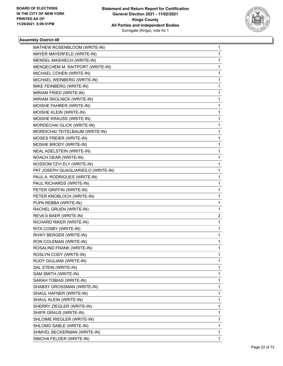

| MATHEW ROSENBLOOM (WRITE-IN)        | 1 |
|-------------------------------------|---|
| MAYER MAYERFELD (WRITE-IN)          | 1 |
| MENDEL MASHIECH (WRITE-IN)          | 1 |
| MENQECHEM M. RAITPORT (WRITE-IN)    | 1 |
| MICHAEL COHEN (WRITE-IN)            | 1 |
| MICHAEL WEINBERG (WRITE-IN)         | 1 |
| MIKE FEINBERG (WRITE-IN)            | 1 |
| MIRIAM FRIED (WRITE-IN)             | 1 |
| MIRIAM SKOLNICK (WRITE-IN)          | 1 |
| MOISHE FAHRER (WRITE-IN)            | 1 |
| MOISHE KLEIN (WRITE-IN)             | 1 |
| MOISHE KRAUSS (WRITE-IN)            | 1 |
| MORDECHAI GLICK (WRITE-IN)          | 1 |
| MORDICHAI TEITELBAUM (WRITE-IN)     | 1 |
| MOSES FREIER (WRITE-IN)             | 1 |
| MOSHE BRODY (WRITE-IN)              | 1 |
| NEAL ADELSTEIN (WRITE-IN)           | 1 |
| NOACH DEAR (WRITE-IN)               | 1 |
| NOSSOM TZVI ELY (WRITE-IN)          | 1 |
| PAT JOSEPH QUAGLIARIEILO (WRITE-IN) | 1 |
| PAUL A. RODRIGUES (WRITE-IN)        | 1 |
| PAUL RICHARDS (WRITE-IN)            | 1 |
| PETER GRIFFIN (WRITE-IN)            | 1 |
| PETER KNOBLOCH (WRITE-IN)           | 1 |
| PUPA REBBA (WRITE-IN)               | 1 |
| RACHEL GRUEN (WRITE-IN)             | 1 |
| REVA S BAER (WRITE-IN)              | 2 |
| RICHARD RIKER (WRITE-IN)            | 1 |
| RITA COSBY (WRITE-IN)               | 1 |
| RIVKY BERGER (WRITE-IN)             | 1 |
| RON COLEMAN (WRITE-IN)              | 1 |
| ROSALIND FRANK (WRITE-IN)           | 1 |
| ROSLYN CODY (WRITE-IN)              | 1 |
| RUDY GIULIANI (WRITE-IN)            | 1 |
| SAL STEIN (WRITE-IN)                | 1 |
| SAM SMITH (WRITE-IN)                | 1 |
| SARAH TOBIAS (WRITE-IN)             | 1 |
| SHABSY GROSSMAN (WRITE-IN)          | 1 |
| SHAUL HAFNER (WRITE-IN)             | 1 |
| SHAUL KLEIN (WRITE-IN)              | 1 |
| SHERRY ZIEGLER (WRITE-IN)           | 1 |
| SHIFR GRAUS (WRITE-IN)              | 1 |
| SHLOIME RIEGLER (WRITE-IN)          | 1 |
| SHLOMO SABLE (WRITE-IN)             | 1 |
| SHMVEL BECKERMAN (WRITE-IN)         | 1 |
| SIMCHA FELDER (WRITE-IN)            | 1 |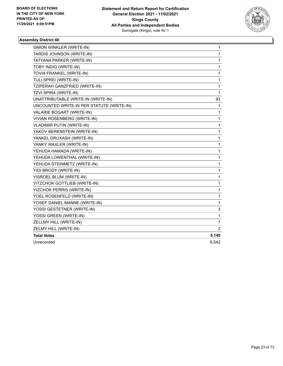

| TARDIS JOHNSON (WRITE-IN)<br>1<br>1<br>TATYANA PARKER (WRITE-IN)<br>TOBY INDIG (WRITE-IN)<br>1<br>TOVIA FRANKEL (WRITE-IN)<br>1<br>TULI SPREI (WRITE-IN)<br>1<br>TZIPERAH GANZFRIED (WRITE-IN)<br>1<br>TZVI SPIRA (WRITE-IN)<br>1<br>UNATTRIBUTABLE WRITE-IN (WRITE-IN)<br>93<br>UNCOUNTED WRITE-IN PER STATUTE (WRITE-IN)<br>1<br>VALARIE BOGART (WRITE-IN)<br>1<br>VIVIAN ROSENBERG (WRITE-IN)<br>1<br>1<br><b>VLADIMIR PUTIN (WRITE-IN)</b><br>YAKOV BERENSTEIN (WRITE-IN)<br>1<br>YANKEL DRUXASH (WRITE-IN)<br>1<br>YANKY WAXLER (WRITE-IN)<br>1<br>YEHUDA HAMADA (WRITE-IN)<br>1<br>YEHUDA LOWENTHAL (WRITE-IN)<br>1<br>YEHUDA STEINMETZ (WRITE-IN)<br>1<br>YIDI BRODY (WRITE-IN)<br>1<br>YISROEL BLUM (WRITE-IN)<br>1<br>YITZCHOK GOTTLIEB (WRITE-IN)<br>1<br>YIZCHOK PERRIS (WRITE-IN)<br>1<br>YOEL ROSENFELD (WRITE-IN)<br>1<br>YOSEF DANIEL MANNE (WRITE-IN)<br>1<br>YOSSI GESTETNER (WRITE-IN)<br>3<br>YOSSI GREEN (WRITE-IN)<br>1<br>ZELLMY HILL (WRITE-IN)<br>1<br>ZELMY HILL (WRITE-IN)<br>2<br><b>Total Votes</b><br>5,140<br>Unrecorded<br>6,542 | SIMON WINKLER (WRITE-IN) | 1 |
|-----------------------------------------------------------------------------------------------------------------------------------------------------------------------------------------------------------------------------------------------------------------------------------------------------------------------------------------------------------------------------------------------------------------------------------------------------------------------------------------------------------------------------------------------------------------------------------------------------------------------------------------------------------------------------------------------------------------------------------------------------------------------------------------------------------------------------------------------------------------------------------------------------------------------------------------------------------------------------------------------------------------------------------------------------------------|--------------------------|---|
|                                                                                                                                                                                                                                                                                                                                                                                                                                                                                                                                                                                                                                                                                                                                                                                                                                                                                                                                                                                                                                                                 |                          |   |
|                                                                                                                                                                                                                                                                                                                                                                                                                                                                                                                                                                                                                                                                                                                                                                                                                                                                                                                                                                                                                                                                 |                          |   |
|                                                                                                                                                                                                                                                                                                                                                                                                                                                                                                                                                                                                                                                                                                                                                                                                                                                                                                                                                                                                                                                                 |                          |   |
|                                                                                                                                                                                                                                                                                                                                                                                                                                                                                                                                                                                                                                                                                                                                                                                                                                                                                                                                                                                                                                                                 |                          |   |
|                                                                                                                                                                                                                                                                                                                                                                                                                                                                                                                                                                                                                                                                                                                                                                                                                                                                                                                                                                                                                                                                 |                          |   |
|                                                                                                                                                                                                                                                                                                                                                                                                                                                                                                                                                                                                                                                                                                                                                                                                                                                                                                                                                                                                                                                                 |                          |   |
|                                                                                                                                                                                                                                                                                                                                                                                                                                                                                                                                                                                                                                                                                                                                                                                                                                                                                                                                                                                                                                                                 |                          |   |
|                                                                                                                                                                                                                                                                                                                                                                                                                                                                                                                                                                                                                                                                                                                                                                                                                                                                                                                                                                                                                                                                 |                          |   |
|                                                                                                                                                                                                                                                                                                                                                                                                                                                                                                                                                                                                                                                                                                                                                                                                                                                                                                                                                                                                                                                                 |                          |   |
|                                                                                                                                                                                                                                                                                                                                                                                                                                                                                                                                                                                                                                                                                                                                                                                                                                                                                                                                                                                                                                                                 |                          |   |
|                                                                                                                                                                                                                                                                                                                                                                                                                                                                                                                                                                                                                                                                                                                                                                                                                                                                                                                                                                                                                                                                 |                          |   |
|                                                                                                                                                                                                                                                                                                                                                                                                                                                                                                                                                                                                                                                                                                                                                                                                                                                                                                                                                                                                                                                                 |                          |   |
|                                                                                                                                                                                                                                                                                                                                                                                                                                                                                                                                                                                                                                                                                                                                                                                                                                                                                                                                                                                                                                                                 |                          |   |
|                                                                                                                                                                                                                                                                                                                                                                                                                                                                                                                                                                                                                                                                                                                                                                                                                                                                                                                                                                                                                                                                 |                          |   |
|                                                                                                                                                                                                                                                                                                                                                                                                                                                                                                                                                                                                                                                                                                                                                                                                                                                                                                                                                                                                                                                                 |                          |   |
|                                                                                                                                                                                                                                                                                                                                                                                                                                                                                                                                                                                                                                                                                                                                                                                                                                                                                                                                                                                                                                                                 |                          |   |
|                                                                                                                                                                                                                                                                                                                                                                                                                                                                                                                                                                                                                                                                                                                                                                                                                                                                                                                                                                                                                                                                 |                          |   |
|                                                                                                                                                                                                                                                                                                                                                                                                                                                                                                                                                                                                                                                                                                                                                                                                                                                                                                                                                                                                                                                                 |                          |   |
|                                                                                                                                                                                                                                                                                                                                                                                                                                                                                                                                                                                                                                                                                                                                                                                                                                                                                                                                                                                                                                                                 |                          |   |
|                                                                                                                                                                                                                                                                                                                                                                                                                                                                                                                                                                                                                                                                                                                                                                                                                                                                                                                                                                                                                                                                 |                          |   |
|                                                                                                                                                                                                                                                                                                                                                                                                                                                                                                                                                                                                                                                                                                                                                                                                                                                                                                                                                                                                                                                                 |                          |   |
|                                                                                                                                                                                                                                                                                                                                                                                                                                                                                                                                                                                                                                                                                                                                                                                                                                                                                                                                                                                                                                                                 |                          |   |
|                                                                                                                                                                                                                                                                                                                                                                                                                                                                                                                                                                                                                                                                                                                                                                                                                                                                                                                                                                                                                                                                 |                          |   |
|                                                                                                                                                                                                                                                                                                                                                                                                                                                                                                                                                                                                                                                                                                                                                                                                                                                                                                                                                                                                                                                                 |                          |   |
|                                                                                                                                                                                                                                                                                                                                                                                                                                                                                                                                                                                                                                                                                                                                                                                                                                                                                                                                                                                                                                                                 |                          |   |
|                                                                                                                                                                                                                                                                                                                                                                                                                                                                                                                                                                                                                                                                                                                                                                                                                                                                                                                                                                                                                                                                 |                          |   |
|                                                                                                                                                                                                                                                                                                                                                                                                                                                                                                                                                                                                                                                                                                                                                                                                                                                                                                                                                                                                                                                                 |                          |   |
|                                                                                                                                                                                                                                                                                                                                                                                                                                                                                                                                                                                                                                                                                                                                                                                                                                                                                                                                                                                                                                                                 |                          |   |
|                                                                                                                                                                                                                                                                                                                                                                                                                                                                                                                                                                                                                                                                                                                                                                                                                                                                                                                                                                                                                                                                 |                          |   |
|                                                                                                                                                                                                                                                                                                                                                                                                                                                                                                                                                                                                                                                                                                                                                                                                                                                                                                                                                                                                                                                                 |                          |   |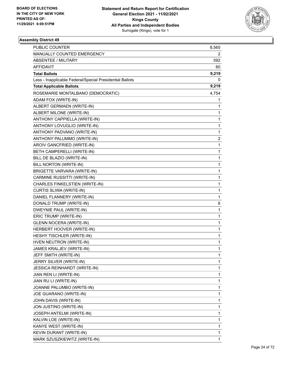

| MANUALLY COUNTED EMERGENCY<br>2<br><b>ABSENTEE / MILITARY</b><br>592<br><b>AFFIDAVIT</b><br>60<br>9,219<br><b>Total Ballots</b><br>Less - Inapplicable Federal/Special Presidential Ballots<br>0<br><b>Total Applicable Ballots</b><br>9,219<br>ROSEMARIE MONTALBANO (DEMOCRATIC)<br>4,754 |
|--------------------------------------------------------------------------------------------------------------------------------------------------------------------------------------------------------------------------------------------------------------------------------------------|
|                                                                                                                                                                                                                                                                                            |
|                                                                                                                                                                                                                                                                                            |
|                                                                                                                                                                                                                                                                                            |
|                                                                                                                                                                                                                                                                                            |
|                                                                                                                                                                                                                                                                                            |
|                                                                                                                                                                                                                                                                                            |
|                                                                                                                                                                                                                                                                                            |
| ADAM FOX (WRITE-IN)<br>1                                                                                                                                                                                                                                                                   |
| ALBERT GERMAEN (WRITE-IN)<br>1                                                                                                                                                                                                                                                             |
| ALBERT MILONE (WRITE-IN)<br>1                                                                                                                                                                                                                                                              |
| ANTHONY CAPPIELLA (WRITE-IN)<br>1                                                                                                                                                                                                                                                          |
| ANTHONY LOVUGLIO (WRITE-IN)<br>1                                                                                                                                                                                                                                                           |
| ANTHONY PADVANO (WRITE-IN)<br>1                                                                                                                                                                                                                                                            |
| 2<br>ANTHONY PALUMMO (WRITE-IN)                                                                                                                                                                                                                                                            |
| AROIV GANCFRIED (WRITE-IN)<br>1                                                                                                                                                                                                                                                            |
| BETH CAMPERELLI (WRITE-IN)<br>1                                                                                                                                                                                                                                                            |
| BILL DE BLAZIO (WRITE-IN)<br>1                                                                                                                                                                                                                                                             |
| BILL NORTON (WRITE-IN)<br>1                                                                                                                                                                                                                                                                |
| BRIGETTE VARVARA (WRITE-IN)<br>1                                                                                                                                                                                                                                                           |
| CARMINE RUSSITTI (WRITE-IN)<br>1                                                                                                                                                                                                                                                           |
| CHARLES FINKELSTIEN (WRITE-IN)<br>1                                                                                                                                                                                                                                                        |
| CURTIS SLIWA (WRITE-IN)<br>1                                                                                                                                                                                                                                                               |
| DANIEL FLANNERY (WRITE-IN)<br>1                                                                                                                                                                                                                                                            |
| DONALD TRUMP (WRITE-IN)<br>6                                                                                                                                                                                                                                                               |
| DWEYNIE PAUL (WRITE-IN)<br>1                                                                                                                                                                                                                                                               |
| ERIC TRUMP (WRITE-IN)<br>1                                                                                                                                                                                                                                                                 |
| <b>GLENN NOCERA (WRITE-IN)</b><br>1                                                                                                                                                                                                                                                        |
| HERBERT HOOVER (WRITE-IN)<br>1                                                                                                                                                                                                                                                             |
| HESHY TISCHLER (WRITE-IN)<br>$\mathbf{1}$                                                                                                                                                                                                                                                  |
| HVEN NEUTRON (WRITE-IN)<br>1                                                                                                                                                                                                                                                               |
| JAMES KRALJEV (WRITE-IN)<br>1                                                                                                                                                                                                                                                              |
| JEFF SMITH (WRITE-IN)<br>1                                                                                                                                                                                                                                                                 |
| JERRY SILVER (WRITE-IN)<br>1                                                                                                                                                                                                                                                               |
| JESSICA REINHARDT (WRITE-IN)<br>1                                                                                                                                                                                                                                                          |
| 1<br>JIAN REN LI (WRITE-IN)                                                                                                                                                                                                                                                                |
| 1<br>JIAN RU LI (WRITE-IN)                                                                                                                                                                                                                                                                 |
| JOANNE PALUMBO (WRITE-IN)<br>1                                                                                                                                                                                                                                                             |
| JOE GUARANO (WRITE-IN)<br>1                                                                                                                                                                                                                                                                |
| JOHN DAVIS (WRITE-IN)<br>1                                                                                                                                                                                                                                                                 |
| JON JUSTINO (WRITE-IN)<br>1                                                                                                                                                                                                                                                                |
| 1<br>JOSEPH ANTELMI (WRITE-IN)                                                                                                                                                                                                                                                             |
| KALVIN LOE (WRITE-IN)<br>1                                                                                                                                                                                                                                                                 |
| KANYE WEST (WRITE-IN)<br>1                                                                                                                                                                                                                                                                 |
| KEVIN DURANT (WRITE-IN)<br>1                                                                                                                                                                                                                                                               |
| MARK SZUSZKIEWITZ (WRITE-IN)<br>1                                                                                                                                                                                                                                                          |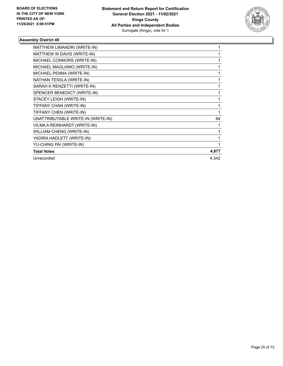

| MATTHEW LIMANDRI (WRITE-IN)        |       |
|------------------------------------|-------|
| MATTHEW W DAVIS (WRITE-IN)         |       |
| MICHAEL CONNORS (WRITE-IN)         |       |
| MICHAEL MAGLIANO (WRITE-IN)        |       |
| MICHAEL PENNA (WRITE-IN)           |       |
| NATHAN TESSLA (WRITE-IN)           |       |
| SARAH K RENZETTI (WRITE-IN)        |       |
| SPENCER BENEDICT (WRITE-IN)        |       |
| STACEY LEIGH (WRITE-IN)            |       |
| TIFFANY CHAN (WRITE-IN)            | 1     |
| TIFFANY CHEN (WRITE-IN)            | 1     |
| UNATTRIBUTABLE WRITE-IN (WRITE-IN) | 64    |
| VILMA A REINHARDT (WRITE-IN)       |       |
| WILLIAM CHENG (WRITE-IN)           |       |
| YADIRA HADLETT (WRITE-IN)          |       |
| YU-CHING PAI (WRITE-IN)            |       |
| <b>Total Votes</b>                 | 4,877 |
| Unrecorded                         | 4,342 |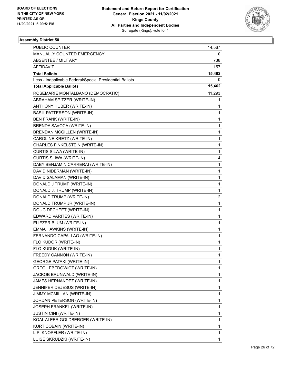

| <b>PUBLIC COUNTER</b>                                    | 14,567 |
|----------------------------------------------------------|--------|
| MANUALLY COUNTED EMERGENCY                               | 0      |
| <b>ABSENTEE / MILITARY</b>                               | 738    |
| AFFIDAVIT                                                | 157    |
| <b>Total Ballots</b>                                     | 15,462 |
| Less - Inapplicable Federal/Special Presidential Ballots | 0      |
| <b>Total Applicable Ballots</b>                          | 15,462 |
| ROSEMARIE MONTALBANO (DEMOCRATIC)                        | 11,293 |
| ABRAHAM SPITZER (WRITE-IN)                               | 1      |
| ANTHONY HUBER (WRITE-IN)                                 | 1      |
| <b>BASIL PATTERSON (WRITE-IN)</b>                        | 1      |
| <b>BEN FRANK (WRITE-IN)</b>                              | 1      |
| BRENDA SAVOCA (WRITE-IN)                                 | 1      |
| <b>BRENDAN MCGILLEN (WRITE-IN)</b>                       | 1      |
| CAROLINE KRETZ (WRITE-IN)                                | 1      |
| CHARLES FINKELSTEIN (WRITE-IN)                           | 1      |
| CURTIS SILWA (WRITE-IN)                                  | 1      |
| CURTIS SLIWA (WRITE-IN)                                  | 4      |
| DABY BENJAMIN CARRERAI (WRITE-IN)                        | 1      |
| DAVID NIDERMAN (WRITE-IN)                                | 1      |
| DAVID SALAMAN (WRITE-IN)                                 | 1      |
| DONALD J TRUMP (WRITE-IN)                                | 1      |
| DONALD J. TRUMP (WRITE-IN)                               | 1      |
| DONALD TRUMP (WRITE-IN)                                  | 2      |
| DONALD TRUMP JR (WRITE-IN)                               | 1      |
| DOUG DECHEET (WRITE-IN)                                  | 1      |
| EDWARD VARITES (WRITE-IN)                                | 1      |
| ELIEZER BLUM (WRITE-IN)                                  | 1      |
| EMMA HAWKINS (WRITE-IN)                                  | 1      |
| FERNANDO CAPALLAO (WRITE-IN)                             | 1      |
| FLO KUDOR (WRITE-IN)                                     | 1      |
| FLO KUDUK (WRITE-IN)                                     | 1      |
| FREEDY CANNON (WRITE-IN)                                 | 1      |
| <b>GEORGE PATAKI (WRITE-IN)</b>                          | 1      |
| GREG LEBEDOWICZ (WRITE-IN)                               | 1      |
| JACKOB BRUNWALD (WRITE-IN)                               | 1      |
| JAMES HERNANDEZ (WRITE-IN)                               | 1      |
| JENNIFER DEJESUS (WRITE-IN)                              | 1      |
| JIMMY MCMILLAN (WRITE-IN)                                | 1      |
| JORDAN PETERSON (WRITE-IN)                               | 1      |
| JOSEPH FRANKEL (WRITE-IN)                                | 1      |
| <b>JUSTIN CINI (WRITE-IN)</b>                            | 1      |
| KOAL ALEER GOLDBERGER (WRITE-IN)                         | 1      |
| KURT COBAIN (WRITE-IN)                                   | 1      |
| LIPI KNOPFLER (WRITE-IN)                                 | 1      |
| LUISE SKRUDZKI (WRITE-IN)                                | 1      |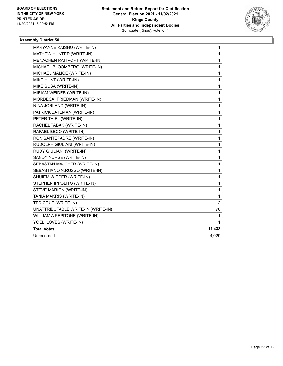

| MARYANNE KAISHO (WRITE-IN)          | 1            |
|-------------------------------------|--------------|
| MATHEW HUNTER (WRITE-IN)            | 1            |
| <b>MENACHEN RAITPORT (WRITE-IN)</b> | 1            |
| MICHAEL BLOOMBERG (WRITE-IN)        | 1            |
| MICHAEL MALICE (WRITE-IN)           | 1            |
| MIKE HUNT (WRITE-IN)                | 1            |
| MIKE SUSA (WRITE-IN)                | 1            |
| MIRIAM WEIDER (WRITE-IN)            | 1            |
| MORDECAI FRIEDMAN (WRITE-IN)        | 1            |
| NINA JORLANO (WRITE-IN)             | 1            |
| PATRICK BATEMAN (WRITE-IN)          | 1            |
| PETER THIEL (WRITE-IN)              | 1            |
| RACHEL TABAK (WRITE-IN)             | 1            |
| RAFAEL BECO (WRITE-IN)              | 1            |
| RON SANTEPADRE (WRITE-IN)           | 1            |
| RUDOLPH GIULIANI (WRITE-IN)         | 1            |
| RUDY GIULIANI (WRITE-IN)            | 1            |
| SANDY NURSE (WRITE-IN)              | 1            |
| SEBASTAN MAJCHER (WRITE-IN)         | 1            |
| SEBASTIANO N.RUSSO (WRITE-IN)       | $\mathbf{1}$ |
| SHUIEM WIEDER (WRITE-IN)            | 1            |
| STEPHEN IPPOLITO (WRITE-IN)         | 1            |
| STEVE MARION (WRITE-IN)             | 1            |
| TANIA MAKRIS (WRITE-IN)             | 1            |
| TED CRUZ (WRITE-IN)                 | 2            |
| UNATTRIBUTABLE WRITE-IN (WRITE-IN)  | 70           |
| WILLIAM A PEPITONE (WRITE-IN)       | 1            |
| YOEL ILOVES (WRITE-IN)              | 1            |
| <b>Total Votes</b>                  | 11,433       |
| Unrecorded                          | 4,029        |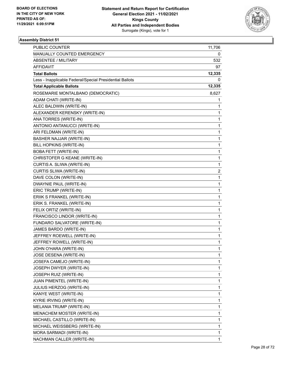

| PUBLIC COUNTER                                           | 11,706 |
|----------------------------------------------------------|--------|
| MANUALLY COUNTED EMERGENCY                               | 0      |
| ABSENTEE / MILITARY                                      | 532    |
| AFFIDAVIT                                                | 97     |
| <b>Total Ballots</b>                                     | 12,335 |
| Less - Inapplicable Federal/Special Presidential Ballots | 0      |
| <b>Total Applicable Ballots</b>                          | 12,335 |
| ROSEMARIE MONTALBANO (DEMOCRATIC)                        | 8,627  |
| ADAM CHATI (WRITE-IN)                                    | 1      |
| ALEC BALDWIN (WRITE-IN)                                  | 1      |
| ALEXANDER KERENSKY (WRITE-IN)                            | 1      |
| ANA TORRES (WRITE-IN)                                    | 1      |
| ANTONIO ANTANUCCI (WRITE-IN)                             | 1      |
| ARI FELDMAN (WRITE-IN)                                   | 1      |
| BASHER NAJJAR (WRITE-IN)                                 | 1      |
| BILL HOPKINS (WRITE-IN)                                  | 1      |
| <b>BOBA FETT (WRITE-IN)</b>                              | 1      |
| CHRISTOFER G KEANE (WRITE-IN)                            | 1      |
| CURTIS A. SLIWA (WRITE-IN)                               | 1      |
| CURTIS SLIWA (WRITE-IN)                                  | 2      |
| DAVE COLON (WRITE-IN)                                    | 1      |
| DWAYNIE PAUL (WRITE-IN)                                  | 1      |
| ERIC TRUMP (WRITE-IN)                                    | 1      |
| ERIIK S FRANKEL (WRITE-IN)                               | 1      |
| ERIK S. FRANKEL (WRITE-IN)                               | 1      |
| FELIX ORTIZ (WRITE-IN)                                   | 1      |
| FRANCISCO LINDOR (WRITE-IN)                              | 1      |
| FUNDARO SALVATORE (WRITE-IN)                             | 1      |
| JAMES BARDO (WRITE-IN)                                   | 1      |
| JEFFREY ROEWELL (WRITE-IN)                               | 1      |
| JEFFREY ROWELL (WRITE-IN)                                | 1      |
| JOHN O'HARA (WRITE-IN)                                   | 1      |
| JOSE DESENA (WRITE-IN)                                   | 1      |
| JOSEFA CAMEJO (WRITE-IN)                                 | 1      |
| JOSEPH DWYER (WRITE-IN)                                  | 1      |
| JOSEPH RUIZ (WRITE-IN)                                   | 1      |
| JUAN PIMENTEL (WRITE-IN)                                 | 1      |
| JULIUS HERZOG (WRITE-IN)                                 | 1      |
| KANYE WEST (WRITE-IN)                                    | 1      |
| KYRIE IRVING (WRITE-IN)                                  | 1      |
| MELANIA TRUMP (WRITE-IN)                                 | 1      |
| MENACHEM MOSTER (WRITE-IN)                               | 1      |
| MICHAEL CASTILLO (WRITE-IN)                              | 1      |
| MICHAEL WEISSBERG (WRITE-IN)                             | 1      |
| MORA SARMADI (WRITE-IN)                                  | 1      |
| NACHMAN CALLER (WRITE-IN)                                | 1      |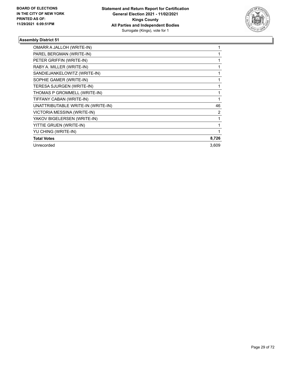

| OMARR A JALLOH (WRITE-IN)          |                |
|------------------------------------|----------------|
| PAREL BERGMAN (WRITE-IN)           |                |
| PETER GRIFFIN (WRITE-IN)           |                |
| RABY A. MILLER (WRITE-IN)          |                |
| SANDIEJANKELOWITZ (WRITE-IN)       |                |
| SOPHIE GAMER (WRITE-IN)            |                |
| TERESA SJURGEN (WRITE-IN)          |                |
| THOMAS P GROMMELL (WRITE-IN)       |                |
| TIFFANY CABAN (WRITE-IN)           |                |
| UNATTRIBUTABLE WRITE-IN (WRITE-IN) | 46             |
| VICTORIA MESSINA (WRITE-IN)        | $\overline{2}$ |
| YAKOV BIGELERSEN (WRITE-IN)        |                |
| YITTIE GRUEN (WRITE-IN)            |                |
| YU CHING (WRITE-IN)                |                |
| <b>Total Votes</b>                 | 8,726          |
| Unrecorded                         | 3,609          |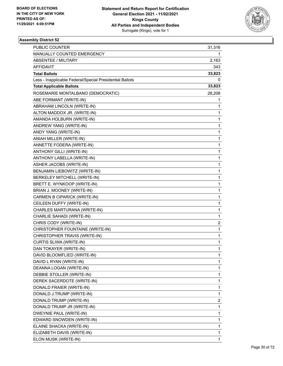

| <b>PUBLIC COUNTER</b>                                    | 31,316         |
|----------------------------------------------------------|----------------|
| MANUALLY COUNTED EMERGENCY                               | 1              |
| <b>ABSENTEE / MILITARY</b>                               | 2,163          |
| AFFIDAVIT                                                | 343            |
| <b>Total Ballots</b>                                     | 33,823         |
| Less - Inapplicable Federal/Special Presidential Ballots | 0              |
| <b>Total Applicable Ballots</b>                          | 33,823         |
| ROSEMARIE MONTALBANO (DEMOCRATIC)                        | 28,208         |
| ABE FORMANT (WRITE-IN)                                   | 1              |
| ABRAHAM LINCOLN (WRITE-IN)                               | 1              |
| ALTON MADDOX JR. (WRITE-IN)                              | 1              |
| AMANDA HOLBURN (WRITE-IN)                                | 1              |
| ANDREW YANG (WRITE-IN)                                   | 1              |
| ANDY YANG (WRITE-IN)                                     | 1              |
| ANIAH MILLER (WRITE-IN)                                  | 1              |
| ANNETTE FODERA (WRITE-IN)                                | 1              |
| ANTHONY GILLI (WRITE-IN)                                 | 1              |
| ANTHONY LABELLA (WRITE-IN)                               | 1              |
| ASHER JACOBS (WRITE-IN)                                  | 1              |
| BENJAMIN LIEBOWITZ (WRITE-IN)                            | 1              |
| BERKELEY MITCHELL (WRITE-IN)                             | 1              |
| BRETT E. WYNKOOP (WRITE-IN)                              | 1              |
| BRIAN J. MOONEY (WRITE-IN)                               | 1              |
| CARMEN B CIPARICK (WRITE-IN)                             | 1              |
| CEILEEN DUFFY (WRITE-IN)                                 | 1              |
| CHARLES MARTURANA (WRITE-IN)                             | 1              |
| CHARLIE SAHADI (WRITE-IN)                                | 1              |
| CHRIS CODY (WRITE-IN)                                    | $\overline{c}$ |
| CHRISTOPHER FOUNTAINE (WRITE-IN)                         | 1              |
| CHRISTOPHER TRAVIS (WRITE-IN)                            | 1              |
| CURTIS SLIWA (WRITE-IN)                                  | 1              |
| DAN TOKAYER (WRITE-IN)                                   | 1              |
| DAVID BLOOMFLIED (WRITE-IN)                              | 1              |
| DAVID L RYAN (WRITE-IN)                                  | 1              |
| DEANNA LOGAN (WRITE-IN)                                  | 1              |
| DEBBIE STOLLER (WRITE-IN)                                | 1              |
| DEREK SACERDOTE (WRITE-IN)                               | 1              |
| DONALD FRAIER (WRITE-IN)                                 | 1              |
| DONALD J.TRUMP (WRITE-IN)                                | 1              |
| DONALD TRUMP (WRITE-IN)                                  | $\overline{c}$ |
| DONALD TRUMP JR (WRITE-IN)                               | 1              |
| DWEYNIE PAUL (WRITE-IN)                                  | 1              |
| EDWARD SNOWDEN (WRITE-IN)                                | 1              |
| ELAINE SHACKA (WRITE-IN)                                 | 1              |
| ELIZABETH DAVIS (WRITE-IN)                               | 1              |
| ELON MUSK (WRITE-IN)                                     | 1              |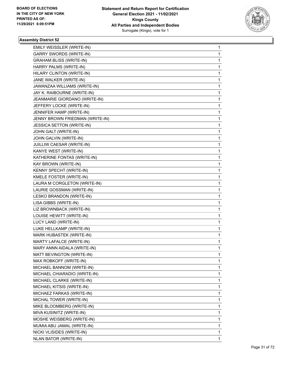

| <b>EMILY WEISSLER (WRITE-IN)</b> | $\mathbf{1}$ |
|----------------------------------|--------------|
| <b>GARRY SWORDS (WRITE-IN)</b>   | $\mathbf{1}$ |
| <b>GRAHAM BLISS (WRITE-IN)</b>   | 1            |
| HARRY PALMS (WRITE-IN)           | 1            |
| HILARY CLINTON (WRITE-IN)        | 1            |
| JANE WALKER (WRITE-IN)           | 1            |
| JAWANZAA WILLIAMS (WRITE-IN)     | $\mathbf{1}$ |
| JAY K. RAIBOURNE (WRITE-IN)      | 1            |
| JEANMARIE GIORDANO (WRITE-IN)    | 1            |
| JEFFERY LOCKE (WRITE-IN)         | $\mathbf 1$  |
| JENNIFER HAMP (WRITE-IN)         | $\mathbf 1$  |
| JENNY BROWN FRIEDMAN (WRITE-IN)  | 1            |
| <b>JESSICA SETTON (WRITE-IN)</b> | $\mathbf 1$  |
| JOHN GALT (WRITE-IN)             | 1            |
| JOHN GALVIN (WRITE-IN)           | 1            |
| JUILLIW CAESAR (WRITE-IN)        | 1            |
| KANYE WEST (WRITE-IN)            | $\mathbf 1$  |
| KATHERINE FONTAS (WRITE-IN)      | 1            |
| KAY BROWN (WRITE-IN)             | $\mathbf 1$  |
| KENNY SPECHT (WRITE-IN)          | 1            |
| KMELE FOSTER (WRITE-IN)          | 1            |
| LAURA M CORGLETON (WRITE-IN)     | 1            |
| LAURIE GOSSMAN (WRITE-IN)        | $\mathbf 1$  |
| LESKO BRANDON (WRITE-IN)         | 1            |
| LISA GIBBS (WRITE-IN)            | $\mathbf 1$  |
| LIZ BROWNBACK (WRITE-IN)         | 1            |
| LOUISE HEWITT (WRITE-IN)         | 1            |
| LUCY LAND (WRITE-IN)             | $\mathbf 1$  |
| LUKE HELLKAMP (WRITE-IN)         | $\mathbf 1$  |
| MARK HUBASTEK (WRITE-IN)         | 1            |
| MARTY LAFALCE (WRITE-IN)         | $\mathbf 1$  |
| MARY ANNN AIDALA (WRITE-IN)      | $\mathbf 1$  |
| MATT BEVINGTON (WRITE-IN)        | 1            |
| MAX ROBKOFF (WRITE-IN)           | 1            |
| MICHAEL BANNOM (WRITE-IN)        | 1            |
| MICHAEL CHIARADIO (WRITE-IN)     | 1            |
| MICHAEL CLARKE (WRITE-IN)        | 1            |
| MICHAEL KITSIS (WRITE-IN)        | 1            |
| MICHAEZ FARKAS (WRITE-IN)        | 1            |
| MICHAL TOWER (WRITE-IN)          | 1            |
| MIKE BLOOMBERG (WRITE-IN)        | 1            |
| MIVA KUSINITZ (WRITE-IN)         | 1            |
| MOSHE WEISBERG (WRITE-IN)        | 1            |
| MUMIA ABU JAMAL (WRITE-IN)       | 1            |
| NICKI VLISIDES (WRITE-IN)        | 1            |
| NLAN BATOR (WRITE-IN)            | 1            |
|                                  |              |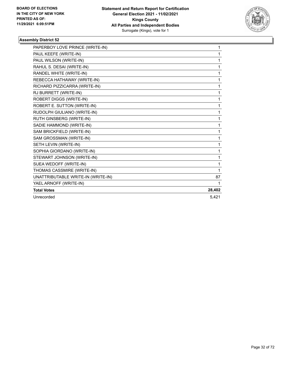

| PAPERBOY LOVE PRINCE (WRITE-IN)    | 1      |
|------------------------------------|--------|
| PAUL KEEFE (WRITE-IN)              | 1      |
| PAUL WILSON (WRITE-IN)             | 1      |
| RAHUL S. DESAI (WRITE-IN)          | 1      |
| RANDEL WHITE (WRITE-IN)            | 1      |
| REBECCA HATHAWAY (WRITE-IN)        | 1      |
| RICHARD PIZZICARRA (WRITE-IN)      | 1      |
| RJ BURRETT (WRITE-IN)              | 1      |
| ROBERT DIGGS (WRITE-IN)            | 1      |
| ROBERT E. SUTTON (WRITE-IN)        | 1      |
| RUDOLPH GIULIANO (WRITE-IN)        | 1      |
| RUTH GINSBERG (WRITE-IN)           | 1      |
| SADIE HAMMOND (WRITE-IN)           | 1      |
| SAM BRICKFIELD (WRITE-IN)          | 1      |
| SAM GROSSMAN (WRITE-IN)            | 1      |
| SETH LEVIN (WRITE-IN)              | 1      |
| SOPHIA GIORDANO (WRITE-IN)         | 1      |
| STEWART JOHNSON (WRITE-IN)         | 1      |
| SUEA WEDOFF (WRITE-IN)             | 1      |
| THOMAS CASSMIRE (WRITE-IN)         | 1      |
| UNATTRIBUTABLE WRITE-IN (WRITE-IN) | 87     |
| YAEL ARNOFF (WRITE-IN)             | 1      |
| <b>Total Votes</b>                 | 28,402 |
| Unrecorded                         | 5.421  |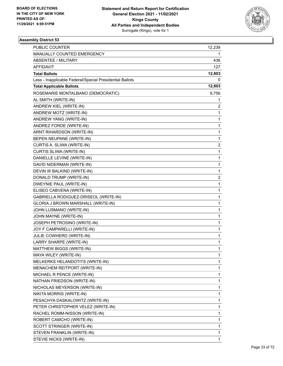

| PUBLIC COUNTER                                           | 12,239                  |
|----------------------------------------------------------|-------------------------|
| MANUALLY COUNTED EMERGENCY                               | 1                       |
| ABSENTEE / MILITARY                                      | 436                     |
| <b>AFFIDAVIT</b>                                         | 127                     |
| <b>Total Ballots</b>                                     | 12,803                  |
| Less - Inapplicable Federal/Special Presidential Ballots | 0                       |
| <b>Total Applicable Ballots</b>                          | 12,803                  |
| ROSEMARIE MONTALBANO (DEMOCRATIC)                        | 9,756                   |
| AL SMITH (WRITE-IN)                                      | 1                       |
| ANDREW KIEL (WRITE-IN)                                   | 2                       |
| ANDREW MOTZ (WRITE-IN)                                   | 1                       |
| ANDREW YANG (WRITE-IN)                                   | 1                       |
| ANDREZ FORDE (WRITE-IN)                                  | 1                       |
| ARNT RIHARDSON (WRITE-IN)                                | 1                       |
| BEPEN NEUPANE (WRITE-IN)                                 | 1                       |
| CURTIS A. SLIWA (WRITE-IN)                               | $\overline{c}$          |
| CURTIS SLIWA (WRITE-IN)                                  | 1                       |
| DANIELLE LEVINE (WRITE-IN)                               | 1                       |
| DAVID NIDERMAN (WRITE-IN)                                | 1                       |
| DEVIN W BALKIND (WRITE-IN)                               | 1                       |
| DONALD TRUMP (WRITE-IN)                                  | $\overline{\mathbf{c}}$ |
| DWEYNIE PAUL (WRITE-IN)                                  | 1                       |
| ELISEO CABVENA (WRITE-IN)                                | 1                       |
| GABRIELLA RODIGUEZ-DRISEOL (WRITE-IN)                    | 1                       |
| GLORIA J BROWN MARSHALL (WRITE-IN)                       | 1                       |
| JOHN LUSMANO (WRITE-IN)                                  | 1                       |
| JOHN MAYNE (WRITE-IN)                                    | 1                       |
| JOSEPH PETROSINO (WRITE-IN)                              | 1                       |
| JOY F CAMPARELLI (WRITE-IN)                              | 1                       |
| JULIE COWHERD (WRITE-IN)                                 | 1                       |
| LARRY SHARPE (WRITE-IN)                                  | 1                       |
| MATTHEW BIGGS (WRITE-IN)                                 | 1                       |
| MAYA WILEY (WRITE-IN)                                    | 1                       |
| MELKERKS HELANDOTITS (WRITE-IN)                          | 1                       |
| MENACHEM REITPORT (WRITE-IN)                             | 1                       |
| MICHAEL R PENCE (WRITE-IN)                               | 1                       |
| NATHAN FRIEDSON (WRITE-IN)                               | 1                       |
| NICHOLAS MEYERSON (WRITE-IN)                             | 1                       |
| NIKITA MORRIS (WRITE-IN)                                 | 1                       |
| PESACHYA DASKALOWITZ (WRITE-IN)                          | 1                       |
| PETER CHRISTOPHER VELEZ (WRITE-IN)                       | 1                       |
| RACHEL ROMM-NISSON (WRITE-IN)                            | 1                       |
| ROBERT CAMCHO (WRITE-IN)                                 | 1                       |
| SCOTT STRINGER (WRITE-IN)                                | 1                       |
| STEVEN FRANKLIN (WRITE-IN)                               | 1                       |
| STEVIE NICKS (WRITE-IN)                                  | 1                       |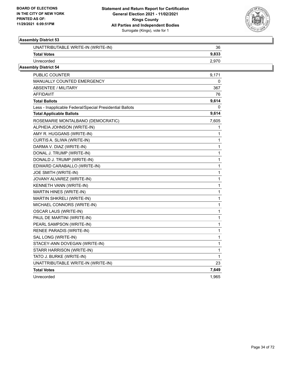

| UNATTRIBUTABLE WRITE-IN (WRITE-IN)                       | 36    |
|----------------------------------------------------------|-------|
| <b>Total Votes</b>                                       | 9,833 |
| Unrecorded                                               | 2,970 |
| <b>Assembly District 54</b>                              |       |
| PUBLIC COUNTER                                           | 9,171 |
| <b>MANUALLY COUNTED EMERGENCY</b>                        | 0     |
| ABSENTEE / MILITARY                                      | 367   |
| <b>AFFIDAVIT</b>                                         | 76    |
| <b>Total Ballots</b>                                     | 9,614 |
| Less - Inapplicable Federal/Special Presidential Ballots | 0     |
| <b>Total Applicable Ballots</b>                          | 9,614 |
| ROSEMARIE MONTALBANO (DEMOCRATIC)                        | 7,605 |
| ALPHEIA JOHNSON (WRITE-IN)                               | 1     |
| AMY R. HUGGANS (WRITE-IN)                                | 1     |
| CURTIS A. SLIWA (WRITE-IN)                               | 1     |
| DARMA V. DIAZ (WRITE-IN)                                 | 1     |
| DONAL J. TRUMP (WRITE-IN)                                | 1     |
| DONALD J. TRUMP (WRITE-IN)                               | 1     |
| EDWARD CARABALLO (WRITE-IN)                              | 1     |
| JOE SMITH (WRITE-IN)                                     | 1     |
| JOVANY ALVAREZ (WRITE-IN)                                | 1     |
| KENNETH VANN (WRITE-IN)                                  | 1     |
| MARTIN HINES (WRITE-IN)                                  | 1     |
| MARTIN SHKRELI (WRITE-IN)                                | 1     |
| MICHAEL CONNORS (WRITE-IN)                               | 1     |
| <b>OSCAR LAUS (WRITE-IN)</b>                             | 1     |
| PAUL DE MARTINI (WRITE-IN)                               | 1     |
| PEARL SAMPSON (WRITE-IN)                                 | 1     |
| RENEE PARADIS (WRITE-IN)                                 | 1     |
| SAL LONG (WRITE-IN)                                      | 1     |
| STACEY-ANN DOVEGAN (WRITE-IN)                            | 1     |
| STARR HARRISON (WRITE-IN)                                | 1     |
| TATO J. BURKE (WRITE-IN)                                 | 1     |
| UNATTRIBUTABLE WRITE-IN (WRITE-IN)                       | 23    |
| <b>Total Votes</b>                                       | 7,649 |
| Unrecorded                                               | 1,965 |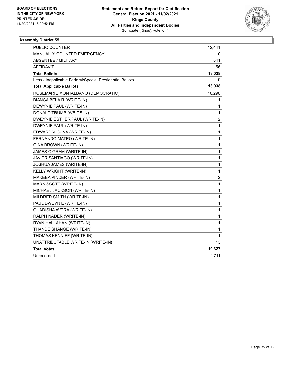

| PUBLIC COUNTER                                           | 12,441                  |
|----------------------------------------------------------|-------------------------|
| MANUALLY COUNTED EMERGENCY                               | 0                       |
| <b>ABSENTEE / MILITARY</b>                               | 541                     |
| <b>AFFIDAVIT</b>                                         | 56                      |
| <b>Total Ballots</b>                                     | 13,038                  |
| Less - Inapplicable Federal/Special Presidential Ballots | 0                       |
| <b>Total Applicable Ballots</b>                          | 13,038                  |
| ROSEMARIE MONTALBANO (DEMOCRATIC)                        | 10,290                  |
| BIANCA BELAIR (WRITE-IN)                                 | 1                       |
| DEWYNIE PAUL (WRITE-IN)                                  | 1                       |
| DONALD TRUMP (WRITE-IN)                                  | 1                       |
| DWEYNIE ESTHER PAUL (WRITE-IN)                           | $\overline{\mathbf{c}}$ |
| DWEYNIE PAUL (WRITE-IN)                                  | $\mathbf{1}$            |
| EDWARD VICUNA (WRITE-IN)                                 | 1                       |
| FERNANDO MATEO (WRITE-IN)                                | $\mathbf{1}$            |
| GINA BROWN (WRITE-IN)                                    | $\mathbf{1}$            |
| JAMES C GRAM (WRITE-IN)                                  | $\mathbf{1}$            |
| JAVIER SANTIAGO (WRITE-IN)                               | $\mathbf 1$             |
| JOSHUA JAMES (WRITE-IN)                                  | $\mathbf{1}$            |
| KELLY WRIGHT (WRITE-IN)                                  | $\mathbf{1}$            |
| MAKEBA PINDER (WRITE-IN)                                 | $\overline{c}$          |
| MARK SCOTT (WRITE-IN)                                    | $\mathbf{1}$            |
| MICHAEL JACKSON (WRITE-IN)                               | $\mathbf{1}$            |
| MILDRED SMITH (WRITE-IN)                                 | $\mathbf{1}$            |
| PAUL DWEYNIE (WRITE-IN)                                  | $\mathbf{1}$            |
| QUADISHA AVERA (WRITE-IN)                                | $\mathbf 1$             |
| RALPH NADER (WRITE-IN)                                   | $\mathbf 1$             |
| RYAN HALLAHAN (WRITE-IN)                                 | $\mathbf{1}$            |
| THANDE SHANGE (WRITE-IN)                                 | $\mathbf{1}$            |
| THOMAS KENNIFF (WRITE-IN)                                | 1                       |
| UNATTRIBUTABLE WRITE-IN (WRITE-IN)                       | 13                      |
| <b>Total Votes</b>                                       | 10,327                  |
| Unrecorded                                               | 2,711                   |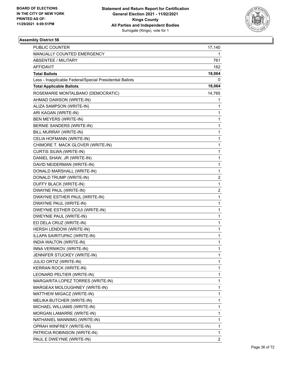

| PUBLIC COUNTER                                           | 17,140         |
|----------------------------------------------------------|----------------|
| MANUALLY COUNTED EMERGENCY                               | 1              |
| ABSENTEE / MILITARY                                      | 761            |
| AFFIDAVIT                                                | 162            |
| <b>Total Ballots</b>                                     | 18,064         |
| Less - Inapplicable Federal/Special Presidential Ballots | 0              |
| <b>Total Applicable Ballots</b>                          | 18,064         |
| ROSEMARIE MONTALBANO (DEMOCRATIC)                        | 14,765         |
| AHMAD DAWSON (WRITE-IN)                                  | 1              |
| ALIZA SAMPSON (WRITE-IN)                                 | 1              |
| ARI KAGAN (WRITE-IN)                                     | 1              |
| BEN MEYERS (WRITE-IN)                                    | 1              |
| BERNIE SANDERS (WRITE-IN)                                | 1              |
| BILL MURRAY (WRITE-IN)                                   | 1              |
| CELIA HOFMANN (WRITE-IN)                                 | 1              |
| CHIMORE T. MACK GLOVER (WRITE-IN)                        | 1              |
| CURTIS SILWA (WRITE-IN)                                  | 1              |
| DANIEL SHAW, JR (WRITE-IN)                               | 1              |
| DAVID NEIDERMAN (WRITE-IN)                               | 1              |
| DONALD MARSHALL (WRITE-IN)                               | 1              |
| DONALD TRUMP (WRITE-IN)                                  | 2              |
| DUFFY BLACK (WRITE-IN)                                   | 1              |
| DWAYNE PAUL (WRITE-IN)                                   | 2              |
| DWAYNIE ESTHER PAUL (WRITE-IN)                           | 1              |
| DWAYNIE PAUL (WRITE-IN)                                  | 1              |
| DWEYNIE ESTHER DCIUI (WRITE-IN)                          | 1              |
| DWEYNIE PAUL (WRITE-IN)                                  | 1              |
| ED DELA CRUZ (WRITE-IN)                                  | 1              |
| HERSH LENDOW (WRITE-IN)                                  | 1              |
| ILLAPA SAIRITUPAC (WRITE-IN)                             | 1              |
| INDIA WALTON (WRITE-IN)                                  | 1              |
| INNA VERNIKOV (WRITE-IN)                                 | 1              |
| JENNIFER STUCKEY (WRITE-IN)                              | 1              |
| JULIO ORTIZ (WRITE-IN)                                   | 1              |
| KERRAN ROCK (WRITE-IN)                                   | 1              |
| LEONARD PELTIER (WRITE-IN)                               | 1              |
| MARGARITA LOPEZ TORRES (WRITE-IN)                        | 1              |
| MARGEAX MOLOUGHNEY (WRITE-IN)                            | 1              |
| MATTHEW MIGACZ (WRITE-IN)                                | 1              |
| MELIKA BUTCHER (WRITE-IN)                                | 1              |
| MICHAEL WILLIAMS (WRITE-IN)                              | 1              |
| MORGAN LAMARRE (WRITE-IN)                                | 1              |
| NATHANIEL MANNIMG (WRITE-IN)                             | 1              |
| OPRAH WINFREY (WRITE-IN)                                 | 1              |
| PATRICIA ROBINSON (WRITE-IN)                             | 1              |
| PAUL E DWEYNIE (WRITE-IN)                                | $\overline{2}$ |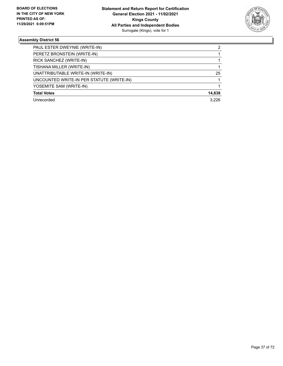

| PAUL ESTER DWEYNIE (WRITE-IN)             | 2      |
|-------------------------------------------|--------|
| PERETZ BRONSTEIN (WRITE-IN)               |        |
| RICK SANCHEZ (WRITE-IN)                   |        |
| TISHANA MILLER (WRITE-IN)                 |        |
| UNATTRIBUTABLE WRITE-IN (WRITE-IN)        | 25     |
| UNCOUNTED WRITE-IN PER STATUTE (WRITE-IN) |        |
| YOSEMITE SAM (WRITE-IN)                   |        |
| <b>Total Votes</b>                        | 14,838 |
| Unrecorded                                | 3.226  |
|                                           |        |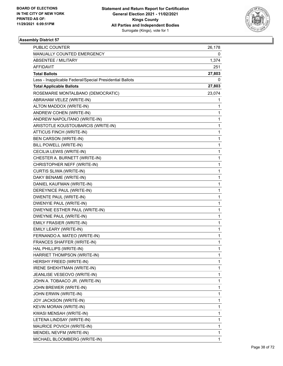

| PUBLIC COUNTER                                           | 26,178 |
|----------------------------------------------------------|--------|
| MANUALLY COUNTED EMERGENCY                               | 0      |
| <b>ABSENTEE / MILITARY</b>                               | 1,374  |
| AFFIDAVIT                                                | 251    |
| <b>Total Ballots</b>                                     | 27,803 |
| Less - Inapplicable Federal/Special Presidential Ballots | 0      |
| <b>Total Applicable Ballots</b>                          | 27,803 |
| ROSEMARIE MONTALBANO (DEMOCRATIC)                        | 23,074 |
| ABRAHAM VELEZ (WRITE-IN)                                 | 1      |
| ALTON MADDOX (WRITE-IN)                                  | 1      |
| ANDREW COHEN (WRITE-IN)                                  | 1      |
| ANDREW NAPOLITANO (WRITE-IN)                             | 1      |
| ARISTOTLE KOUSTOUBARCIS (WRITE-IN)                       | 1      |
| ATTICUS FINCH (WRITE-IN)                                 | 1      |
| <b>BEN CARSON (WRITE-IN)</b>                             | 1      |
| BILL POWELL (WRITE-IN)                                   | 1      |
| CECILIA LEWIS (WRITE-IN)                                 | 1      |
| CHESTER A. BURNETT (WRITE-IN)                            | 1      |
| CHRISTOPHER NEFF (WRITE-IN)                              | 1      |
| CURTIS SLIWA (WRITE-IN)                                  | 1      |
| DAKY BENAME (WRITE-IN)                                   | 1      |
| DANIEL KAUFMAN (WRITE-IN)                                | 1      |
| DEREYNICE PAUL (WRITE-IN)                                | 1      |
| DWENTE PAUL (WRITE-IN)                                   | 1      |
| DWENYIE PAUL (WRITE-IN)                                  | 1      |
| DWEYNIE ESTHER PAUL (WRITE-IN)                           | 1      |
| DWEYNIE PAUL (WRITE-IN)                                  | 1      |
| EMILY FRASIER (WRITE-IN)                                 | 1      |
| EMILY LEARY (WRITE-IN)                                   | 1      |
| FERNANDO A. MATEO (WRITE-IN)                             | 1      |
| FRANCES SHAFFER (WRITE-IN)                               | 1      |
| HAL PHILLIPS (WRITE-IN)                                  | 1      |
| HARRIET THOMPSON (WRITE-IN)                              | 1      |
| HERSHY FREED (WRITE-IN)                                  | 1      |
| <b>IRENE SHEKHTMAN (WRITE-IN)</b>                        | 1      |
| JEANLISE VESEOVO (WRITE-IN)                              | 1      |
| JOHN A. TOBAACO JR. (WRITE-IN)                           | 1      |
| JOHN BREWER (WRITE-IN)                                   | 1      |
| JOHN ERWIN (WRITE-IN)                                    | 1      |
| JOY JACKSON (WRITE-IN)                                   | 1      |
| KEVIN MORAN (WRITE-IN)                                   | 1      |
| KWASI MENSAH (WRITE-IN)                                  | 1      |
| LETENA LINDSAY (WRITE-IN)                                | 1      |
| MAURICE POVICH (WRITE-IN)                                | 1      |
| MENDEL NEVFM (WRITE-IN)                                  | 1      |
| MICHAEL BLOOMBERG (WRITE-IN)                             | 1      |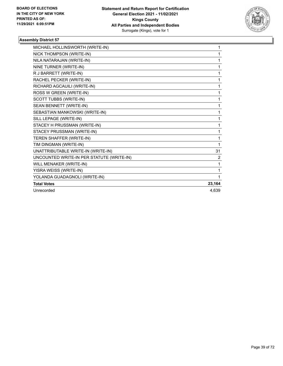

| MICHAEL HOLLINSWORTH (WRITE-IN)           | 1      |
|-------------------------------------------|--------|
| NICK THOMPSON (WRITE-IN)                  | 1      |
| NILA NATARAJAN (WRITE-IN)                 | 1      |
| NINE TURNER (WRITE-IN)                    | 1      |
| R J BARRETT (WRITE-IN)                    | 1      |
| RACHEL PECKER (WRITE-IN)                  | 1      |
| RICHARD AGCAUILI (WRITE-IN)               | 1      |
| ROSS W GREEN (WRITE-IN)                   | 1      |
| <b>SCOTT TUBBS (WRITE-IN)</b>             | 1      |
| SEAN BENNETT (WRITE-IN)                   | 1      |
| SEBASTIAN MANKOWSKI (WRITE-IN)            | 1      |
| SILL LEPAGE (WRITE-IN)                    | 1      |
| STACEY H PRUSSMAN (WRITE-IN)              | 1      |
| STACEY PRUSSMAN (WRITE-IN)                | 1      |
| TEREN SHAFFER (WRITE-IN)                  | 1      |
| TIM DINGMAN (WRITE-IN)                    | 1      |
| UNATTRIBUTABLE WRITE-IN (WRITE-IN)        | 31     |
| UNCOUNTED WRITE-IN PER STATUTE (WRITE-IN) | 2      |
| WILL MENAKER (WRITE-IN)                   | 1      |
| YISRA WEISS (WRITE-IN)                    | 1      |
| YOLANDA GUADAGNOLI (WRITE-IN)             | 1      |
| <b>Total Votes</b>                        | 23,164 |
| Unrecorded                                | 4.639  |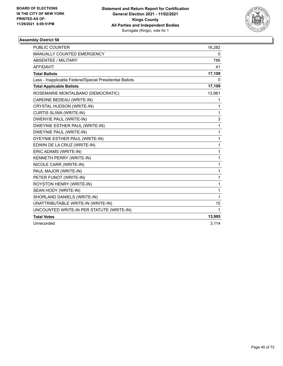

| <b>PUBLIC COUNTER</b>                                    | 16,282       |
|----------------------------------------------------------|--------------|
| <b>MANUALLY COUNTED EMERGENCY</b>                        | 0            |
| <b>ABSENTEE / MILITARY</b>                               | 786          |
| <b>AFFIDAVIT</b>                                         | 41           |
| <b>Total Ballots</b>                                     | 17,109       |
| Less - Inapplicable Federal/Special Presidential Ballots | 0            |
| <b>Total Applicable Ballots</b>                          | 17,109       |
| ROSEMARIE MONTALBANO (DEMOCRATIC)                        | 13,961       |
| CARDINE BEDEAU (WRITE-IN)                                | 1            |
| CRYSTAL HUDSON (WRITE-IN)                                | 1            |
| CURTIS SLIWA (WRITE-IN)                                  | 1            |
| <b>DWENYIE PAUL (WRITE-IN)</b>                           | 3            |
| DWEYNIE ESTHER PAUL (WRITE-IN)                           | 1            |
| DWEYNIE PAUL (WRITE-IN)                                  | 1            |
| DYEYNIE ESTHER PAUL (WRITE-IN)                           | 1            |
| EDWIN DE LA CRUZ (WRITE-IN)                              | 1            |
| ERIC ADAMS (WRITE-IN)                                    | 1            |
| KENNETH PERRY (WRITE-IN)                                 | 1            |
| NICOLE CARR (WRITE-IN)                                   | 1            |
| PAUL MAJOR (WRITE-IN)                                    | 1            |
| PETER FUNOT (WRITE-IN)                                   | 1            |
| ROYSTON HENRY (WRITE-IN)                                 | 1            |
| SEAN HODY (WRITE-IN)                                     | 1            |
| SHORLAND DANIELS (WRITE-IN)                              | 1            |
| UNATTRIBUTABLE WRITE-IN (WRITE-IN)                       | 15           |
| UNCOUNTED WRITE-IN PER STATUTE (WRITE-IN)                | $\mathbf{1}$ |
| <b>Total Votes</b>                                       | 13,995       |
| Unrecorded                                               | 3,114        |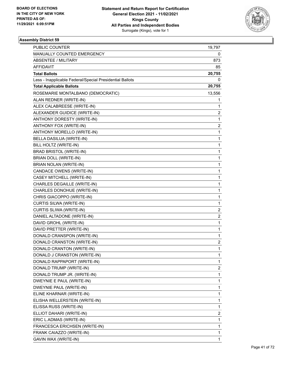

| PUBLIC COUNTER                                           | 19,797                  |
|----------------------------------------------------------|-------------------------|
| MANUALLY COUNTED EMERGENCY                               | 0                       |
| <b>ABSENTEE / MILITARY</b>                               | 873                     |
| AFFIDAVIT                                                | 85                      |
| <b>Total Ballots</b>                                     | 20,755                  |
| Less - Inapplicable Federal/Special Presidential Ballots | 0                       |
| <b>Total Applicable Ballots</b>                          | 20,755                  |
| ROSEMARIE MONTALBANO (DEMOCRATIC)                        | 13,556                  |
| ALAN REDNER (WRITE-IN)                                   | 1                       |
| ALEX CALABREESE (WRITE-IN)                               | 1                       |
| ALEXANDER GUIDICE (WRITE-IN)                             | 2                       |
| ANTHONY DORESTY (WRITE-IN)                               | $\mathbf{1}$            |
| ANTHONY FOX (WRITE-IN)                                   | $\overline{c}$          |
| ANTHONY MORELLO (WRITE-IN)                               | $\mathbf{1}$            |
| BELLA DASILUA (WRITE-IN)                                 | $\mathbf{1}$            |
| BILL HOLTZ (WRITE-IN)                                    | 1                       |
| BRAD BRISTOL (WRITE-IN)                                  | 1                       |
| BRIAN DOLL (WRITE-IN)                                    | $\mathbf{1}$            |
| BRIAN NOLAN (WRITE-IN)                                   | 1                       |
| CANDACE OWENS (WRITE-IN)                                 | 1                       |
| CASEY MITCHELL (WRITE-IN)                                | $\mathbf{1}$            |
| CHARLES DEGAILLE (WRITE-IN)                              | 1                       |
| CHARLES DONOHUE (WRITE-IN)                               | 1                       |
| CHRIS GIACOPPO (WRITE-IN)                                | $\mathbf{1}$            |
| CURTIS SILWA (WRITE-IN)                                  | $\mathbf{1}$            |
| CURTIS SLIWA (WRITE-IN)                                  | 2                       |
| DANIEL ALTADONE (WRITE-IN)                               | $\overline{\mathbf{c}}$ |
| DAVID GROHL (WRITE-IN)                                   | $\mathbf{1}$            |
| DAVID PRETTER (WRITE-IN)                                 | 1                       |
| DONALD CRANSPON (WRITE-IN)                               | $\mathbf{1}$            |
| DONALD CRANSTON (WRITE-IN)                               | 2                       |
| DONALD CRANTON (WRITE-IN)                                | $\mathbf{1}$            |
| DONALD J CRANSTON (WRITE-IN)                             | $\mathbf{1}$            |
| DONALD RAPPAPORT (WRITE-IN)                              | 1                       |
| DONALD TRUMP (WRITE-IN)                                  | 2                       |
| DONALD TRUMP JR. (WRITE-IN)                              | $\mathbf{1}$            |
| DWEYNIE E PAUL (WRITE-IN)                                | 1                       |
| DWEYNIE PAUL (WRITE-IN)                                  | 1                       |
| ELINE KHARNAR (WRITE-IN)                                 | $\mathbf{1}$            |
| ELISHA WELLERSTEIN (WRITE-IN)                            | 1                       |
| ELISSA RUSS (WRITE-IN)                                   | 1                       |
| ELLIOT DAHARI (WRITE-IN)                                 | 2                       |
| ERIC L.ADMAS (WRITE-IN)                                  | 1                       |
| FRANCESCA ERICHSEN (WRITE-IN)                            | 1                       |
| FRANK CAIAZZO (WRITE-IN)                                 | 1                       |
| GAVIN WAX (WRITE-IN)                                     | 1                       |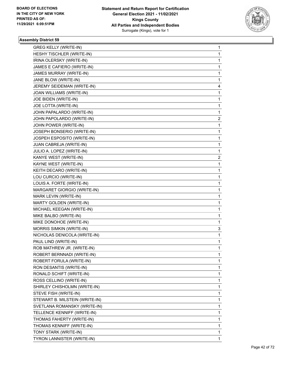

| <b>GREG KELLY (WRITE-IN)</b>   | 1 |
|--------------------------------|---|
| HESHY TISCHLER (WRITE-IN)      | 1 |
| IRINA OLERSKY (WRITE-IN)       | 1 |
| JAMES E CAFIERO (WRITE-IN)     | 1 |
| JAMES MURRAY (WRITE-IN)        | 1 |
| JANE BLOW (WRITE-IN)           | 1 |
| JEREMY SEIDEMAN (WRITE-IN)     | 4 |
| JOAN WILLIAMS (WRITE-IN)       | 1 |
| JOE BIDEN (WRITE-IN)           | 1 |
| JOE LOTTA (WRITE-IN)           | 1 |
| JOHN PAPALARDO (WRITE-IN)      | 1 |
| JOHN PAPOLARDO (WRITE-IN)      | 2 |
| JOHN POWER (WRITE-IN)          | 1 |
| JOSEPH BONSERIO (WRITE-IN)     | 1 |
| JOSPEH ESPOSITO (WRITE-IN)     | 1 |
| JUAN CABREJA (WRITE-IN)        | 1 |
| JULIO A. LOPEZ (WRITE-IN)      | 1 |
| KANYE WEST (WRITE-IN)          | 2 |
| KAYNE WEST (WRITE-IN)          | 1 |
| KEITH DECARO (WRITE-IN)        | 1 |
| LOU CURCIO (WRITE-IN)          | 1 |
| LOUIS A. FORTE (WRITE-IN)      | 1 |
| MARGARET GIORGIO (WRITE-IN)    | 1 |
| MARK LEVIN (WRITE-IN)          | 1 |
| MARTY GOLDEN (WRITE-IN)        | 1 |
| MICHAEL KEEGAN (WRITE-IN)      | 1 |
| MIKE BALBO (WRITE-IN)          | 1 |
| MIKE DONOHOE (WRITE-IN)        | 1 |
| MORRIS SIMKIN (WRITE-IN)       | 3 |
| NICHOLAS DENICOLA (WRITE-IN)   | 1 |
| PAUL LIND (WRITE-IN)           | 1 |
| ROB MATHREW JR. (WRITE-IN)     | 1 |
| ROBERT BERNNADI (WRITE-IN)     | 1 |
| ROBERT FORULA (WRITE-IN)       | 1 |
| RON DESANTIS (WRITE-IN)        | 1 |
| RONALD SCHIFT (WRITE-IN)       | 1 |
| ROSS CELLINO (WRITE-IN)        | 1 |
| SHIRLEY CHISHOLMN (WRITE-IN)   | 1 |
| STEVE FISH (WRITE-IN)          | 1 |
| STEWART B. MILSTEIN (WRITE-IN) | 1 |
| SVETLANA ROMANSKY (WRITE-IN)   | 1 |
| TELLENCE KENNIFF (WRITE-IN)    | 1 |
| THOMAS FAHERTY (WRITE-IN)      | 1 |
| THOMAS KENNIFF (WRITE-IN)      | 1 |
| TONY STARK (WRITE-IN)          | 1 |
| TYRON LANNISTER (WRITE-IN)     |   |
|                                | 1 |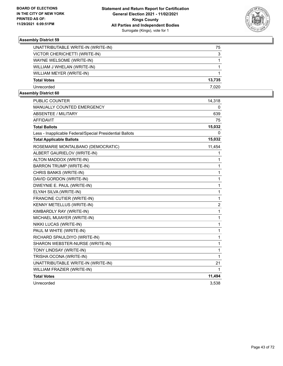

| UNATTRIBUTABLE WRITE-IN (WRITE-IN) | 75     |
|------------------------------------|--------|
| VICTOR CHERICHETTI (WRITE-IN)      | 3      |
| WAYNE WELSOME (WRITE-IN)           |        |
| WILLIAM J WHELAN (WRITE-IN)        |        |
| WILLIAM MEYER (WRITE-IN)           |        |
| <b>Total Votes</b>                 | 13,735 |
| Unrecorded                         | 7.020  |

| PUBLIC COUNTER                                           | 14,318         |
|----------------------------------------------------------|----------------|
| <b>MANUALLY COUNTED EMERGENCY</b>                        | 0              |
| <b>ABSENTEE / MILITARY</b>                               | 639            |
| <b>AFFIDAVIT</b>                                         | 75             |
| <b>Total Ballots</b>                                     | 15,032         |
| Less - Inapplicable Federal/Special Presidential Ballots | 0              |
| <b>Total Applicable Ballots</b>                          | 15,032         |
| ROSEMARIE MONTALBANO (DEMOCRATIC)                        | 11,454         |
| ALBERT GAURIELOV (WRITE-IN)                              | 1              |
| ALTON MADDOX (WRITE-IN)                                  | 1              |
| <b>BARRON TRUMP (WRITE-IN)</b>                           | 1              |
| CHRIS BANKS (WRITE-IN)                                   | 1              |
| DAVID GORDON (WRITE-IN)                                  | 1              |
| DWEYNIE E. PAUL (WRITE-IN)                               | 1              |
| ELYAH SILVA (WRITE-IN)                                   | $\mathbf{1}$   |
| FRANCINE CUTIER (WRITE-IN)                               | $\mathbf{1}$   |
| KENNY METELLUS (WRITE-IN)                                | $\overline{c}$ |
| KIMBARDLY RAY (WRITE-IN)                                 | $\mathbf{1}$   |
| MICHAEL MUIAYER (WRITE-IN)                               | 1              |
| NIKKI LUCAS (WRITE-IN)                                   | $\mathbf 1$    |
| PAUL M WHITE (WRITE-IN)                                  | $\mathbf{1}$   |
| RICHARD SPAULDIYO (WRITE-IN)                             | 1              |
| SHARON WEBSTER-NURSE (WRITE-IN)                          | 1              |
| TONY LINDSAY (WRITE-IN)                                  | 1              |
| TRISHA OCONA (WRITE-IN)                                  | 1              |
| UNATTRIBUTABLE WRITE-IN (WRITE-IN)                       | 21             |
| WILLIAM FRAZIER (WRITE-IN)                               | 1              |
| <b>Total Votes</b>                                       | 11,494         |
| Unrecorded                                               | 3,538          |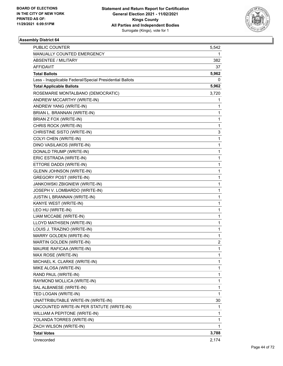

| PUBLIC COUNTER                                           | 5,542        |
|----------------------------------------------------------|--------------|
| MANUALLY COUNTED EMERGENCY                               | 1            |
| <b>ABSENTEE / MILITARY</b>                               | 382          |
| AFFIDAVIT                                                | 37           |
| <b>Total Ballots</b>                                     | 5,962        |
| Less - Inapplicable Federal/Special Presidential Ballots | 0            |
| <b>Total Applicable Ballots</b>                          | 5,962        |
| ROSEMARIE MONTALBANO (DEMOCRATIC)                        | 3,720        |
| ANDREW MCCARTHY (WRITE-IN)                               | 1            |
| ANDREW YANG (WRITE-IN)                                   | 1            |
| BRIAN L. BRANNAN (WRITE-IN)                              | $\mathbf{1}$ |
| BRIAN Z FOX (WRITE-IN)                                   | 1            |
| CHRIS ROCK (WRITE-IN)                                    | $\mathbf{1}$ |
| CHRISTINE SISTO (WRITE-IN)                               | 3            |
| COLYI CHEN (WRITE-IN)                                    | 1            |
| DINO VASILAKOS (WRITE-IN)                                | 1            |
| DONALD TRUMP (WRITE-IN)                                  | $\mathbf{1}$ |
| ERIC ESTRADA (WRITE-IN)                                  | 1            |
| ETTORE DADDI (WRITE-IN)                                  | $\mathbf{1}$ |
| <b>GLENN JOHNSON (WRITE-IN)</b>                          | $\mathbf{1}$ |
| <b>GREGORY POST (WRITE-IN)</b>                           | 1            |
| JANKOWSKI ZBIGNIEW (WRITE-IN)                            | 1            |
| JOSEPH V. LOMBARDO (WRITE-IN)                            | $\mathbf{1}$ |
| JUSTIN L BRANNAN (WRITE-IN)                              | 1            |
| KANYE WEST (WRITE-IN)                                    | $\mathbf{1}$ |
| LEO HU (WRITE-IN)                                        | $\mathbf{1}$ |
| LIAM MCCABE (WRITE-IN)                                   | 1            |
| LLOYD MATHISEN (WRITE-IN)                                | 1            |
| LOUIS J. TRAZINO (WRITE-IN)                              | $\mathbf{1}$ |
| MARRY GOLDEN (WRITE-IN)                                  | $\mathbf{1}$ |
| MARTIN GOLDEN (WRITE-IN)                                 | 2            |
| MAURIE RAFICAA (WRITE-IN)                                | $\mathbf{1}$ |
| MAX ROSE (WRITE-IN)                                      | 1            |
| MICHAEL K. CLARKE (WRITE-IN)                             | 1            |
| MIKE ALOSA (WRITE-IN)                                    | $\mathbf{1}$ |
| RAND PAUL (WRITE-IN)                                     | 1            |
| RAYMOND MOLLICA (WRITE-IN)                               | 1            |
| SAL ALBANESE (WRITE-IN)                                  | $\mathbf 1$  |
| TED LOGAN (WRITE-IN)                                     | 1            |
| UNATTRIBUTABLE WRITE-IN (WRITE-IN)                       | 30           |
| UNCOUNTED WRITE-IN PER STATUTE (WRITE-IN)                | $\mathbf{1}$ |
| WILLIAM A PEPITONE (WRITE-IN)                            | 1            |
| YOLANDA TORRES (WRITE-IN)                                | 1            |
| ZACH WILSON (WRITE-IN)                                   | 1            |
| <b>Total Votes</b>                                       | 3,788        |
| Unrecorded                                               | 2,174        |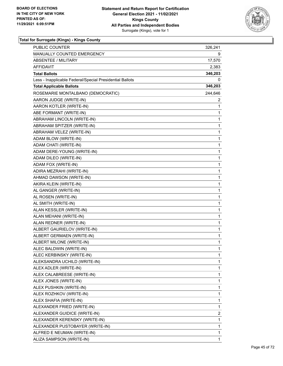

| <b>PUBLIC COUNTER</b>                                    | 326,241      |
|----------------------------------------------------------|--------------|
| <b>MANUALLY COUNTED EMERGENCY</b>                        | 9            |
| <b>ABSENTEE / MILITARY</b>                               | 17,570       |
| AFFIDAVIT                                                | 2,383        |
| <b>Total Ballots</b>                                     | 346,203      |
| Less - Inapplicable Federal/Special Presidential Ballots | 0            |
| <b>Total Applicable Ballots</b>                          | 346,203      |
| ROSEMARIE MONTALBANO (DEMOCRATIC)                        | 244,646      |
| AARON JUDGE (WRITE-IN)                                   | 2            |
| AARON KOTLER (WRITE-IN)                                  | 1            |
| ABE FORMANT (WRITE-IN)                                   | 1            |
| ABRAHAM LINCOLN (WRITE-IN)                               | 1            |
| ABRAHAM SPITZER (WRITE-IN)                               | 1            |
| ABRAHAM VELEZ (WRITE-IN)                                 | 1            |
| ADAM BLOW (WRITE-IN)                                     | 1            |
| ADAM CHATI (WRITE-IN)                                    | 1            |
| ADAM DERE-YOUNG (WRITE-IN)                               | 1            |
| ADAM DILEO (WRITE-IN)                                    | 1            |
| ADAM FOX (WRITE-IN)                                      | 1            |
| ADIRA MEZRAHI (WRITE-IN)                                 | 1            |
| AHMAD DAWSON (WRITE-IN)                                  | 1            |
| AKIRA KLEIN (WRITE-IN)                                   | 1            |
| AL GANGER (WRITE-IN)                                     | 1            |
| AL ROSEN (WRITE-IN)                                      | 1            |
| AL SMITH (WRITE-IN)                                      | 1            |
| ALAN KESSLER (WRITE-IN)                                  | 1            |
| ALAN MEHANI (WRITE-IN)                                   | 1            |
| ALAN REDNER (WRITE-IN)                                   | 1            |
| ALBERT GAURIELOV (WRITE-IN)                              | 1            |
| ALBERT GERMAEN (WRITE-IN)                                | 1            |
| ALBERT MILONE (WRITE-IN)                                 | 1            |
| ALEC BALDWIN (WRITE-IN)                                  | $\mathbf{1}$ |
| ALEC KERBINSKY (WRITE-IN)                                | 1            |
| ALEKSANDRA UCHILD (WRITE-IN)                             | 1            |
| ALEX ADLER (WRITE-IN)                                    | 1            |
| ALEX CALABREESE (WRITE-IN)                               | 1            |
| ALEX JONES (WRITE-IN)                                    | 1            |
| ALEX PUSHKIN (WRITE-IN)                                  | 1            |
| ALEX ROZHKOV (WRITE-IN)                                  | 1            |
| ALEX SHAFIA (WRITE-IN)                                   | 1            |
| ALEXANDER FRIED (WRITE-IN)                               | 1            |
| ALEXANDER GUIDICE (WRITE-IN)                             | 2            |
| ALEXANDER KERENSKY (WRITE-IN)                            | 1            |
| ALEXANDER PUSTOBAYER (WRITE-IN)                          | 1            |
| ALFRED E NEUMAN (WRITE-IN)                               | 1            |
| ALIZA SAMPSON (WRITE-IN)                                 | 1            |
|                                                          |              |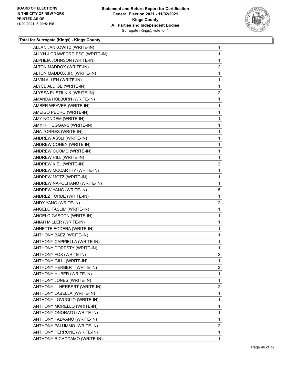

| ALLAN JANKOWITZ (WRITE-IN)      | $\mathbf{1}$   |
|---------------------------------|----------------|
| ALLYN J CRAWFORD ESQ (WRITE-IN) | 1              |
| ALPHEIA JOHNSON (WRITE-IN)      | 1              |
| ALTON MADDOX (WRITE-IN)         | $\overline{c}$ |
| ALTON MADDOX JR. (WRITE-IN)     | 1              |
| ALVIN ALLEN (WRITE-IN)          | 1              |
| ALYCE ALDIGE (WRITE-IN)         | 1              |
| ALYSSA PUSTILNIK (WRITE-IN)     | $\overline{a}$ |
| AMANDA HOLBURN (WRITE-IN)       | 1              |
| AMBER WEAVER (WRITE-IN)         | 1              |
| AMEIGO PEDRO (WRITE-IN)         | 1              |
| AMY NONDEM (WRITE-IN)           | 1              |
| AMY R. HUGGANS (WRITE-IN)       | 1              |
| ANA TORRES (WRITE-IN)           | 1              |
| ANDREW ASSLI (WRITE-IN)         | 1              |
| ANDREW COHEN (WRITE-IN)         | 1              |
| ANDREW CUOMO (WRITE-IN)         | 1              |
| ANDREW HILL (WRITE-IN)          | 1              |
| ANDREW KIEL (WRITE-IN)          | $\overline{a}$ |
| ANDREW MCCARTHY (WRITE-IN)      | 1              |
| ANDREW MOTZ (WRITE-IN)          | 1              |
| ANDREW NAPOLITANO (WRITE-IN)    | 1              |
| ANDREW YANG (WRITE-IN)          | 5              |
| ANDREZ FORDE (WRITE-IN)         | 1              |
| ANDY YANG (WRITE-IN)            | $\overline{a}$ |
| ANGELO FASLIM (WRITE-IN)        | 1              |
| ANGELO GASCON (WRITE-IN)        | 1              |
| ANIAH MILLER (WRITE-IN)         | $\mathbf{1}$   |
| ANNETTE FODERA (WRITE-IN)       | 1              |
| <b>ANTHONY BAEZ (WRITE-IN)</b>  | 1              |
| ANTHONY CAPPIELLA (WRITE-IN)    | 1              |
| ANTHONY DORESTY (WRITE-IN)      | 1              |
| ANTHONY FOX (WRITE-IN)          | 2              |
| <b>ANTHONY GILLI (WRITE-IN)</b> | 1              |
| ANTHONY HERBERT (WRITE-IN)      | $\overline{2}$ |
| ANTHONY HUBER (WRITE-IN)        | 1              |
| ANTHONY JONES (WRITE-IN)        | 1              |
| ANTHONY L. HERBERT (WRITE-IN)   | $\overline{c}$ |
| ANTHONY LABELLA (WRITE-IN)      | 1              |
| ANTHONY LOVUGLIO (WRITE-IN)     | 1              |
| ANTHONY MORELLO (WRITE-IN)      | 1              |
| ANTHONY ONORATO (WRITE-IN)      | 1              |
| ANTHONY PADVANO (WRITE-IN)      | 1              |
| ANTHONY PALUMMO (WRITE-IN)      | $\overline{c}$ |
| ANTHONY PERRONE (WRITE-IN)      | 1              |
| ANTHONY R.CACCAMO (WRITE-IN)    | $\mathbf{1}$   |
|                                 |                |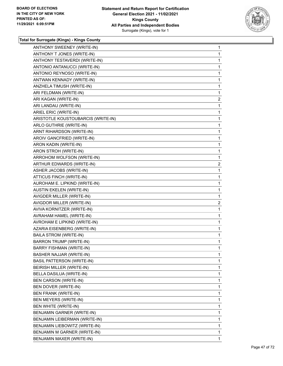

| ANTHONY SWEENEY (WRITE-IN)         | $\mathbf{1}$   |
|------------------------------------|----------------|
| ANTHONY T JONES (WRITE-IN)         | $\mathbf{1}$   |
| ANTHONY TESTAVERDI (WRITE-IN)      | $\mathbf{1}$   |
| ANTONIO ANTANUCCI (WRITE-IN)       | 1              |
| ANTONIO REYNOSO (WRITE-IN)         | 1              |
| ANTWAN KENNADY (WRITE-IN)          | 1              |
| ANZHELA TIMUSH (WRITE-IN)          | 1              |
| ARI FELDMAN (WRITE-IN)             | 1              |
| ARI KAGAN (WRITE-IN)               | $\overline{c}$ |
| ARI LANDAU (WRITE-IN)              | 1              |
| ARIEL ERIC (WRITE-IN)              | 1              |
| ARISTOTLE KOUSTOUBARCIS (WRITE-IN) | $\mathbf{1}$   |
| ARLO GUTHRIE (WRITE-IN)            | 1              |
| ARNT RIHARDSON (WRITE-IN)          | 1              |
| AROIV GANCFRIED (WRITE-IN)         | 1              |
| ARON KADIN (WRITE-IN)              | 1              |
| ARON STROH (WRITE-IN)              | 1              |
| ARROHOM WOLFSON (WRITE-IN)         | 1              |
| ARTHUR EDWARDS (WRITE-IN)          | $\overline{2}$ |
| ASHER JACOBS (WRITE-IN)            | 1              |
| ATTICUS FINCH (WRITE-IN)           | 1              |
| AUROHAM E. LIPKIND (WRITE-IN)      | 1              |
| <b>AUSTIN EKELEN (WRITE-IN)</b>    | 1              |
| AVIGDER MILLER (WRITE-IN)          | 1              |
| AVIGDOR MILLER (WRITE-IN)          | $\overline{2}$ |
| AVIVA KORNITZER (WRITE-IN)         | 1              |
| AVRAHAM HAMEL (WRITE-IN)           | 1              |
| AVROHAM E LIPKIND (WRITE-IN)       | $\mathbf 1$    |
| AZARIA EISENBERG (WRITE-IN)        | $\mathbf{1}$   |
| <b>BAILA STROM (WRITE-IN)</b>      | $\mathbf{1}$   |
| <b>BARRON TRUMP (WRITE-IN)</b>     | $\mathbf{1}$   |
| <b>BARRY FISHMAN (WRITE-IN)</b>    | 1              |
| BASHER NAJJAR (WRITE-IN)           | 1              |
| <b>BASIL PATTERSON (WRITE-IN)</b>  | 1              |
| BEIRISH MILLER (WRITE-IN)          | 1              |
| BELLA DASILUA (WRITE-IN)           | 1              |
| <b>BEN CARSON (WRITE-IN)</b>       | 1              |
| BEN DOVER (WRITE-IN)               | 1              |
| <b>BEN FRANK (WRITE-IN)</b>        | 1              |
| BEN MEYERS (WRITE-IN)              | 1              |
| BEN WHITE (WRITE-IN)               | 1              |
| BENJAMIN GARNER (WRITE-IN)         | 1              |
| BENJAMIN LEIBERMAN (WRITE-IN)      | 1              |
| BENJAMIN LIEBOWITZ (WRITE-IN)      | 1              |
| BENJAMIN M GARNER (WRITE-IN)       | 1              |
| BENJAMIN MAXER (WRITE-IN)          | 1              |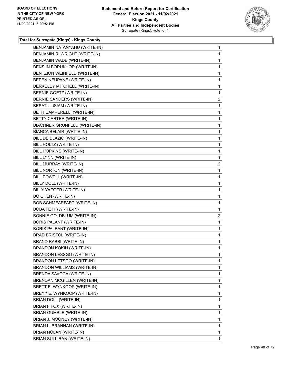

| BENJAMIN NATANYAHU (WRITE-IN)      | 1              |
|------------------------------------|----------------|
| BENJAMIN R. WRIGHT (WRITE-IN)      | $\mathbf{1}$   |
| BENJAMIN WADE (WRITE-IN)           | 1              |
| BENSIIN BORUKHOR (WRITE-IN)        | $\mathbf{1}$   |
| BENTZION WEINFELD (WRITE-IN)       | 1              |
| BEPEN NEUPANE (WRITE-IN)           | 1              |
| BERKELEY MITCHELL (WRITE-IN)       | $\mathbf{1}$   |
| BERNIE GOETZ (WRITE-IN)            | 1              |
| BERNIE SANDERS (WRITE-IN)          | 2              |
| BESATUL ISIAM (WRITE-IN)           | $\mathbf{1}$   |
| BETH CAMPERELLI (WRITE-IN)         | 1              |
| BETTY CARTER (WRITE-IN)            | 1              |
| BIACHNER GRUNFELD (WRITE-IN)       | $\mathbf{1}$   |
| BIANCA BELAIR (WRITE-IN)           | $\mathbf{1}$   |
| BILL DE BLAZIO (WRITE-IN)          | 1              |
| BILL HOLTZ (WRITE-IN)              | $\mathbf{1}$   |
| BILL HOPKINS (WRITE-IN)            | 1              |
| BILL LYNN (WRITE-IN)               | 1              |
| BILL MURRAY (WRITE-IN)             | $\overline{2}$ |
| BILL NORTON (WRITE-IN)             | 1              |
| BILL POWELL (WRITE-IN)             | 1              |
| BILLY DOLL (WRITE-IN)              | $\mathbf{1}$   |
| BILLY YAEGER (WRITE-IN)            | 1              |
| <b>BO CHEN (WRITE-IN)</b>          | 1              |
| BOB SCHMEARFART (WRITE-IN)         | $\mathbf{1}$   |
| <b>BOBA FETT (WRITE-IN)</b>        | 1              |
| BONNIE GOLDBLUM (WRITE-IN)         | 2              |
| BORIS PALANT (WRITE-IN)            | $\mathbf{1}$   |
| BORIS PALEANT (WRITE-IN)           | 1              |
| BRAD BRISTOL (WRITE-IN)            | 1              |
| BRAND RABBI (WRITE-IN)             | $\mathbf{1}$   |
| BRANDON KOKIN (WRITE-IN)           | 1              |
| BRANDON LESSGO (WRITE-IN)          | 1              |
| BRANDON LETSGO (WRITE-IN)          | $\mathbf{1}$   |
| BRANDON WILLIAMS (WRITE-IN)        | $\mathbf{1}$   |
| BRENDA SAVOCA (WRITE-IN)           | 1              |
| <b>BRENDAN MCGILLEN (WRITE-IN)</b> | $\mathbf{1}$   |
| BRETT E. WYNKOOP (WRITE-IN)        | 1              |
| BREYY E. WYNKOOP (WRITE-IN)        | 1              |
| BRIAN DOLL (WRITE-IN)              | $\mathbf{1}$   |
| BRIAN F FOX (WRITE-IN)             | $\mathbf{1}$   |
| <b>BRIAN GUMBLE (WRITE-IN)</b>     | 1              |
| BRIAN J. MOONEY (WRITE-IN)         | $\mathbf{1}$   |
| BRIAN L. BRANNAN (WRITE-IN)        | 1              |
| BRIAN NOLAN (WRITE-IN)             | 1              |
| BRIAN SULLIRAN (WRITE-IN)          | 1              |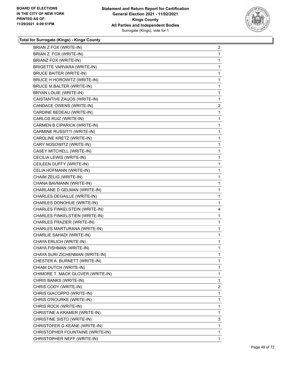

| BRIAN Z FOX (WRITE-IN)            | $\overline{2}$ |
|-----------------------------------|----------------|
| BRIAN Z. FOX (WRITE-IN)           | $\mathbf{1}$   |
| BRIANZ FOX (WRITE-IN)             | 1              |
| BRIGETTE VARVARA (WRITE-IN)       | $\mathbf{1}$   |
| <b>BRUCE BAITER (WRITE-IN)</b>    | 1              |
| BRUCE H HOROWITZ (WRITE-IN)       | $\mathbf{1}$   |
| <b>BRUCE M.BALTER (WRITE-IN)</b>  | $\mathbf{1}$   |
| BRYAN LOUIE (WRITE-IN)            | $\mathbf{1}$   |
| CAISTANTIVE ZAUOS (WRITE-IN)      | $\mathbf{1}$   |
| CANDACE OWENS (WRITE-IN)          | $\overline{2}$ |
| CARDINE BEDEAU (WRITE-IN)         | 1              |
| CARLOS RUIZ (WRITE-IN)            | $\mathbf{1}$   |
| CARMEN B CIPARICK (WRITE-IN)      | $\mathbf{1}$   |
| CARMINE RUSSITTI (WRITE-IN)       | $\mathbf{1}$   |
| CAROLINE KRETZ (WRITE-IN)         | 1              |
| CARY NOSOWITZ (WRITE-IN)          | $\mathbf{1}$   |
| CASEY MITCHELL (WRITE-IN)         | 1              |
| CECILIA LEWIS (WRITE-IN)          | $\mathbf{1}$   |
| CEILEEN DUFFY (WRITE-IN)          | $\mathbf{1}$   |
| CELIA HOFMANN (WRITE-IN)          | $\mathbf 1$    |
| CHAIM ZELIG (WRITE-IN)            | $\mathbf{1}$   |
| CHANA BAVMANN (WRITE-IN)          | $\mathbf{1}$   |
| CHARLANE D GELMAN (WRITE-IN)      | 1              |
| CHARLES DEGAILLE (WRITE-IN)       | $\mathbf{1}$   |
| CHARLES DONOHUE (WRITE-IN)        | $\mathbf{1}$   |
| CHARLES FINKELSTEIN (WRITE-IN)    | 4              |
| CHARLES FINKELSTIEN (WRITE-IN)    | $\mathbf{1}$   |
| CHARLES FRAZIER (WRITE-IN)        | $\mathbf{1}$   |
| CHARLES MARTURANA (WRITE-IN)      | 1              |
| CHARLIE SAHADI (WRITE-IN)         | $\mathbf{1}$   |
| CHAYA ERLICH (WRITE-IN)           | $\mathbf{1}$   |
| CHAYA FISHMAN (WRITE-IN)          | $\mathbf{1}$   |
| CHAYA SURI ZICHENMAN (WRITE-IN)   | 1              |
| CHESTER A. BURNETT (WRITE-IN)     | 1              |
| CHIAM DUTCH (WRITE-IN)            | $\mathbf{1}$   |
| CHIMORE T. MACK GLOVER (WRITE-IN) | 1              |
| CHRIS BANKS (WRITE-IN)            | 1              |
| CHRIS CODY (WRITE-IN)             | 2              |
| CHRIS GIACOPPO (WRITE-IN)         | 1              |
| CHRIS O'ROURKE (WRITE-IN)         | 1              |
| CHRIS ROCK (WRITE-IN)             | 1              |
| CHRISTINE A KRAMER (WRITE-IN)     | 1              |
| CHRISTINE SISTO (WRITE-IN)        | 3              |
| CHRISTOFER G KEANE (WRITE-IN)     | 1              |
| CHRISTOPHER FOUNTAINE (WRITE-IN)  | $\mathbf{1}$   |
|                                   |                |
| CHRISTOPHER NEFF (WRITE-IN)       | 1              |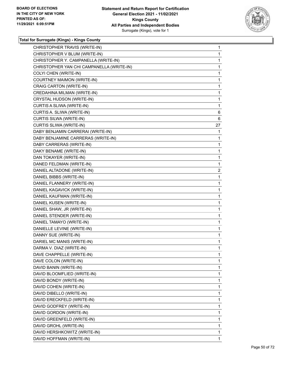

| CHRISTOPHER TRAVIS (WRITE-IN)             | 1            |
|-------------------------------------------|--------------|
| CHRISTOPHER V BLUM (WRITE-IN)             | 1            |
| CHRISTOPHER Y. CAMPANELLA (WRITE-IN)      | 1            |
| CHRISTOPHER YAN CHI CAMPANELLA (WRITE-IN) | 1            |
| COLYI CHEN (WRITE-IN)                     | 1            |
| COURTNEY MAIMON (WRITE-IN)                | 1            |
| CRAIG CARTON (WRITE-IN)                   | 1            |
| CREDAHINA MILMAN (WRITE-IN)               | 1            |
| CRYSTAL HUDSON (WRITE-IN)                 | $\mathbf{1}$ |
| CURTIS A SLIWA (WRITE-IN)                 | 1            |
| CURTIS A. SLIWA (WRITE-IN)                | 6            |
| CURTIS SILWA (WRITE-IN)                   | 6            |
| CURTIS SLIWA (WRITE-IN)                   | 27           |
| DABY BENJAMIN CARRERAI (WRITE-IN)         | 1            |
| DABY BENJAMINE CARRERAS (WRITE-IN)        | 1            |
| DABY CARRERAS (WRITE-IN)                  | 1            |
| DAKY BENAME (WRITE-IN)                    | 1            |
| DAN TOKAYER (WRITE-IN)                    | 1            |
| DANED FELDMAN (WRITE-IN)                  | 1            |
| DANIEL ALTADONE (WRITE-IN)                | 2            |
| DANIEL BIBBS (WRITE-IN)                   | $\mathbf{1}$ |
| DANIEL FLANNERY (WRITE-IN)                | 1            |
| DANIEL KAGAVICK (WRITE-IN)                | 1            |
| DANIEL KAUFMAN (WRITE-IN)                 | 1            |
| DANIEL KUSEN (WRITE-IN)                   | 1            |
| DANIEL SHAW, JR (WRITE-IN)                | 1            |
| DANIEL STENDER (WRITE-IN)                 | 1            |
| DANIEL TAMAYO (WRITE-IN)                  | 1            |
| DANIELLE LEVINE (WRITE-IN)                | 1            |
| DANNY SUE (WRITE-IN)                      | 1            |
| DARIEL MC MANIS (WRITE-IN)                | 1            |
| DARMA V. DIAZ (WRITE-IN)                  | 1            |
| DAVE CHAPPELLE (WRITE-IN)                 | 1            |
| DAVE COLON (WRITE-IN)                     | 1            |
| DAVID BANIN (WRITE-IN)                    | 1            |
| DAVID BLOOMFLIED (WRITE-IN)               | 1            |
| DAVID BONDY (WRITE-IN)                    | 1            |
| DAVID COHEN (WRITE-IN)                    | 1            |
| DAVID DIBELLO (WRITE-IN)                  | 1            |
| DAVID ERECKFELD (WRITE-IN)                | 1            |
| DAVID GODFREY (WRITE-IN)                  | 1            |
| DAVID GORDON (WRITE-IN)                   | 1            |
| DAVID GREENFELD (WRITE-IN)                | 1            |
| DAVID GROHL (WRITE-IN)                    | 1            |
| DAVID HERSHKOWITZ (WRITE-IN)              | 1            |
| DAVID HOFFMAN (WRITE-IN)                  | 1            |
|                                           |              |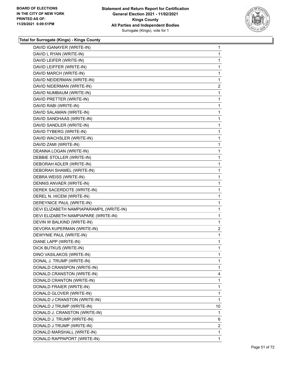

| DAVID IGANAYER (WRITE-IN)                | 1              |
|------------------------------------------|----------------|
| DAVID L RYAN (WRITE-IN)                  | 1              |
| DAVID LEIFER (WRITE-IN)                  | 1              |
| DAVID LEIFFER (WRITE-IN)                 | 1              |
| DAVID MARCH (WRITE-IN)                   | 1              |
| DAVID NEIDERMAN (WRITE-IN)               | 1              |
| DAVID NIDERMAN (WRITE-IN)                | 2              |
| DAVID NUMBAUM (WRITE-IN)                 | 1              |
| DAVID PRETTER (WRITE-IN)                 | 1              |
| DAVID RABI (WRITE-IN)                    | 1              |
| DAVID SALAMAN (WRITE-IN)                 | 1              |
| DAVID SANDHAAS (WRITE-IN)                | 1              |
| DAVID SANDLER (WRITE-IN)                 | 1              |
| DAVID TYBERG (WRITE-IN)                  | 1              |
| DAVID WACHSLER (WRITE-IN)                | 1              |
| DAVID ZAMI (WRITE-IN)                    | 1              |
| DEANNA LOGAN (WRITE-IN)                  | 1              |
| DEBBIE STOLLER (WRITE-IN)                | 1              |
| DEBORAH ADLER (WRITE-IN)                 | 1              |
| DEBORAH SHAMEL (WRITE-IN)                | 1              |
| DEBRA WEISS (WRITE-IN)                   | 1              |
| DENNIS ANVAER (WRITE-IN)                 | 1              |
| DEREK SACERDOTE (WRITE-IN)               | 1              |
| DEREL N. HICEM (WRITE-IN)                | 1              |
| DEREYNICE PAUL (WRITE-IN)                | 1              |
| DEVI ELIZABETH NAMPIAPARAMPIL (WRITE-IN) | 1              |
| DEVI ELIZABETH NAMPIAPARE (WRITE-IN)     | 1              |
| DEVIN W BALKIND (WRITE-IN)               | 1              |
| DEVORA KUPERMAN (WRITE-IN)               | $\overline{2}$ |
| DEWYNIE PAUL (WRITE-IN)                  | 1              |
| DIANE LAPP (WRITE-IN)                    | 1              |
| DICK BUTKUS (WRITE-IN)                   | 1              |
| DINO VASILAKOS (WRITE-IN)                | 1              |
| DONAL J. TRUMP (WRITE-IN)                | 1              |
| DONALD CRANSPON (WRITE-IN)               | 1              |
| DONALD CRANSTON (WRITE-IN)               | 4              |
| DONALD CRANTON (WRITE-IN)                | 1              |
| DONALD FRAIER (WRITE-IN)                 | 1              |
| DONALD GLOVER (WRITE-IN)                 | 1              |
| DONALD J CRANSTON (WRITE-IN)             | 1              |
| DONALD J TRUMP (WRITE-IN)                | 10             |
| DONALD J. CRANSTON (WRITE-IN)            | 1              |
| DONALD J. TRUMP (WRITE-IN)               | 6              |
| DONALD J.TRUMP (WRITE-IN)                | $\overline{2}$ |
| DONALD MARSHALL (WRITE-IN)               | 1              |
| DONALD RAPPAPORT (WRITE-IN)              | $\mathbf{1}$   |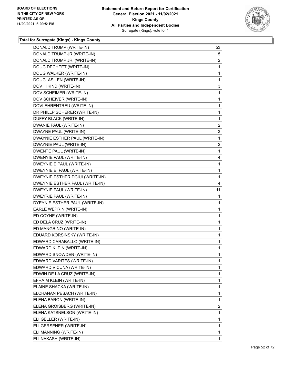

| DONALD TRUMP (WRITE-IN)         | 53             |
|---------------------------------|----------------|
| DONALD TRUMP JR (WRITE-IN)      | 5              |
| DONALD TRUMP JR. (WRITE-IN)     | $\overline{2}$ |
| DOUG DECHEET (WRITE-IN)         | 1              |
| DOUG WALKER (WRITE-IN)          | 1              |
| DOUGLAS LEN (WRITE-IN)          | 1              |
| DOV HIKIND (WRITE-IN)           | 3              |
| DOV SCHEIMER (WRITE-IN)         | 1              |
| DOV SCHEIVER (WRITE-IN)         | 1              |
| DOVI EHRENTREU (WRITE-IN)       | 1              |
| DR PHILLP SCHERER (WRITE-IN)    | 1              |
| DUFFY BLACK (WRITE-IN)          | 1              |
| DWANIE PAUL (WRITE-IN)          | 2              |
| DWAYNE PAUL (WRITE-IN)          | 3              |
| DWAYNIE ESTHER PAUL (WRITE-IN)  | 1              |
| DWAYNIE PAUL (WRITE-IN)         | 2              |
| DWENTE PAUL (WRITE-IN)          | 1              |
| DWENYIE PAUL (WRITE-IN)         | 4              |
| DWEYNIE E PAUL (WRITE-IN)       | 1              |
| DWEYNIE E. PAUL (WRITE-IN)      | 1              |
| DWEYNIE ESTHER DCIUI (WRITE-IN) | 1              |
| DWEYNIE ESTHER PAUL (WRITE-IN)  | 4              |
| DWEYNIE PAUL (WRITE-IN)         | 11             |
| DWEYRIE PAUL (WRITE-IN)         | 1              |
| DYEYNIE ESTHER PAUL (WRITE-IN)  | 1              |
| EARLE WEPRIN (WRITE-IN)         | 1              |
| ED COYNE (WRITE-IN)             | 1              |
| ED DELA CRUZ (WRITE-IN)         | 1              |
| ED MANGRINO (WRITE-IN)          | 1              |
| EDUARD KORSINSKY (WRITE-IN)     | 1              |
| EDWARD CARABALLO (WRITE-IN)     | 1              |
| EDWARD KLEIN (WRITE-IN)         | 1              |
| EDWARD SNOWDEN (WRITE-IN)       | 1              |
| EDWARD VARITES (WRITE-IN)       | $\mathbf{1}$   |
| EDWARD VICUNA (WRITE-IN)        | 1              |
| EDWIN DE LA CRUZ (WRITE-IN)     | 1              |
| EFRAIM KLEIN (WRITE-IN)         | 1              |
| ELAINE SHACKA (WRITE-IN)        | 1              |
| ELCHANAN PESACH (WRITE-IN)      | 1              |
| ELENA BARON (WRITE-IN)          | 1              |
| ELENA GROISBERG (WRITE-IN)      | 2              |
| ELENA KATSNELSON (WRITE-IN)     | 1              |
| ELI GELLER (WRITE-IN)           | 1              |
| ELI GERSENER (WRITE-IN)         | 1              |
| ELI MANNING (WRITE-IN)          | 1              |
| ELI NAKASH (WRITE-IN)           | $\mathbf{1}$   |
|                                 |                |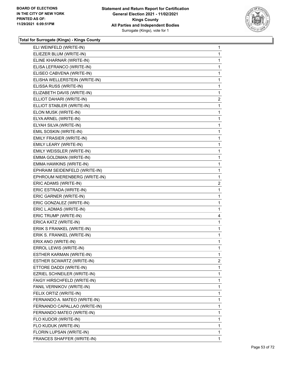

| ELI WEINFELD (WRITE-IN)       | 1              |
|-------------------------------|----------------|
| ELIEZER BLUM (WRITE-IN)       | 1              |
| ELINE KHARNAR (WRITE-IN)      | 1              |
| ELISA LEFRANCO (WRITE-IN)     | 1              |
| ELISEO CABVENA (WRITE-IN)     | 1              |
| ELISHA WELLERSTEIN (WRITE-IN) | 1              |
| ELISSA RUSS (WRITE-IN)        | 1              |
| ELIZABETH DAVIS (WRITE-IN)    | $\mathbf 1$    |
| ELLIOT DAHARI (WRITE-IN)      | $\overline{a}$ |
| ELLIOT STABLER (WRITE-IN)     | 1              |
| ELON MUSK (WRITE-IN)          | 1              |
| ELYA ARNEL (WRITE-IN)         | 1              |
| ELYAH SILVA (WRITE-IN)        | 1              |
| EMIL SOSKIN (WRITE-IN)        | 1              |
| EMILY FRASIER (WRITE-IN)      | 1              |
| EMILY LEARY (WRITE-IN)        | 1              |
| EMILY WEISSLER (WRITE-IN)     | 1              |
| EMMA GOLDMAN (WRITE-IN)       | 1              |
| EMMA HAWKINS (WRITE-IN)       | 1              |
| EPHRAIM SEIDENFELD (WRITE-IN) | 1              |
| EPHROUM NIERENBERG (WRITE-IN) | 1              |
| ERIC ADAMS (WRITE-IN)         | 2              |
| ERIC ESTRADA (WRITE-IN)       | 1              |
| ERIC GARNER (WRITE-IN)        | 1              |
| ERIC GONZALEZ (WRITE-IN)      | 1              |
| ERIC L.ADMAS (WRITE-IN)       | 1              |
| ERIC TRUMP (WRITE-IN)         | 4              |
| ERICA KATZ (WRITE-IN)         | 1              |
| ERIIK S FRANKEL (WRITE-IN)    | 1              |
| ERIK S. FRANKEL (WRITE-IN)    | 1              |
| ERIX ANO (WRITE-IN)           | 1              |
| ERROL LEWIS (WRITE-IN)        | 1              |
| ESTHER KARMAN (WRITE-IN)      | 1              |
| ESTHER SCWARTZ (WRITE-IN)     | $\overline{2}$ |
| ETTORE DADDI (WRITE-IN)       | 1              |
| EZRIEL SCHNEILER (WRITE-IN)   | 1              |
| FAIGY HIRSCHFELD (WRITE-IN)   | 1              |
| FANIL VERNIKOV (WRITE-IN)     | 1              |
| FELIX ORTIZ (WRITE-IN)        | 1              |
| FERNANDO A. MATEO (WRITE-IN)  | 1              |
| FERNANDO CAPALLAO (WRITE-IN)  | 1              |
| FERNANDO MATEO (WRITE-IN)     | 1              |
| FLO KUDOR (WRITE-IN)          | 1              |
| FLO KUDUK (WRITE-IN)          | 1              |
| FLORIN LUPSAN (WRITE-IN)      | 1              |
| FRANCES SHAFFER (WRITE-IN)    | $\mathbf{1}$   |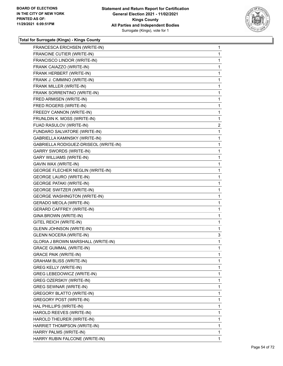

| FRANCESCA ERICHSEN (WRITE-IN)           | $\mathbf{1}$   |
|-----------------------------------------|----------------|
| FRANCINE CUTIER (WRITE-IN)              | 1              |
| FRANCISCO LINDOR (WRITE-IN)             | 1              |
| FRANK CAIAZZO (WRITE-IN)                | 1              |
| FRANK HERBERT (WRITE-IN)                | 1              |
| FRANK J. CIMMINO (WRITE-IN)             | 1              |
| FRANK MILLER (WRITE-IN)                 | 1              |
| FRANK SORRENTINO (WRITE-IN)             | 1              |
| FRED ARMISEN (WRITE-IN)                 | 1              |
| FRED ROGERS (WRITE-IN)                  | 1              |
| FREEDY CANNON (WRITE-IN)                | 1              |
| FRUNLDIN K. MOSS (WRITE-IN)             | 1              |
| FUAD RASULOV (WRITE-IN)                 | $\overline{c}$ |
| FUNDARO SALVATORE (WRITE-IN)            | 1              |
| GABRIELLA KAMINSKY (WRITE-IN)           | 1              |
| GABRIELLA RODIGUEZ-DRISEOL (WRITE-IN)   | 1              |
| <b>GARRY SWORDS (WRITE-IN)</b>          | 1              |
| <b>GARY WILLIAMS (WRITE-IN)</b>         | 1              |
| GAVIN WAX (WRITE-IN)                    | 1              |
| <b>GEORGE FLECHER NEGLIN (WRITE-IN)</b> | 1              |
| <b>GEORGE LAURO (WRITE-IN)</b>          | 1              |
| <b>GEORGE PATAKI (WRITE-IN)</b>         | 1              |
| <b>GEORGE SWITZER (WRITE-IN)</b>        | 1              |
| <b>GEORGE WASHINGTON (WRITE-IN)</b>     | 1              |
| <b>GERADO MEOLA (WRITE-IN)</b>          | 1              |
| <b>GERARD CAFFREY (WRITE-IN)</b>        | 1              |
| GINA BROWN (WRITE-IN)                   | 1              |
| GITEL REICH (WRITE-IN)                  | 1              |
| <b>GLENN JOHNSON (WRITE-IN)</b>         | 1              |
| <b>GLENN NOCERA (WRITE-IN)</b>          | 3              |
| GLORIA J BROWN MARSHALL (WRITE-IN)      | 1              |
| <b>GRACE GUMMAL (WRITE-IN)</b>          | 1              |
| <b>GRACE PAIK (WRITE-IN)</b>            | 1              |
| <b>GRAHAM BLISS (WRITE-IN)</b>          | 1              |
| <b>GREG KELLY (WRITE-IN)</b>            | 1              |
| GREG LEBEDOWICZ (WRITE-IN)              | 1              |
| GREG OZERSKIY (WRITE-IN)                | 1              |
| <b>GREG SEWNAR (WRITE-IN)</b>           | 1              |
| GREGORY BLATTO (WRITE-IN)               | 1              |
| GREGORY POST (WRITE-IN)                 | 1              |
| HAL PHILLIPS (WRITE-IN)                 | 1              |
| HAROLD REEVES (WRITE-IN)                | 1              |
| HAROLD THEURER (WRITE-IN)               | 1              |
| HARRIET THOMPSON (WRITE-IN)             | 1              |
| HARRY PALMS (WRITE-IN)                  | 1              |
|                                         |                |
| HARRY RUBIN FALCONE (WRITE-IN)          | 1.             |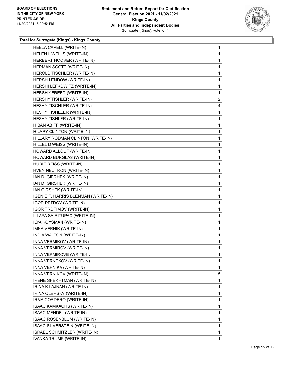

| HEELA CAPELL (WRITE-IN)             | 1              |
|-------------------------------------|----------------|
| HELEN L WELLS (WRITE-IN)            | $\mathbf 1$    |
| HERBERT HOOVER (WRITE-IN)           | $\mathbf 1$    |
| HERMAN SCOTT (WRITE-IN)             | $\mathbf{1}$   |
| HEROLD TISCHLER (WRITE-IN)          | $\mathbf{1}$   |
| HERSH LENDOW (WRITE-IN)             | 1              |
| HERSHI LEFKOWITZ (WRITE-IN)         | 1              |
| HERSHY FREED (WRITE-IN)             | 1              |
| HERSHY TISHLER (WRITE-IN)           | $\overline{c}$ |
| HESHY TISCHLER (WRITE-IN)           | 4              |
| HESHY TISHELER (WRITE-IN)           | 1              |
| HESHY TISHLER (WRITE-IN)            | 1              |
| HIBAN ABIFF (WRITE-IN)              | 1              |
| HILARY CLINTON (WRITE-IN)           | 1              |
| HILLARY RODMAN CLINTON (WRITE-IN)   | $\mathbf{1}$   |
| HILLEL D WEISS (WRITE-IN)           | $\mathbf{1}$   |
| HOWARD ALLOUF (WRITE-IN)            | $\mathbf{1}$   |
| HOWARD BURGLAS (WRITE-IN)           | 1              |
| HUDIE REISS (WRITE-IN)              | 1              |
| HVEN NEUTRON (WRITE-IN)             | 1              |
| IAN D. GIERHEK (WRITE-IN)           | $\mathbf{1}$   |
| IAN D. GIRSHEK (WRITE-IN)           | $\mathbf{1}$   |
| IAN GIRSHEK (WRITE-IN)              | 1              |
| IGENIE F. HARRIS BLENMAN (WRITE-IN) | $\mathbf{1}$   |
| <b>IGOR PETROV (WRITE-IN)</b>       | 1              |
| <b>IGOR TROFIMOV (WRITE-IN)</b>     | 1              |
| ILLAPA SAIRITUPAC (WRITE-IN)        | $\mathbf{1}$   |
| ILYA KOYSMAN (WRITE-IN)             | $\mathbf{1}$   |
| IMNA VERNIK (WRITE-IN)              | 1              |
| INDIA WALTON (WRITE-IN)             | $\mathbf{1}$   |
| INNA VERMIKOV (WRITE-IN)            | 1              |
| INNA VERMIROV (WRITE-IN)            | 1              |
| INNA VERMIROVE (WRITE-IN)           | 1              |
| INNA VERNEKOV (WRITE-IN)            | 1              |
| INNA VERNIKA (WRITE-IN)             | 1              |
| INNA VERNIKOV (WRITE-IN)            | 15             |
| IRENE SHEKHTMAN (WRITE-IN)          | 1              |
| IRINA K LAJNAN (WRITE-IN)           | 1              |
| IRINA OLERSKY (WRITE-IN)            | $\mathbf{1}$   |
| IRMA CORDERO (WRITE-IN)             | 1              |
| ISAAC KAMKACHS (WRITE-IN)           | 1              |
| ISAAC MENDEL (WRITE-IN)             | $\mathbf{1}$   |
| ISAAC ROSENBLUM (WRITE-IN)          | 1              |
| ISAAC SILVERSTEIN (WRITE-IN)        | $\mathbf{1}$   |
| ISRAEL SCHMITZLER (WRITE-IN)        | 1              |
| IVANKA TRUMP (WRITE-IN)             | 1              |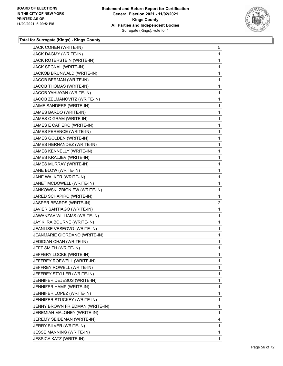

| JACK COHEN (WRITE-IN)           | 5              |
|---------------------------------|----------------|
| JACK DAGMY (WRITE-IN)           | 1              |
| JACK ROTERSTEIN (WRITE-IN)      | $\mathbf 1$    |
| JACK SEGNAL (WRITE-IN)          | $\mathbf{1}$   |
| JACKOB BRUNWALD (WRITE-IN)      | $\mathbf{1}$   |
| JACOB BERMAN (WRITE-IN)         | 1              |
| JACOB THOMAS (WRITE-IN)         | 1              |
| JACOB YAHIAYAN (WRITE-IN)       | 1              |
| JACOB ZELMANOVITZ (WRITE-IN)    | $\mathbf 1$    |
| JAIME SANDERS (WRITE-IN)        | $\mathbf{1}$   |
| JAMES BARDO (WRITE-IN)          | $\mathbf{1}$   |
| JAMES C GRAM (WRITE-IN)         | 1              |
| JAMES E CAFIERO (WRITE-IN)      | 1              |
| JAMES FERENCE (WRITE-IN)        | 1              |
| JAMES GOLDEN (WRITE-IN)         | $\mathbf 1$    |
| JAMES HERNANDEZ (WRITE-IN)      | $\mathbf{1}$   |
| JAMES KENNELLY (WRITE-IN)       | $\mathbf{1}$   |
| JAMES KRALJEV (WRITE-IN)        | 1              |
| JAMES MURRAY (WRITE-IN)         | 1              |
| JANE BLOW (WRITE-IN)            | 1              |
| JANE WALKER (WRITE-IN)          | $\mathbf 1$    |
| JANET MCDOWELL (WRITE-IN)       | $\mathbf{1}$   |
| JANKOWSKI ZBIGNIEW (WRITE-IN)   | $\mathbf{1}$   |
| JARED SCHAPIRO (WRITE-IN)       | $\mathbf{1}$   |
| JASPER BEARDS (WRITE-IN)        | $\overline{2}$ |
| JAVIER SANTIAGO (WRITE-IN)      | 1              |
| JAWANZAA WILLIAMS (WRITE-IN)    | $\mathbf 1$    |
| JAY K. RAIBOURNE (WRITE-IN)     | 1              |
| JEANLISE VESEOVO (WRITE-IN)     | 1              |
| JEANMARIE GIORDANO (WRITE-IN)   | 1              |
| JEDIDIAN CHAN (WRITE-IN)        | 1              |
| JEFF SMITH (WRITE-IN)           | 1              |
| JEFFERY LOCKE (WRITE-IN)        | 1              |
| JEFFREY ROEWELL (WRITE-IN)      | 1              |
| JEFFREY ROWELL (WRITE-IN)       | 1              |
| JEFFREY STYLLER (WRITE-IN)      | $\mathbf{1}$   |
| JENNIFER DEJESUS (WRITE-IN)     | 1              |
| JENNIFER HAMP (WRITE-IN)        | 1              |
| JENNIFER LOPEZ (WRITE-IN)       | $\mathbf{1}$   |
| JENNIFER STUCKEY (WRITE-IN)     | 1              |
| JENNY BROWN FRIEDMAN (WRITE-IN) | 1              |
| JEREMIAH MALONEY (WRITE-IN)     | $\mathbf{1}$   |
| JEREMY SEIDEMAN (WRITE-IN)      | 4              |
| JERRY SILVER (WRITE-IN)         | 1              |
| JESSE MANNING (WRITE-IN)        | 1              |
| JESSICA KATZ (WRITE-IN)         | 1              |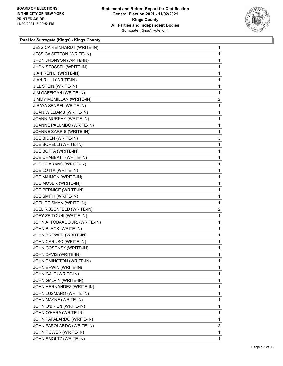

| JESSICA REINHARDT (WRITE-IN)   | 1              |
|--------------------------------|----------------|
| JESSICA SETTON (WRITE-IN)      | 1              |
| JHON JHONSON (WRITE-IN)        | 1              |
| JHON STOSSEL (WRITE-IN)        | 1              |
| JIAN REN LI (WRITE-IN)         | 1              |
| JIAN RU LI (WRITE-IN)          | 1              |
| JILL STEIN (WRITE-IN)          | 1              |
| JIM GAFFIGAH (WRITE-IN)        | 1              |
| JIMMY MCMILLAN (WRITE-IN)      | $\overline{c}$ |
| JIRAYA SENSEI (WRITE-IN)       | 1              |
| JOAN WILLIAMS (WRITE-IN)       | 1              |
| JOANN MURPHY (WRITE-IN)        | 1              |
| JOANNE PALUMBO (WRITE-IN)      | 1              |
| JOANNE SARRIS (WRITE-IN)       | 1              |
| JOE BIDEN (WRITE-IN)           | 3              |
| JOE BORELLI (WRITE-IN)         | 1              |
| JOE BOTTA (WRITE-IN)           | 1              |
| JOE CHABBATT (WRITE-IN)        | 1              |
| JOE GUARANO (WRITE-IN)         | 1              |
| JOE LOTTA (WRITE-IN)           | 1              |
| JOE MAIMON (WRITE-IN)          | 1              |
| JOE MOSER (WRITE-IN)           | 1              |
| JOE PERNICE (WRITE-IN)         | 1              |
| JOE SMITH (WRITE-IN)           | 1              |
| JOEL REISMAN (WRITE-IN)        | 1              |
| JOEL ROSENFELD (WRITE-IN)      | $\overline{c}$ |
| JOEY ZEITOUNI (WRITE-IN)       | 1              |
| JOHN A. TOBAACO JR. (WRITE-IN) | 1              |
| JOHN BLACK (WRITE-IN)          | 1              |
| JOHN BREWER (WRITE-IN)         | 1              |
| JOHN CARUSO (WRITE-IN)         | 1              |
| JOHN COSENZY (WRITE-IN)        | 1              |
| JOHN DAVIS (WRITE-IN)          | 1              |
| JOHN EMINGTON (WRITE-IN)       | 1              |
| JOHN ERWIN (WRITE-IN)          | 1              |
| JOHN GALT (WRITE-IN)           | 1              |
| JOHN GALVIN (WRITE-IN)         | 1              |
| JOHN HERNANDEZ (WRITE-IN)      | 1              |
| JOHN LUSMANO (WRITE-IN)        | 1              |
| JOHN MAYNE (WRITE-IN)          | 1              |
| JOHN O'BRIEN (WRITE-IN)        | 1              |
| JOHN O'HARA (WRITE-IN)         | 1              |
| JOHN PAPALARDO (WRITE-IN)      | 1              |
| JOHN PAPOLARDO (WRITE-IN)      | $\overline{c}$ |
|                                |                |
| JOHN POWER (WRITE-IN)          | 1              |
| JOHN SMOLTZ (WRITE-IN)         | 1              |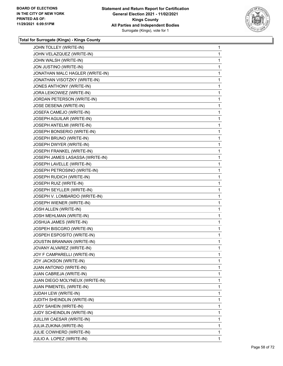

| JOHN TOLLEY (WRITE-IN)          | 1 |
|---------------------------------|---|
| JOHN VELAZQUEZ (WRITE-IN)       | 1 |
| JOHN WALSH (WRITE-IN)           | 1 |
| JON JUSTINO (WRITE-IN)          | 1 |
| JONATHAN MALC HAGLER (WRITE-IN) | 1 |
| JONATHAN VISOTZKY (WRITE-IN)    | 1 |
| JONES ANTHONY (WRITE-IN)        | 1 |
| JORA LEIKOWIEZ (WRITE-IN)       | 1 |
| JORDAN PETERSON (WRITE-IN)      | 1 |
| JOSE DESENA (WRITE-IN)          | 1 |
| JOSEFA CAMEJO (WRITE-IN)        | 1 |
| JOSEPH AGUILAR (WRITE-IN)       | 1 |
| JOSEPH ANTELMI (WRITE-IN)       | 1 |
| JOSEPH BONSERIO (WRITE-IN)      | 1 |
| JOSEPH BRUNO (WRITE-IN)         | 1 |
| JOSEPH DWYER (WRITE-IN)         | 1 |
| JOSEPH FRANKEL (WRITE-IN)       | 1 |
| JOSEPH JAMES LASASSA (WRITE-IN) | 1 |
| JOSEPH LAVELLE (WRITE-IN)       | 1 |
| JOSEPH PETROSINO (WRITE-IN)     | 1 |
| JOSEPH RUDICH (WRITE-IN)        | 1 |
| JOSEPH RUIZ (WRITE-IN)          | 1 |
| JOSEPH SEYLLER (WRITE-IN)       | 1 |
| JOSEPH V. LOMBARDO (WRITE-IN)   | 1 |
| JOSEPH WIENER (WRITE-IN)        | 1 |
| JOSH ALLEN (WRITE-IN)           | 1 |
| JOSH MEHLMAN (WRITE-IN)         | 1 |
| JOSHUA JAMES (WRITE-IN)         | 1 |
| JOSPEH BISCGRO (WRITE-IN)       | 1 |
| JOSPEH ESPOSITO (WRITE-IN)      | 1 |
| JOUSTIN BRANNAN (WRITE-IN)      | 1 |
| JOVANY ALVAREZ (WRITE-IN)       | 1 |
| JOY F CAMPARELLI (WRITE-IN)     | 1 |
| JOY JACKSON (WRITE-IN)          | 1 |
| JUAN ANTONIO (WRITE-IN)         | 1 |
| JUAN CABREJA (WRITE-IN)         | 1 |
| JUAN DIEGO MOLYNEUX (WRITE-IN)  | 1 |
| JUAN PIMENTEL (WRITE-IN)        | 1 |
| JUDAH LEW (WRITE-IN)            | 1 |
| JUDITH SHEINDLIN (WRITE-IN)     | 1 |
| JUDY SAHEIN (WRITE-IN)          | 1 |
| JUDY SCHEINDLIN (WRITE-IN)      | 1 |
| JUILLIW CAESAR (WRITE-IN)       | 1 |
| JULIA ZUKINA (WRITE-IN)         | 1 |
| JULIE COWHERD (WRITE-IN)        | 1 |
| JULIO A. LOPEZ (WRITE-IN)       | 1 |
|                                 |   |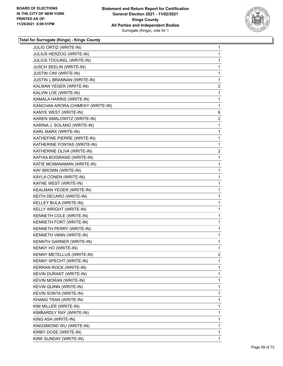

| JULIO ORTIZ (WRITE-IN)           | 1              |
|----------------------------------|----------------|
| JULIUS HERZOG (WRITE-IN)         | 1              |
| JULIUS TOOUKEL (WRITE-IN)        | 1              |
| JUSCH SEELIN (WRITE-IN)          | 1              |
| <b>JUSTIN CINI (WRITE-IN)</b>    | 1              |
| JUSTIN L BRANNAN (WRITE-IN)      | 1              |
| KALMAN YEGER (WRITE-IN)          | $\overline{2}$ |
| KALVIN LOE (WRITE-IN)            | 1              |
| KAMALA HARRIS (WRITE-IN)         | 1              |
| KANCHAN ARORA-CHIMEKY (WRITE-IN) | 1              |
| KANYE WEST (WRITE-IN)            | 6              |
| KAREN SMALOWITZ (WRITE-IN)       | $\overline{2}$ |
| KARINA J. SOLANO (WRITE-IN)      | 1              |
| KARL MARX (WRITE-IN)             | 1              |
| KATHEFINE PIERRE (WRITE-IN)      | 1              |
| KATHERINE FONTAS (WRITE-IN)      | 1              |
| KATHERINE OLIVA (WRITE-IN)       | $\overline{c}$ |
| KATHIA BOISRAND (WRITE-IN)       | 1              |
| KATIE MCMANAMAN (WRITE-IN)       | 1              |
| KAY BROWN (WRITE-IN)             | 1              |
| KAYLA CONEN (WRITE-IN)           | 1              |
| KAYNE WEST (WRITE-IN)            | 1              |
| KEALMAN YEGER (WRITE-IN)         | 1              |
| KEITH DECARO (WRITE-IN)          | 1              |
| KELLEY BULA (WRITE-IN)           | 1              |
| KELLY WRIGHT (WRITE-IN)          | 1              |
| KENNETH COLE (WRITE-IN)          | 1              |
| KENNETH FORT (WRITE-IN)          | 1              |
| KENNETH PERRY (WRITE-IN)         | 1              |
| KENNETH VANN (WRITE-IN)          | 1              |
| KENNTH GARNER (WRITE-IN)         | 1              |
| KENNY HO (WRITE-IN)              | 1              |
| KENNY METELLUS (WRITE-IN)        | 2              |
| KENNY SPECHT (WRITE-IN)          | 1              |
| <b>KERRAN ROCK (WRITE-IN)</b>    | 1              |
| KEVIN DURANT (WRITE-IN)          | 1              |
| <b>KEVIN MORAN (WRITE-IN)</b>    | 1              |
| KEVIN QUINN (WRITE-IN)           | 1              |
| KEVIN SONTA (WRITE-IN)           | 1              |
| KHANG TRAN (WRITE-IN)            | 1              |
| KIM MILLER (WRITE-IN)            | 1              |
| KIMBARDLY RAY (WRITE-IN)         | 1              |
| KING ASA (WRITE-IN)              | 1              |
| KINGSMOND WU (WRITE-IN)          | 1              |
| KIRBY DOSE (WRITE-IN)            | 1              |
| KIRK SUNDAY (WRITE-IN)           | $\mathbf{1}$   |
|                                  |                |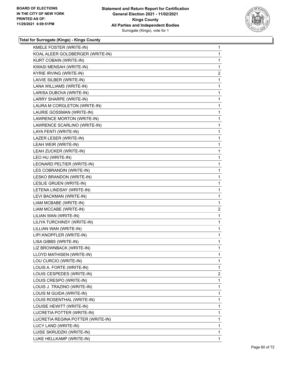

| 1              |
|----------------|
| 1              |
| 1              |
| $\overline{c}$ |
| 1              |
| 1              |
| 1              |
| 1              |
| 1              |
| 1              |
| 1              |
| 1              |
| 1              |
| 1              |
| 1              |
| 1              |
| 1              |
| 1              |
| 1              |
| 1              |
| 1              |
| 1              |
| 1              |
|                |
| 1              |
| $\overline{c}$ |
| 1              |
| 1              |
| 1              |
| 1              |
| 1              |
| 1              |
| 1              |
| 1              |
| 1              |
| $\overline{2}$ |
| 1              |
| 1              |
| 1              |
| 1              |
| 1              |
| 1              |
| 1              |
| 1              |
| 1              |
|                |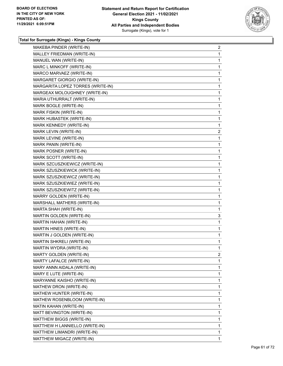

| MAKEBA PINDER (WRITE-IN)          | $\overline{a}$ |
|-----------------------------------|----------------|
| MALLEY FRIEDMAN (WRITE-IN)        | $\mathbf{1}$   |
| MANUEL WAN (WRITE-IN)             | 1              |
| MARC L MINKOFF (WRITE-IN)         | $\mathbf{1}$   |
| MARCO MARVAEZ (WRITE-IN)          | 1              |
| MARGARET GIORGIO (WRITE-IN)       | 1              |
| MARGARITA LOPEZ TORRES (WRITE-IN) | 1              |
| MARGEAX MOLOUGHNEY (WRITE-IN)     | $\mathbf{1}$   |
| MARIA UTHURRALT (WRITE-IN)        | 1              |
| MARK BOGLE (WRITE-IN)             | $\mathbf{1}$   |
| MARK FISKIN (WRITE-IN)            | 1              |
| MARK HUBASTEK (WRITE-IN)          | 1              |
| MARK KENNEDY (WRITE-IN)           | 1              |
| MARK LEVIN (WRITE-IN)             | $\overline{c}$ |
| MARK LEVINE (WRITE-IN)            | 1              |
| MARK PANIN (WRITE-IN)             | $\mathbf{1}$   |
| MARK POSNER (WRITE-IN)            | 1              |
| MARK SCOTT (WRITE-IN)             | 1              |
| MARK SZCUSZKIEWICZ (WRITE-IN)     | 1              |
| MARK SZUSZKIEWICK (WRITE-IN)      | $\mathbf{1}$   |
| MARK SZUSZKIEWICZ (WRITE-IN)      | $\mathbf{1}$   |
| MARK SZUSZKIEWIEZ (WRITE-IN)      | $\mathbf{1}$   |
| MARK SZUSZKIEWITZ (WRITE-IN)      | 1              |
| MARRY GOLDEN (WRITE-IN)           | $\mathbf{1}$   |
| MARSHALL MATHERS (WRITE-IN)       | 1              |
| MARTA SHAH (WRITE-IN)             | 1              |
| MARTIN GOLDEN (WRITE-IN)          | 3              |
| MARTIN HAHAN (WRITE-IN)           | $\mathbf{1}$   |
| MARTIN HINES (WRITE-IN)           | 1              |
| MARTIN J GOLDEN (WRITE-IN)        | $\mathbf{1}$   |
| <b>MARTIN SHKRELI (WRITE-IN)</b>  | $\mathbf{1}$   |
| MARTIN WYDRA (WRITE-IN)           | 1              |
| <b>MARTY GOLDEN (WRITE-IN)</b>    | 2              |
| MARTY LAFALCE (WRITE-IN)          | 1              |
| MARY ANNN AIDALA (WRITE-IN)       | 1              |
| MARY E LUTE (WRITE-IN)            | $\mathbf{1}$   |
| MARYANNE KAISHO (WRITE-IN)        | 1              |
| MATHEW DRON (WRITE-IN)            | 1              |
| MATHEW HUNTER (WRITE-IN)          | 1              |
| MATHEW ROSENBLOOM (WRITE-IN)      | 1              |
| MATIN KAHAN (WRITE-IN)            | 1              |
| MATT BEVINGTON (WRITE-IN)         | $\mathbf{1}$   |
| MATTHEW BIGGS (WRITE-IN)          | 1              |
| MATTHEW H LANNIELLO (WRITE-IN)    | 1              |
| MATTHEW LIMANDRI (WRITE-IN)       | 1              |
| MATTHEW MIGACZ (WRITE-IN)         | 1              |
|                                   |                |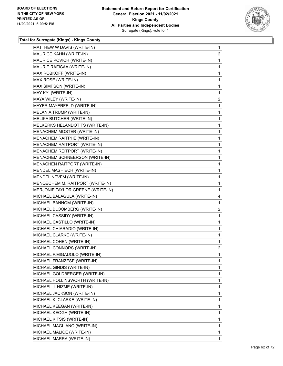

| MATTHEW W DAVIS (WRITE-IN)        | $\mathbf{1}$      |
|-----------------------------------|-------------------|
| MAURICE KAHN (WRITE-IN)           | $\overline{a}$    |
| MAURICE POVICH (WRITE-IN)         | 1                 |
| MAURIE RAFICAA (WRITE-IN)         | 1                 |
| MAX ROBKOFF (WRITE-IN)            | $\mathbf 1$       |
| MAX ROSE (WRITE-IN)               | 1                 |
| MAX SIMPSON (WRITE-IN)            | 1                 |
| MAY KYI (WRITE-IN)                | $\mathbf{1}$      |
| MAYA WILEY (WRITE-IN)             | $\overline{2}$    |
| MAYER MAYERFELD (WRITE-IN)        | 1                 |
| MELANIA TRUMP (WRITE-IN)          | $\mathbf{1}$      |
| MELIKA BUTCHER (WRITE-IN)         | 1                 |
| MELKERKS HELANDOTITS (WRITE-IN)   | 1                 |
| MENACHEM MOSTER (WRITE-IN)        | $\mathbf{1}$      |
| MENACHEM RAITPHE (WRITE-IN)       | 1                 |
| MENACHEM RAITPORT (WRITE-IN)      | $\mathbf 1$       |
| MENACHEM REITPORT (WRITE-IN)      | $\mathbf{1}$      |
| MENACHEM SCHNEERSON (WRITE-IN)    | 1                 |
| MENACHEN RAITPORT (WRITE-IN)      |                   |
| MENDEL MASHIECH (WRITE-IN)        | 1                 |
|                                   | $\mathbf{1}$<br>1 |
| MENDEL NEVFM (WRITE-IN)           |                   |
| MENQECHEM M. RAITPORT (WRITE-IN)  | $\mathbf 1$       |
| MERJONIE TAYLOR GREENE (WRITE-IN) | $\mathbf 1$       |
| MICHAEL BALAGULA (WRITE-IN)       | 4                 |
| MICHAEL BANNOM (WRITE-IN)         | 1                 |
| MICHAEL BLOOMBERG (WRITE-IN)      | $\overline{c}$    |
| MICHAEL CASSIDY (WRITE-IN)        | 1                 |
| MICHAEL CASTILLO (WRITE-IN)       | $\mathbf 1$       |
| MICHAEL CHIARADIO (WRITE-IN)      | $\mathbf{1}$      |
| MICHAEL CLARKE (WRITE-IN)         | 1                 |
| MICHAEL COHEN (WRITE-IN)          | 1                 |
| MICHAEL CONNORS (WRITE-IN)        | 2                 |
| MICHAEL F.MIGAUOLO (WRITE-IN)     | 1                 |
| MICHAEL FRANZESE (WRITE-IN)       | 1                 |
| MICHAEL GINDIS (WRITE-IN)         | $\mathbf{1}$      |
| MICHAEL GOLDBERGER (WRITE-IN)     | 1                 |
| MICHAEL HOLLINSWORTH (WRITE-IN)   | 1                 |
| MICHAEL J. HIZME (WRITE-IN)       | 1                 |
| MICHAEL JACKSON (WRITE-IN)        | 1                 |
| MICHAEL K. CLARKE (WRITE-IN)      | 1                 |
| MICHAEL KEEGAN (WRITE-IN)         | $\mathbf{1}$      |
| MICHAEL KEOGH (WRITE-IN)          | 1                 |
| MICHAEL KITSIS (WRITE-IN)         | 1                 |
| MICHAEL MAGLIANO (WRITE-IN)       | 1                 |
| MICHAEL MALICE (WRITE-IN)         | 1                 |
| MICHAEL MARRA (WRITE-IN)          | 1                 |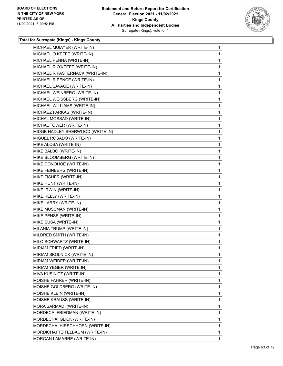

| MICHAEL MUIAYER (WRITE-IN)       | $\mathbf{1}$ |
|----------------------------------|--------------|
|                                  |              |
| MICHAEL O KEFFE (WRITE-IN)       | $\mathbf{1}$ |
| MICHAEL PENNA (WRITE-IN)         | 1            |
| MICHAEL R O'KEEFE (WRITE-IN)     | 1            |
| MICHAEL R PASTERNACK (WRITE-IN)  | 1            |
| MICHAEL R PENCE (WRITE-IN)       | 1            |
| MICHAEL SAVAGE (WRITE-IN)        | 1            |
| MICHAEL WEINBERG (WRITE-IN)      | 1            |
| MICHAEL WEISSBERG (WRITE-IN)     | 1            |
| MICHAEL WILLIAMS (WRITE-IN)      | 1            |
| MICHAEZ FARKAS (WRITE-IN)        | 1            |
| MICHAL MOSSAD (WRITE-IN)         | $\mathbf{1}$ |
| MICHAL TOWER (WRITE-IN)          | 1            |
| MIDGE HADLEY SHERWOOD (WRITE-IN) | 1            |
| MIGUEL ROSADO (WRITE-IN)         | 1            |
| MIKE ALOSA (WRITE-IN)            | 1            |
| MIKE BALBO (WRITE-IN)            | 1            |
| MIKE BLOOMBERG (WRITE-IN)        | 1            |
| MIKE DONOHOE (WRITE-IN)          | 1            |
| MIKE FEINBERG (WRITE-IN)         | 1            |
| MIKE FISHER (WRITE-IN)           | 1            |
| MIKE HUNT (WRITE-IN)             | 1            |
| MIKE IRWIN (WRITE-IN)            | 1            |
| MIKE KELLY (WRITE-IN)            | 1            |
| MIKE LARRY (WRITE-IN)            | 1            |
| MIKE MUSSMAN (WRITE-IN)          | 1            |
| MIKE PENSE (WRITE-IN)            | 1            |
| MIKE SUSA (WRITE-IN)             | 1            |
| MILANIA TRUMP (WRITE-IN)         | 1            |
| MILDRED SMITH (WRITE-IN)         | $\mathbf{1}$ |
| MILO SCHWARTZ (WRITE-IN)         | 1            |
| MIRIAM FRIED (WRITE-IN)          | 1            |
| MIRIAM SKOLNICK (WRITE-IN)       | 1            |
| MIRIAM WEIDER (WRITE-IN)         | 1            |
| MIRIAM YEGER (WRITE-IN)          | 1            |
| MIVA KUSINITZ (WRITE-IN)         | 1            |
| MOISHE FAHRER (WRITE-IN)         | 1            |
| MOISHE GOLDBERG (WRITE-IN)       | 1            |
| MOISHE KLEIN (WRITE-IN)          | 1            |
| MOISHE KRAUSS (WRITE-IN)         | 1            |
| MORA SARMADI (WRITE-IN)          | 1            |
| MORDECAI FRIEDMAN (WRITE-IN)     | 1            |
| MORDECHAI GLICK (WRITE-IN)       | 1            |
| MORDECHAI HIRSCHHORN (WRITE-IN)  | 1            |
| MORDICHAI TEITELBAUM (WRITE-IN)  | $\mathbf{1}$ |
| MORGAN LAMARRE (WRITE-IN)        | 1            |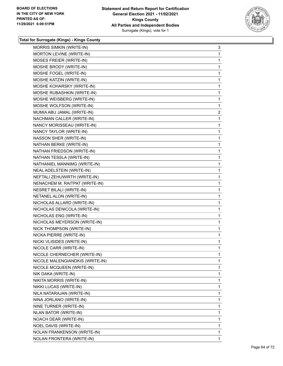

| <b>MORRIS SIMKIN (WRITE-IN)</b>    | 3              |
|------------------------------------|----------------|
| MORTON LEVINE (WRITE-IN)           | 1              |
| MOSES FREIER (WRITE-IN)            | 1              |
| MOSHE BRODY (WRITE-IN)             | 1              |
| MOSHE FOGEL (WRITE-IN)             | 1              |
| MOSHE KATZIN (WRITE-IN)            | 1              |
| MOSHE KOHARSKY (WRITE-IN)          | 1              |
| MOSHE RUBASHKIN (WRITE-IN)         | 1              |
| MOSHE WEISBERG (WRITE-IN)          | 1              |
| MOSHE WOLFSON (WRITE-IN)           | 1              |
| MUMIA ABU JAMAL (WRITE-IN)         | $\overline{c}$ |
| NACHMAN CALLER (WRITE-IN)          | 1              |
| NANCY MORISSEAU (WRITE-IN)         | 1              |
| NANCY TAYLOR (WRITE-IN)            | 1              |
| NASSON SHER (WRITE-IN)             | 1              |
| NATHAN BERKE (WRITE-IN)            | 1              |
| NATHAN FRIEDSON (WRITE-IN)         | 1              |
| NATHAN TESSLA (WRITE-IN)           | 1              |
| NATHANIEL MANNIMG (WRITE-IN)       | 1              |
| NEAL ADELSTEIN (WRITE-IN)          | 1              |
| NEFTALI ZEHUWIRTH (WRITE-IN)       | 1              |
| NENACHEM M. RAITPAT (WRITE-IN)     | 1              |
| <b>NESRET BILALI (WRITE-IN)</b>    | 1              |
| NETANEL ALON (WRITE-IN)            | 1              |
| NICHOLAS ALLARD (WRITE-IN)         | 1              |
| NICHOLAS DENICOLA (WRITE-IN)       | 1              |
| NICHOLAS ENG (WRITE-IN)            | 1              |
| NICHOLAS MEYERSON (WRITE-IN)       | 1              |
| NICK THOMPSON (WRITE-IN)           | 1              |
| NICKA PIERRE (WRITE-IN)            | 1              |
| NICKI VLISIDES (WRITE-IN)          | 1              |
| NICOLE CARR (WRITE-IN)             | 1              |
| NICOLE CHERNECHER (WRITE-IN)       | 1              |
| NICOLE MALENGIANDKIS (WRITE-IN)    | 1              |
| NICOLE MCQUEEN (WRITE-IN)          | 1              |
| NIK DAKA (WRITE-IN)                | 1              |
| NIKITA MORRIS (WRITE-IN)           | 1              |
| NIKKI LUCAS (WRITE-IN)             | 1              |
| NILA NATARAJAN (WRITE-IN)          | 1              |
| NINA JORLANO (WRITE-IN)            | 1              |
| NINE TURNER (WRITE-IN)             | 1              |
| NLAN BATOR (WRITE-IN)              | 1              |
| NOACH DEAR (WRITE-IN)              | 1              |
| NOEL DAVIS (WRITE-IN)              | 1              |
| <b>NOLAN FRANKENSON (WRITE-IN)</b> | 1              |
| NOLAN FRONTERA (WRITE-IN)          | 1.             |
|                                    |                |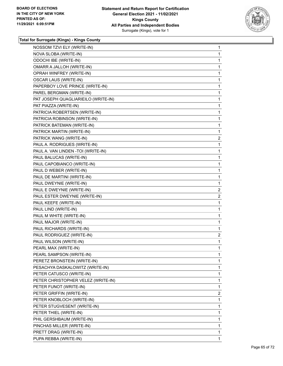

| NOSSOM TZVI ELY (WRITE-IN)          | 1              |
|-------------------------------------|----------------|
| NOVA SLOBA (WRITE-IN)               | 1              |
| ODOCHI IBE (WRITE-IN)               | 1              |
| OMARR A JALLOH (WRITE-IN)           | 1              |
| OPRAH WINFREY (WRITE-IN)            | 1              |
| OSCAR LAUS (WRITE-IN)               | 1              |
| PAPERBOY LOVE PRINCE (WRITE-IN)     | 1              |
| PAREL BERGMAN (WRITE-IN)            | 1              |
| PAT JOSEPH QUAGLIARIEILO (WRITE-IN) | 1              |
| PAT PIAZZA (WRITE-IN)               | 1              |
| PATRICIA ROBERTSEN (WRITE-IN)       | 1              |
| PATRICIA ROBINSON (WRITE-IN)        | 1              |
| PATRICK BATEMAN (WRITE-IN)          | 1              |
| PATRICK MARTIN (WRITE-IN)           | 1              |
| PATRICK WANG (WRITE-IN)             | $\overline{c}$ |
| PAUL A. RODRIGUES (WRITE-IN)        | 1              |
| PAUL A. VAN LINDEN - TOI (WRITE-IN) | 1              |
| PAUL BALUCAS (WRITE-IN)             | 1              |
| PAUL CAPOBIANCO (WRITE-IN)          | 1              |
| PAUL D WEBER (WRITE-IN)             | 1              |
| PAUL DE MARTINI (WRITE-IN)          | 1              |
| PAUL DWEYNIE (WRITE-IN)             | 1              |
| PAUL E DWEYNIE (WRITE-IN)           | $\overline{2}$ |
| PAUL ESTER DWEYNIE (WRITE-IN)       | $\overline{2}$ |
| PAUL KEEFE (WRITE-IN)               | 1              |
| PAUL LIND (WRITE-IN)                | 1              |
| PAUL M WHITE (WRITE-IN)             | 1              |
| PAUL MAJOR (WRITE-IN)               | 1              |
| PAUL RICHARDS (WRITE-IN)            | 1              |
| PAUL RODRIGUEZ (WRITE-IN)           | $\overline{2}$ |
| PAUL WILSON (WRITE-IN)              | 1              |
| PEARL MAX (WRITE-IN)                | 1              |
| PEARL SAMPSON (WRITE-IN)            | 1              |
| PERETZ BRONSTEIN (WRITE-IN)         | 1              |
| PESACHYA DASKALOWITZ (WRITE-IN)     | 1              |
| PETER CATUSCO (WRITE-IN)            | 1              |
| PETER CHRISTOPHER VELEZ (WRITE-IN)  | 1              |
| PETER FUNOT (WRITE-IN)              | 1              |
| PETER GRIFFIN (WRITE-IN)            | $\overline{2}$ |
| PETER KNOBLOCH (WRITE-IN)           | 1              |
| PETER STUGVESENT (WRITE-IN)         | 1              |
| PETER THIEL (WRITE-IN)              | 1              |
| PHIL GERSHBAUM (WRITE-IN)           | 1              |
| PINCHAS MILLER (WRITE-IN)           | 1              |
| PRETT DRAG (WRITE-IN)               | 1              |
| PUPA REBBA (WRITE-IN)               | 1              |
|                                     |                |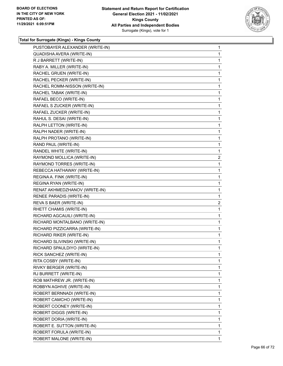

| PUSTOBAYER ALEXANDER (WRITE-IN) | 1              |
|---------------------------------|----------------|
| QUADISHA AVERA (WRITE-IN)       | 1              |
| R J BARRETT (WRITE-IN)          | 1              |
| RABY A. MILLER (WRITE-IN)       | 1              |
| RACHEL GRUEN (WRITE-IN)         | 1              |
| RACHEL PECKER (WRITE-IN)        | 1              |
| RACHEL ROMM-NISSON (WRITE-IN)   | 1              |
| RACHEL TABAK (WRITE-IN)         | 1              |
| RAFAEL BECO (WRITE-IN)          | 1              |
| RAFAEL S ZUCKER (WRITE-IN)      | 1              |
| RAFAEL ZUCKER (WRITE-IN)        | 1              |
| RAHUL S. DESAI (WRITE-IN)       | 1              |
| RALPH LETTON (WRITE-IN)         | 1              |
| RALPH NADER (WRITE-IN)          | 1              |
| RALPH PROTANO (WRITE-IN)        | 1              |
| RAND PAUL (WRITE-IN)            | 1              |
| RANDEL WHITE (WRITE-IN)         | 1              |
| RAYMOND MOLLICA (WRITE-IN)      | $\overline{2}$ |
| RAYMOND TORRES (WRITE-IN)       | 1              |
| REBECCA HATHAWAY (WRITE-IN)     | 1              |
| REGINA A. FINK (WRITE-IN)       | 1              |
| REGINA RYAN (WRITE-IN)          | 1              |
| RENAT AKHMEDZHANOV (WRITE-IN)   | 1              |
| RENEE PARADIS (WRITE-IN)        | 1              |
| REVA S BAER (WRITE-IN)          | $\overline{2}$ |
| RHETT CHAMIS (WRITE-IN)         | 1              |
| RICHARD AGCAUILI (WRITE-IN)     | 1              |
| RICHARD MONTALBANO (WRITE-IN)   | 1              |
| RICHARD PIZZICARRA (WRITE-IN)   | 1              |
| RICHARD RIKER (WRITE-IN)        | 1              |
| RICHARD SLIVINSKI (WRITE-IN)    | 1              |
| RICHARD SPAULDIYO (WRITE-IN)    | 1              |
| RICK SANCHEZ (WRITE-IN)         | 1              |
| RITA COSBY (WRITE-IN)           | 1              |
| RIVKY BERGER (WRITE-IN)         | 1              |
| RJ BURRETT (WRITE-IN)           | 1              |
| ROB MATHREW JR. (WRITE-IN)      | 1              |
| ROBBYN AGHIVE (WRITE-IN)        | 1              |
| ROBERT BERNNADI (WRITE-IN)      | 1              |
| ROBERT CAMCHO (WRITE-IN)        | 1              |
| ROBERT COONEY (WRITE-IN)        | 1              |
| ROBERT DIGGS (WRITE-IN)         | 1              |
| ROBERT DORIA (WRITE-IN)         | 1              |
| ROBERT E. SUTTON (WRITE-IN)     | 1              |
| ROBERT FORULA (WRITE-IN)        | 1              |
| ROBERT MALONE (WRITE-IN)        | 1.             |
|                                 |                |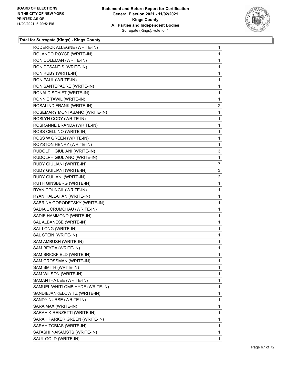

| RODERICK ALLEGNE (WRITE-IN)     | 1            |
|---------------------------------|--------------|
| ROLANDO ROYCE (WRITE-IN)        | 1            |
| RON COLEMAN (WRITE-IN)          | 1            |
| RON DESANTIS (WRITE-IN)         | 1            |
| RON KUBY (WRITE-IN)             | 1            |
| RON PAUL (WRITE-IN)             | 1            |
| RON SANTEPADRE (WRITE-IN)       | 1            |
| RONALD SCHIFT (WRITE-IN)        | 1            |
| RONNIE TAWIL (WRITE-IN)         | 1            |
| ROSALIND FRANK (WRITE-IN)       | $\mathbf{2}$ |
| ROSEMARY MONTABANO (WRITE-IN)   | 1            |
| ROSLYN CODY (WRITE-IN)          | 1            |
| ROSRANNE BRANDA (WRITE-IN)      | 1            |
| ROSS CELLINO (WRITE-IN)         | 1            |
| ROSS W GREEN (WRITE-IN)         | 1            |
| ROYSTON HENRY (WRITE-IN)        | 1            |
| RUDOLPH GIULIANI (WRITE-IN)     | 3            |
| RUDOLPH GIULIANO (WRITE-IN)     | 1            |
| RUDY GIULIANI (WRITE-IN)        | 7            |
| RUDY GUILIANI (WRITE-IN)        | 3            |
| RUDY GULIANI (WRITE-IN)         | 2            |
| RUTH GINSBERG (WRITE-IN)        | 1            |
| RYAN COUNCIL (WRITE-IN)         | 1            |
| RYAN HALLAHAN (WRITE-IN)        | 1            |
| SABRINA GORODETSKY (WRITE-IN)   | 1            |
| SADIA L CRUMCHAU (WRITE-IN)     | 1            |
| SADIE HAMMOND (WRITE-IN)        | 1            |
| SAL ALBANESE (WRITE-IN)         | 1            |
| SAL LONG (WRITE-IN)             | 1            |
| SAL STEIN (WRITE-IN)            | 1            |
| SAM AMBUSH (WRITE-IN)           | 1            |
| SAM BEYDA (WRITE-IN)            | 1            |
| SAM BRICKFIELD (WRITE-IN)       | 1            |
| SAM GROSSMAN (WRITE-IN)         | 1            |
| SAM SMITH (WRITE-IN)            | 1            |
| SAM WILSON (WRITE-IN)           | 1            |
| SAMANTHA LEE (WRITE-IN)         | 1            |
| SAMUEL WHITLOMB HYDE (WRITE-IN) | 1            |
| SANDIEJANKELOWITZ (WRITE-IN)    | 1            |
| SANDY NURSE (WRITE-IN)          | 1            |
| SARA MAX (WRITE-IN)             | 1            |
| SARAH K RENZETTI (WRITE-IN)     | 1            |
| SARAH PARKER GREEN (WRITE-IN)   | 1            |
| SARAH TOBIAS (WRITE-IN)         | 1            |
| SATASHI NAKAMSTS (WRITE-IN)     | 1            |
| SAUL GOLD (WRITE-IN)            | 1.           |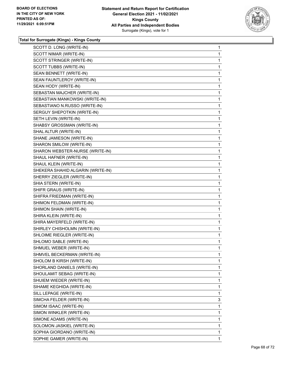

| SCOTT D. LONG (WRITE-IN)          | 1 |
|-----------------------------------|---|
| SCOTT NIMAR (WRITE-IN)            | 1 |
| SCOTT STRINGER (WRITE-IN)         | 1 |
| SCOTT TUBBS (WRITE-IN)            | 1 |
| SEAN BENNETT (WRITE-IN)           | 1 |
| SEAN FAUNTLEROY (WRITE-IN)        | 1 |
| SEAN HODY (WRITE-IN)              | 1 |
| SEBASTAN MAJCHER (WRITE-IN)       | 1 |
| SEBASTIAN MANKOWSKI (WRITE-IN)    | 1 |
| SEBASTIANO N.RUSSO (WRITE-IN)     | 1 |
| SERGUY SHEPOTKIN (WRITE-IN)       | 1 |
| SETH LEVIN (WRITE-IN)             | 1 |
| SHABSY GROSSMAN (WRITE-IN)        | 1 |
| SHAL ALTUR (WRITE-IN)             | 1 |
| SHANE JAMIESON (WRITE-IN)         | 1 |
| SHARON SMILOW (WRITE-IN)          | 1 |
| SHARON WEBSTER-NURSE (WRITE-IN)   | 1 |
| SHAUL HAFNER (WRITE-IN)           | 1 |
| SHAUL KLEIN (WRITE-IN)            | 1 |
| SHEKERA SHAHID ALGARIN (WRITE-IN) | 1 |
| SHERRY ZIEGLER (WRITE-IN)         | 1 |
| SHIA STERN (WRITE-IN)             | 1 |
| SHIFR GRAUS (WRITE-IN)            | 1 |
| SHIFRA FRIEDMAN (WRITE-IN)        | 1 |
| SHIMON FELDMAN (WRITE-IN)         | 1 |
| SHIMON SHAIN (WRITE-IN)           | 1 |
| SHIRA KLEIN (WRITE-IN)            | 1 |
| SHIRA MAYERFELD (WRITE-IN)        | 1 |
| SHIRLEY CHISHOLMN (WRITE-IN)      | 1 |
| SHLOIME RIEGLER (WRITE-IN)        | 1 |
| SHLOMO SABLE (WRITE-IN)           | 1 |
| SHMUEL WEBER (WRITE-IN)           | 1 |
| SHMVEL BECKERMAN (WRITE-IN)       | 1 |
| SHOLOM B KIRSH (WRITE-IN)         | 1 |
| SHORLAND DANIELS (WRITE-IN)       | 1 |
| SHOULAMIT SEBAG (WRITE-IN)        | 1 |
| SHUIEM WIEDER (WRITE-IN)          | 1 |
| SIHAME KEGHIDA (WRITE-IN)         | 1 |
| SILL LEPAGE (WRITE-IN)            | 1 |
| SIMCHA FELDER (WRITE-IN)          | 3 |
| SIMOM ISAAC (WRITE-IN)            | 1 |
| SIMON WINKLER (WRITE-IN)          | 1 |
| SIMONE ADAMS (WRITE-IN)           | 1 |
| SOLOMON JASKIEL (WRITE-IN)        | 1 |
| SOPHIA GIORDANO (WRITE-IN)        | 1 |
| SOPHIE GAMER (WRITE-IN)           | 1 |
|                                   |   |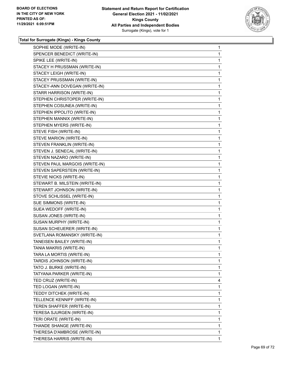

| SOPHIE MODE (WRITE-IN)         | $\mathbf 1$  |
|--------------------------------|--------------|
| SPENCER BENEDICT (WRITE-IN)    | 1            |
| SPIKE LEE (WRITE-IN)           | 1            |
| STACEY H PRUSSMAN (WRITE-IN)   | $\mathbf{1}$ |
| STACEY LEIGH (WRITE-IN)        | 1            |
| STACEY PRUSSMAN (WRITE-IN)     | 1            |
| STACEY-ANN DOVEGAN (WRITE-IN)  | 1            |
| STARR HARRISON (WRITE-IN)      | 1            |
| STEPHEN CHRISTOPER (WRITE-IN)  | 1            |
| STEPHEN COSUNEA (WRITE-IN)     | 1            |
| STEPHEN IPPOLITO (WRITE-IN)    | 1            |
| STEPHEN MANNIX (WRITE-IN)      | 1            |
| STEPHEN MYERS (WRITE-IN)       | 1            |
| STEVE FISH (WRITE-IN)          | 1            |
| STEVE MARION (WRITE-IN)        | 1            |
| STEVEN FRANKLIN (WRITE-IN)     | 1            |
| STEVEN J. SENECAL (WRITE-IN)   | 1            |
| STEVEN NAZARO (WRITE-IN)       | 1            |
| STEVEN PAUL MARGOIS (WRITE-IN) | 1            |
| STEVEN SAPERSTEIN (WRITE-IN)   | 1            |
| STEVIE NICKS (WRITE-IN)        | 1            |
| STEWART B. MILSTEIN (WRITE-IN) | $\mathbf{1}$ |
| STEWART JOHNSON (WRITE-IN)     | 1            |
| STOVE SCHLISSEL (WRITE-IN)     | 1            |
| SUE SIMMONS (WRITE-IN)         | 1            |
| SUEA WEDOFF (WRITE-IN)         | 1            |
| SUSAN JONES (WRITE-IN)         | 1            |
| SUSAN MURPHY (WRITE-IN)        | 1            |
| SUSAN SCHEUERER (WRITE-IN)     | 1            |
| SVETLANA ROMANSKY (WRITE-IN)   | 1            |
| TANEISEN BAILEY (WRITE-IN)     | 1            |
| TANIA MAKRIS (WRITE-IN)        | 1            |
| TARA LA MORTIS (WRITE-IN)      | 1            |
| TARDIS JOHNSON (WRITE-IN)      | 1            |
| TATO J. BURKE (WRITE-IN)       | 1            |
| TATYANA PARKER (WRITE-IN)      | 1            |
| TED CRUZ (WRITE-IN)            | 4            |
| TED LOGAN (WRITE-IN)           | 1            |
| TEDDY DITCHEK (WRITE-IN)       | 1            |
| TELLENCE KENNIFF (WRITE-IN)    | 1            |
| TEREN SHAFFER (WRITE-IN)       | 1            |
| TERESA SJURGEN (WRITE-IN)      | 1            |
| TERI ORATE (WRITE-IN)          | 1            |
| THANDE SHANGE (WRITE-IN)       | 1            |
| THERESA D'AMBROSE (WRITE-IN)   | 1            |
| THERESA HARRIS (WRITE-IN)      | 1.           |
|                                |              |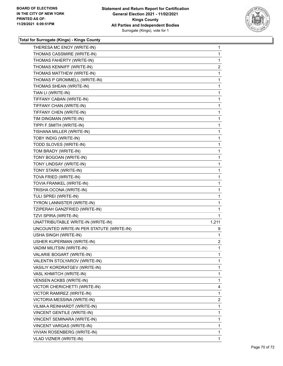

| THERESA MC ENOY (WRITE-IN)                | 1              |
|-------------------------------------------|----------------|
| THOMAS CASSMIRE (WRITE-IN)                | 1              |
| THOMAS FAHERTY (WRITE-IN)                 | 1              |
| THOMAS KENNIFF (WRITE-IN)                 | 2              |
| THOMAS MATTHEW (WRITE-IN)                 | 1              |
| THOMAS P GROMMELL (WRITE-IN)              | 1              |
| THOMAS SHEAN (WRITE-IN)                   | 1              |
| TIAN LI (WRITE-IN)                        | 1              |
| TIFFANY CABAN (WRITE-IN)                  | 1              |
| TIFFANY CHAN (WRITE-IN)                   | 1              |
| TIFFANY CHEN (WRITE-IN)                   | 1              |
| TIM DINGMAN (WRITE-IN)                    | 1              |
| TIPPI F.SMITH (WRITE-IN)                  | 1              |
| TISHANA MILLER (WRITE-IN)                 | 1              |
| TOBY INDIG (WRITE-IN)                     | 1              |
| TODD SLOVES (WRITE-IN)                    | 1              |
| TOM BRADY (WRITE-IN)                      | 1              |
| TONY BOGOAN (WRITE-IN)                    | 1              |
| TONY LINDSAY (WRITE-IN)                   | 1              |
| TONY STARK (WRITE-IN)                     | 1              |
| TOVA FRIED (WRITE-IN)                     | 1              |
| TOVIA FRANKEL (WRITE-IN)                  | 1              |
| TRISHA OCONA (WRITE-IN)                   | 1              |
| TULI SPREI (WRITE-IN)                     | 1              |
| TYRON LANNISTER (WRITE-IN)                | 1              |
| TZIPERAH GANZFRIED (WRITE-IN)             | 1              |
| TZVI SPIRA (WRITE-IN)                     | 1              |
| UNATTRIBUTABLE WRITE-IN (WRITE-IN)        | 1,211          |
| UNCOUNTED WRITE-IN PER STATUTE (WRITE-IN) | 9              |
| USHA SINGH (WRITE-IN)                     | 1              |
| USHER KUPERMAN (WRITE-IN)                 | $\overline{2}$ |
| VADIM MILITSIN (WRITE-IN)                 | 1              |
| VALARIE BOGART (WRITE-IN)                 | 1              |
| VALENTIN STOLYAROV (WRITE-IN)             | 1              |
| VASILIY KORDRATGEV (WRITE-IN)             | 1              |
| VASL KHMITCH (WRITE-IN)                   | 1              |
| <b>VENSEN ACKBS (WRITE-IN)</b>            | 1              |
| VICTOR CHERICHETTI (WRITE-IN)             | 4              |
| VICTOR RAMIREZ (WRITE-IN)                 | 1              |
| VICTORIA MESSINA (WRITE-IN)               | 2              |
| VILMA A REINHARDT (WRITE-IN)              | 1              |
| VINCENT GENTILE (WRITE-IN)                | 1              |
| VINCENT SEMINARA (WRITE-IN)               | 1              |
| VINCENT VARGAS (WRITE-IN)                 | 1              |
| VIVIAN ROSENBERG (WRITE-IN)               | 1              |
| VLAD VIZNER (WRITE-IN)                    | 1              |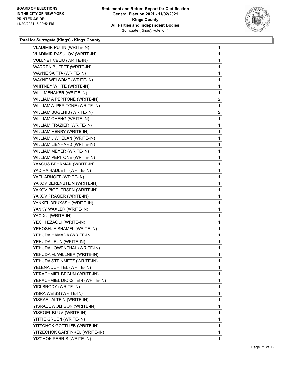

| <b>VLADIMIR PUTIN (WRITE-IN)</b>   | 1              |
|------------------------------------|----------------|
| <b>VLADIMIR RASULOV (WRITE-IN)</b> | 1              |
| VULLNET VELIU (WRITE-IN)           | 1              |
| <b>WARREN BUFFET (WRITE-IN)</b>    | 1              |
| WAYNE SAITTA (WRITE-IN)            | 1              |
| WAYNE WELSOME (WRITE-IN)           | 1              |
| WHITNEY WHITE (WRITE-IN)           | 1              |
| WILL MENAKER (WRITE-IN)            | 1              |
| WILLIAM A PEPITONE (WRITE-IN)      | $\overline{c}$ |
| WILLIAM A. PEPITONE (WRITE-IN)     | 1              |
| WILLIAM BUGENIS (WRITE-IN)         | $\overline{c}$ |
| WILLIAM CHENG (WRITE-IN)           | 1              |
| WILLIAM FRAZIER (WRITE-IN)         | 1              |
| WILLIAM HENRY (WRITE-IN)           | 1              |
| WILLIAM J WHELAN (WRITE-IN)        | 1              |
| WILLIAM LIENHARD (WRITE-IN)        | 1              |
| WILLIAM MEYER (WRITE-IN)           | 1              |
| WILLIAM PEPITONE (WRITE-IN)        | 1              |
| YAACUS BEHRMAN (WRITE-IN)          | 1              |
| YADIRA HADLETT (WRITE-IN)          | 1              |
| YAEL ARNOFF (WRITE-IN)             | 1              |
| YAKOV BERENSTEIN (WRITE-IN)        | 1              |
| YAKOV BIGELERSEN (WRITE-IN)        | 1              |
| YAKOV PRAGER (WRITE-IN)            | 1              |
| YANKEL DRUXASH (WRITE-IN)          | 1              |
| YANKY WAXLER (WRITE-IN)            | 1              |
| YAO XU (WRITE-IN)                  | 1              |
| YECHI EZAOUI (WRITE-IN)            | 1              |
| YEHOSHUA SHAMEL (WRITE-IN)         | 1              |
| YEHUDA HAMADA (WRITE-IN)           | 1              |
| YEHUDA LEUN (WRITE-IN)             | 1              |
| YEHUDA LOWENTHAL (WRITE-IN)        | 1              |
| YEHUDA M. WILLNER (WRITE-IN)       | 1              |
| YEHUDA STEINMETZ (WRITE-IN)        | 1              |
| YELENA UCHITEL (WRITE-IN)          | 1              |
| YERACHMIEL BEGUN (WRITE-IN)        | 1              |
| YERACHMIEL DICKSTEIN (WRITE-IN)    | 1              |
| YIDI BRODY (WRITE-IN)              | 1              |
| YISRA WEISS (WRITE-IN)             | 1              |
| YISRAEL ALTEIN (WRITE-IN)          | 1              |
| YISRAEL WOLFSON (WRITE-IN)         | 1              |
| YISROEL BLUM (WRITE-IN)            | 1              |
| YITTIE GRUEN (WRITE-IN)            | 1              |
| YITZCHOK GOTTLIEB (WRITE-IN)       | 1              |
| YITZECHOK GARFINKEL (WRITE-IN)     | 1              |
| YIZCHOK PERRIS (WRITE-IN)          | 1              |